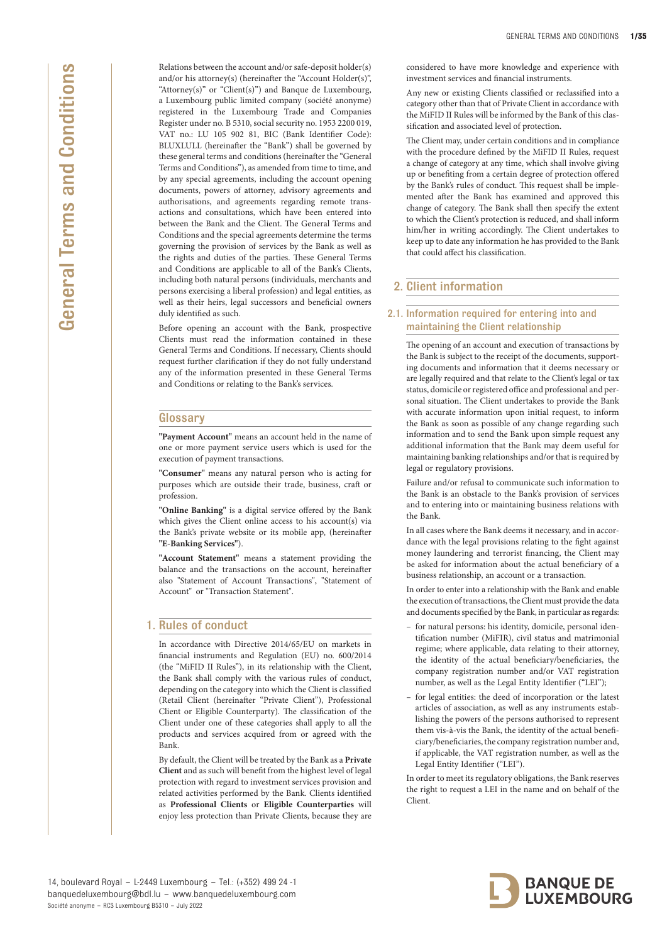Relations between the account and/or safe-deposit holder(s) and/or his attorney(s) (hereinafter the "Account Holder(s)", "Attorney(s)" or "Client(s)") and Banque de Luxembourg, a Luxembourg public limited company (société anonyme) registered in the Luxembourg Trade and Companies Register under no. B 5310, social security no. 1953 2200 019, VAT no.: LU 105 902 81, BIC (Bank Identifier Code): BLUXLULL (hereinafter the "Bank") shall be governed by these general terms and conditions (hereinafter the "General Terms and Conditions"), as amended from time to time, and by any special agreements, including the account opening documents, powers of attorney, advisory agreements and authorisations, and agreements regarding remote transactions and consultations, which have been entered into between the Bank and the Client. The General Terms and Conditions and the special agreements determine the terms governing the provision of services by the Bank as well as the rights and duties of the parties. These General Terms and Conditions are applicable to all of the Bank's Clients, including both natural persons (individuals, merchants and persons exercising a liberal profession) and legal entities, as well as their heirs, legal successors and beneficial owners duly identified as such.

Before opening an account with the Bank, prospective Clients must read the information contained in these General Terms and Conditions. If necessary, Clients should request further clarification if they do not fully understand any of the information presented in these General Terms and Conditions or relating to the Bank's services.

## **Glossary**

**"Payment Account"** means an account held in the name of one or more payment service users which is used for the execution of payment transactions.

**"Consumer"** means any natural person who is acting for purposes which are outside their trade, business, craft or profession.

**"Online Banking"** is a digital service offered by the Bank which gives the Client online access to his account(s) via the Bank's private website or its mobile app, (hereinafter **"E-Banking Services"**).

**"Account Statement"** means a statement providing the balance and the transactions on the account, hereinafter also "Statement of Account Transactions", "Statement of Account" or "Transaction Statement".

## 1. Rules of conduct

In accordance with Directive 2014/65/EU on markets in financial instruments and Regulation (EU) no. 600/2014 (the "MiFID II Rules"), in its relationship with the Client, the Bank shall comply with the various rules of conduct, depending on the category into which the Client is classified (Retail Client (hereinafter "Private Client"), Professional Client or Eligible Counterparty). The classification of the Client under one of these categories shall apply to all the products and services acquired from or agreed with the Bank.

By default, the Client will be treated by the Bank as a **Private Client** and as such will benefit from the highest level of legal protection with regard to investment services provision and related activities performed by the Bank. Clients identified as **Professional Clients** or **Eligible Counterparties** will enjoy less protection than Private Clients, because they are

considered to have more knowledge and experience with investment services and financial instruments.

Any new or existing Clients classified or reclassified into a category other than that of Private Client in accordance with the MiFID II Rules will be informed by the Bank of this classification and associated level of protection.

The Client may, under certain conditions and in compliance with the procedure defined by the MiFID II Rules, request a change of category at any time, which shall involve giving up or benefiting from a certain degree of protection offered by the Bank's rules of conduct. This request shall be implemented after the Bank has examined and approved this change of category. The Bank shall then specify the extent to which the Client's protection is reduced, and shall inform him/her in writing accordingly. The Client undertakes to keep up to date any information he has provided to the Bank that could affect his classification.

# 2. Client information

## 2.1. Information required for entering into and maintaining the Client relationship

The opening of an account and execution of transactions by the Bank is subject to the receipt of the documents, supporting documents and information that it deems necessary or are legally required and that relate to the Client's legal or tax status, domicile or registered office and professional and personal situation. The Client undertakes to provide the Bank with accurate information upon initial request, to inform the Bank as soon as possible of any change regarding such information and to send the Bank upon simple request any additional information that the Bank may deem useful for maintaining banking relationships and/or that is required by legal or regulatory provisions.

Failure and/or refusal to communicate such information to the Bank is an obstacle to the Bank's provision of services and to entering into or maintaining business relations with the Bank.

In all cases where the Bank deems it necessary, and in accordance with the legal provisions relating to the fight against money laundering and terrorist financing, the Client may be asked for information about the actual beneficiary of a business relationship, an account or a transaction.

In order to enter into a relationship with the Bank and enable the execution of transactions, the Client must provide the data and documents specified by the Bank, in particular as regards:

- for natural persons: his identity, domicile, personal identification number (MiFIR), civil status and matrimonial regime; where applicable, data relating to their attorney, the identity of the actual beneficiary/beneficiaries, the company registration number and/or VAT registration number, as well as the Legal Entity Identifier ("LEI");
- for legal entities: the deed of incorporation or the latest articles of association, as well as any instruments establishing the powers of the persons authorised to represent them vis-à-vis the Bank, the identity of the actual beneficiary/beneficiaries, the company registration number and, if applicable, the VAT registration number, as well as the Legal Entity Identifier ("LEI").

In order to meet its regulatory obligations, the Bank reserves the right to request a LEI in the name and on behalf of the Client.

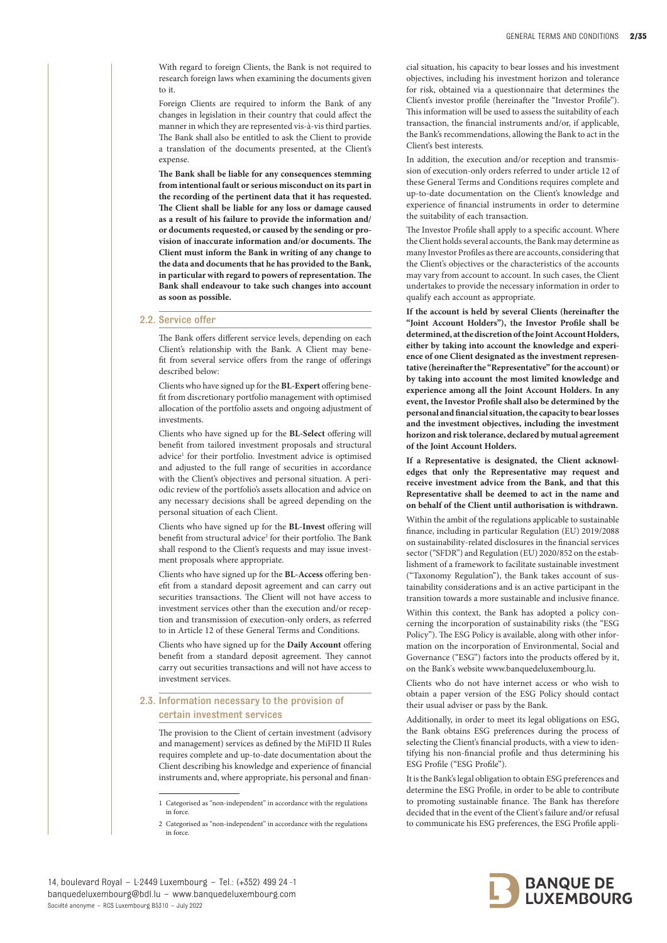With regard to foreign Clients, the Bank is not required to research foreign laws when examining the documents given to it.

Foreign Clients are required to inform the Bank of any changes in legislation in their country that could affect the manner in which they are represented vis-à-vis third parties. The Bank shall also be entitled to ask the Client to provide a translation of the documents presented, at the Client's expense.

**The Bank shall be liable for any consequences stemming from intentional fault or serious misconduct on its part in the recording of the pertinent data that it has requested. The Client shall be liable for any loss or damage caused as a result of his failure to provide the information and/ or documents requested, or caused by the sending or provision of inaccurate information and/or documents. The Client must inform the Bank in writing of any change to the data and documents that he has provided to the Bank, in particular with regard to powers of representation. The Bank shall endeavour to take such changes into account as soon as possible.** 

#### 2.2. Service offer

The Bank offers different service levels, depending on each Client's relationship with the Bank. A Client may benefit from several service offers from the range of offerings described below:

Clients who have signed up for the **BL-Expert** offering benefit from discretionary portfolio management with optimised allocation of the portfolio assets and ongoing adjustment of investments.

Clients who have signed up for the **BL-Select** offering will benefit from tailored investment proposals and structural advice<sup>1</sup> for their portfolio. Investment advice is optimised and adjusted to the full range of securities in accordance with the Client's objectives and personal situation. A periodic review of the portfolio's assets allocation and advice on any necessary decisions shall be agreed depending on the personal situation of each Client.

Clients who have signed up for the **BL-Invest** offering will benefit from structural advice<sup>2</sup> for their portfolio. The Bank shall respond to the Client's requests and may issue investment proposals where appropriate.

Clients who have signed up for the **BL-Access** offering benefit from a standard deposit agreement and can carry out securities transactions. The Client will not have access to investment services other than the execution and/or reception and transmission of execution-only orders, as referred to in Article 12 of these General Terms and Conditions.

Clients who have signed up for the **Daily Account** offering benefit from a standard deposit agreement. They cannot carry out securities transactions and will not have access to investment services.

#### 2.3. Information necessary to the provision of certain investment services

The provision to the Client of certain investment (advisory and management) services as defined by the MiFID II Rules requires complete and up-to-date documentation about the Client describing his knowledge and experience of financial instruments and, where appropriate, his personal and finan-

1 Categorised as "non-independent" in accordance with the regulations in force.

2 Categorised as "non-independent" in accordance with the regulations in force.

cial situation, his capacity to bear losses and his investment objectives, including his investment horizon and tolerance for risk, obtained via a questionnaire that determines the Client's investor profile (hereinafter the "Investor Profile"). This information will be used to assess the suitability of each transaction, the financial instruments and/or, if applicable, the Bank's recommendations, allowing the Bank to act in the Client's best interests.

In addition, the execution and/or reception and transmission of execution-only orders referred to under article 12 of these General Terms and Conditions requires complete and up-to-date documentation on the Client's knowledge and experience of financial instruments in order to determine the suitability of each transaction.

The Investor Profile shall apply to a specific account. Where the Client holds several accounts, the Bank may determine as many Investor Profiles as there are accounts, considering that the Client's objectives or the characteristics of the accounts may vary from account to account. In such cases, the Client undertakes to provide the necessary information in order to qualify each account as appropriate.

**If the account is held by several Clients (hereinafter the "Joint Account Holders"), the Investor Profile shall be determined, at the discretion of the Joint Account Holders, either by taking into account the knowledge and experience of one Client designated as the investment representative (hereinafter the "Representative" for the account) or by taking into account the most limited knowledge and experience among all the Joint Account Holders. In any event, the Investor Profile shall also be determined by the personal and financial situation, the capacity to bear losses and the investment objectives, including the investment horizon and risk tolerance, declared by mutual agreement of the Joint Account Holders.**

**If a Representative is designated, the Client acknowledges that only the Representative may request and receive investment advice from the Bank, and that this Representative shall be deemed to act in the name and on behalf of the Client until authorisation is withdrawn.**

Within the ambit of the regulations applicable to sustainable finance, including in particular Regulation (EU) 2019/2088 on sustainability-related disclosures in the financial services sector ("SFDR") and Regulation (EU) 2020/852 on the establishment of a framework to facilitate sustainable investment ("Taxonomy Regulation"), the Bank takes account of sustainability considerations and is an active participant in the transition towards a more sustainable and inclusive finance.

Within this context, the Bank has adopted a policy concerning the incorporation of sustainability risks (the "ESG Policy"). The ESG Policy is available, along with other information on the incorporation of Environmental, Social and Governance ("ESG") factors into the products offered by it, on the Bank's website www.banquedeluxembourg.lu.

Clients who do not have internet access or who wish to obtain a paper version of the ESG Policy should contact their usual adviser or pass by the Bank.

Additionally, in order to meet its legal obligations on ESG, the Bank obtains ESG preferences during the process of selecting the Client's financial products, with a view to identifying his non-financial profile and thus determining his ESG Profile ("ESG Profile").

It is the Bank's legal obligation to obtain ESG preferences and determine the ESG Profile, in order to be able to contribute to promoting sustainable finance. The Bank has therefore decided that in the event of the Client's failure and/or refusal to communicate his ESG preferences, the ESG Profile appli-

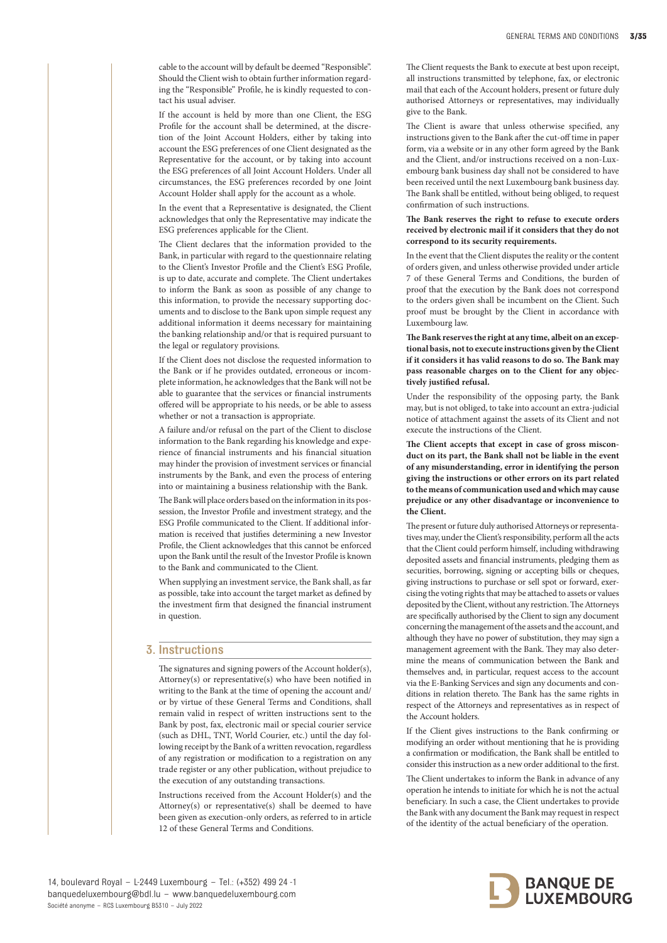cable to the account will by default be deemed "Responsible". Should the Client wish to obtain further information regarding the "Responsible" Profile, he is kindly requested to contact his usual adviser.

If the account is held by more than one Client, the ESG Profile for the account shall be determined, at the discretion of the Joint Account Holders, either by taking into account the ESG preferences of one Client designated as the Representative for the account, or by taking into account the ESG preferences of all Joint Account Holders. Under all circumstances, the ESG preferences recorded by one Joint Account Holder shall apply for the account as a whole.

In the event that a Representative is designated, the Client acknowledges that only the Representative may indicate the ESG preferences applicable for the Client.

The Client declares that the information provided to the Bank, in particular with regard to the questionnaire relating to the Client's Investor Profile and the Client's ESG Profile, is up to date, accurate and complete. The Client undertakes to inform the Bank as soon as possible of any change to this information, to provide the necessary supporting documents and to disclose to the Bank upon simple request any additional information it deems necessary for maintaining the banking relationship and/or that is required pursuant to the legal or regulatory provisions.

If the Client does not disclose the requested information to the Bank or if he provides outdated, erroneous or incomplete information, he acknowledges that the Bank will not be able to guarantee that the services or financial instruments offered will be appropriate to his needs, or be able to assess whether or not a transaction is appropriate.

A failure and/or refusal on the part of the Client to disclose information to the Bank regarding his knowledge and experience of financial instruments and his financial situation may hinder the provision of investment services or financial instruments by the Bank, and even the process of entering into or maintaining a business relationship with the Bank.

The Bank will place orders based on the information in its possession, the Investor Profile and investment strategy, and the ESG Profile communicated to the Client. If additional information is received that justifies determining a new Investor Profile, the Client acknowledges that this cannot be enforced upon the Bank until the result of the Investor Profile is known to the Bank and communicated to the Client.

When supplying an investment service, the Bank shall, as far as possible, take into account the target market as defined by the investment firm that designed the financial instrument in question.

#### 3. Instructions

The signatures and signing powers of the Account holder(s), Attorney(s) or representative(s) who have been notified in writing to the Bank at the time of opening the account and/ or by virtue of these General Terms and Conditions, shall remain valid in respect of written instructions sent to the Bank by post, fax, electronic mail or special courier service (such as DHL, TNT, World Courier, etc.) until the day following receipt by the Bank of a written revocation, regardless of any registration or modification to a registration on any trade register or any other publication, without prejudice to the execution of any outstanding transactions.

Instructions received from the Account Holder(s) and the Attorney(s) or representative(s) shall be deemed to have been given as execution-only orders, as referred to in article 12 of these General Terms and Conditions.

The Client requests the Bank to execute at best upon receipt, all instructions transmitted by telephone, fax, or electronic mail that each of the Account holders, present or future duly authorised Attorneys or representatives, may individually give to the Bank.

The Client is aware that unless otherwise specified, any instructions given to the Bank after the cut-off time in paper form, via a website or in any other form agreed by the Bank and the Client, and/or instructions received on a non-Luxembourg bank business day shall not be considered to have been received until the next Luxembourg bank business day. The Bank shall be entitled, without being obliged, to request confirmation of such instructions.

#### **The Bank reserves the right to refuse to execute orders received by electronic mail if it considers that they do not correspond to its security requirements.**

In the event that the Client disputes the reality or the content of orders given, and unless otherwise provided under article 7 of these General Terms and Conditions, the burden of proof that the execution by the Bank does not correspond to the orders given shall be incumbent on the Client. Such proof must be brought by the Client in accordance with Luxembourg law.

**The Bank reserves the right at any time, albeit on an exceptional basis, not to execute instructions given by the Client if it considers it has valid reasons to do so. The Bank may pass reasonable charges on to the Client for any objectively justified refusal.** 

Under the responsibility of the opposing party, the Bank may, but is not obliged, to take into account an extra-judicial notice of attachment against the assets of its Client and not execute the instructions of the Client.

**The Client accepts that except in case of gross misconduct on its part, the Bank shall not be liable in the event of any misunderstanding, error in identifying the person giving the instructions or other errors on its part related to the means of communication used and which may cause prejudice or any other disadvantage or inconvenience to the Client.** 

The present or future duly authorised Attorneys or representatives may, under the Client's responsibility, perform all the acts that the Client could perform himself, including withdrawing deposited assets and financial instruments, pledging them as securities, borrowing, signing or accepting bills or cheques, giving instructions to purchase or sell spot or forward, exercising the voting rights that may be attached to assets or values deposited by the Client, without any restriction. The Attorneys are specifically authorised by the Client to sign any document concerning the management of the assets and the account, and although they have no power of substitution, they may sign a management agreement with the Bank. They may also determine the means of communication between the Bank and themselves and, in particular, request access to the account via the E-Banking Services and sign any documents and conditions in relation thereto. The Bank has the same rights in respect of the Attorneys and representatives as in respect of the Account holders.

If the Client gives instructions to the Bank confirming or modifying an order without mentioning that he is providing a confirmation or modification, the Bank shall be entitled to consider this instruction as a new order additional to the first.

The Client undertakes to inform the Bank in advance of any operation he intends to initiate for which he is not the actual beneficiary. In such a case, the Client undertakes to provide the Bank with any document the Bank may request in respect of the identity of the actual beneficiary of the operation.

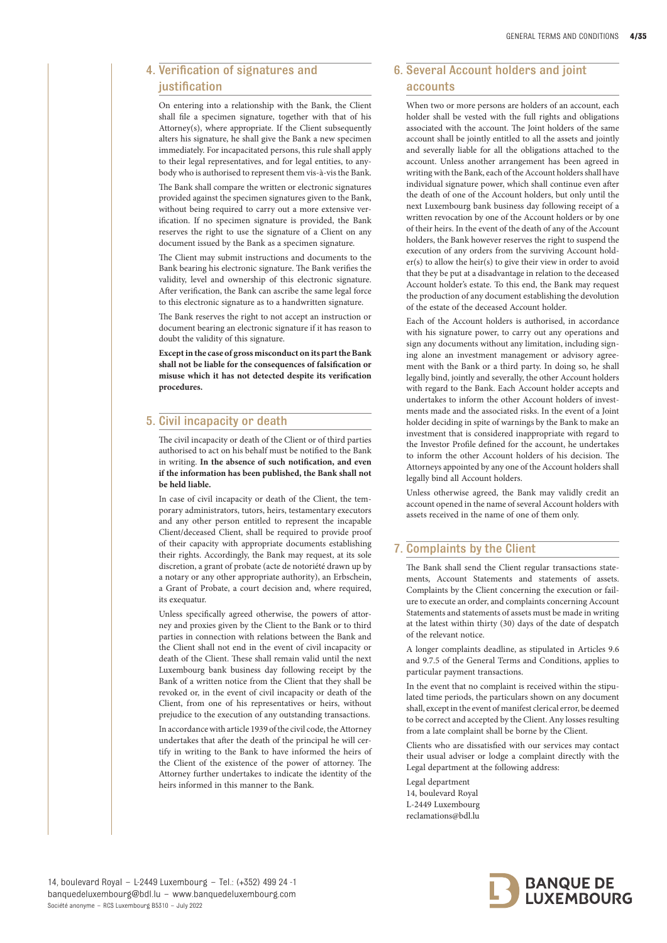# 4. Verification of signatures and iustification

On entering into a relationship with the Bank, the Client shall file a specimen signature, together with that of his Attorney(s), where appropriate. If the Client subsequently alters his signature, he shall give the Bank a new specimen immediately. For incapacitated persons, this rule shall apply to their legal representatives, and for legal entities, to anybody who is authorised to represent them vis-à-vis the Bank.

The Bank shall compare the written or electronic signatures provided against the specimen signatures given to the Bank, without being required to carry out a more extensive verification. If no specimen signature is provided, the Bank reserves the right to use the signature of a Client on any document issued by the Bank as a specimen signature.

The Client may submit instructions and documents to the Bank bearing his electronic signature. The Bank verifies the validity, level and ownership of this electronic signature. After verification, the Bank can ascribe the same legal force to this electronic signature as to a handwritten signature.

The Bank reserves the right to not accept an instruction or document bearing an electronic signature if it has reason to doubt the validity of this signature.

**Except in the case of gross misconduct on its part the Bank shall not be liable for the consequences of falsification or misuse which it has not detected despite its verification procedures.** 

# 5. Civil incapacity or death

The civil incapacity or death of the Client or of third parties authorised to act on his behalf must be notified to the Bank in writing. **In the absence of such notification, and even if the information has been published, the Bank shall not be held liable.**

In case of civil incapacity or death of the Client, the temporary administrators, tutors, heirs, testamentary executors and any other person entitled to represent the incapable Client/deceased Client, shall be required to provide proof of their capacity with appropriate documents establishing their rights. Accordingly, the Bank may request, at its sole discretion, a grant of probate (acte de notoriété drawn up by a notary or any other appropriate authority), an Erbschein, a Grant of Probate, a court decision and, where required, its exequatur.

Unless specifically agreed otherwise, the powers of attorney and proxies given by the Client to the Bank or to third parties in connection with relations between the Bank and the Client shall not end in the event of civil incapacity or death of the Client. These shall remain valid until the next Luxembourg bank business day following receipt by the Bank of a written notice from the Client that they shall be revoked or, in the event of civil incapacity or death of the Client, from one of his representatives or heirs, without prejudice to the execution of any outstanding transactions.

In accordance with article 1939 of the civil code, the Attorney undertakes that after the death of the principal he will certify in writing to the Bank to have informed the heirs of the Client of the existence of the power of attorney. The Attorney further undertakes to indicate the identity of the heirs informed in this manner to the Bank.

# 6. Several Account holders and joint accounts

When two or more persons are holders of an account, each holder shall be vested with the full rights and obligations associated with the account. The Joint holders of the same account shall be jointly entitled to all the assets and jointly and severally liable for all the obligations attached to the account. Unless another arrangement has been agreed in writing with the Bank, each of the Account holders shall have individual signature power, which shall continue even after the death of one of the Account holders, but only until the next Luxembourg bank business day following receipt of a written revocation by one of the Account holders or by one of their heirs. In the event of the death of any of the Account holders, the Bank however reserves the right to suspend the execution of any orders from the surviving Account holder(s) to allow the heir(s) to give their view in order to avoid that they be put at a disadvantage in relation to the deceased Account holder's estate. To this end, the Bank may request the production of any document establishing the devolution of the estate of the deceased Account holder.

Each of the Account holders is authorised, in accordance with his signature power, to carry out any operations and sign any documents without any limitation, including signing alone an investment management or advisory agreement with the Bank or a third party. In doing so, he shall legally bind, jointly and severally, the other Account holders with regard to the Bank. Each Account holder accepts and undertakes to inform the other Account holders of investments made and the associated risks. In the event of a Joint holder deciding in spite of warnings by the Bank to make an investment that is considered inappropriate with regard to the Investor Profile defined for the account, he undertakes to inform the other Account holders of his decision. The Attorneys appointed by any one of the Account holders shall legally bind all Account holders.

Unless otherwise agreed, the Bank may validly credit an account opened in the name of several Account holders with assets received in the name of one of them only.

# 7. Complaints by the Client

The Bank shall send the Client regular transactions statements, Account Statements and statements of assets. Complaints by the Client concerning the execution or failure to execute an order, and complaints concerning Account Statements and statements of assets must be made in writing at the latest within thirty (30) days of the date of despatch of the relevant notice.

A longer complaints deadline, as stipulated in Articles 9.6 and 9.7.5 of the General Terms and Conditions, applies to particular payment transactions.

In the event that no complaint is received within the stipulated time periods, the particulars shown on any document shall, except in the event of manifest clerical error, be deemed to be correct and accepted by the Client. Any losses resulting from a late complaint shall be borne by the Client.

Clients who are dissatisfied with our services may contact their usual adviser or lodge a complaint directly with the Legal department at the following address:

Legal department 14, boulevard Royal L-2449 Luxembourg reclamations@bdl.lu

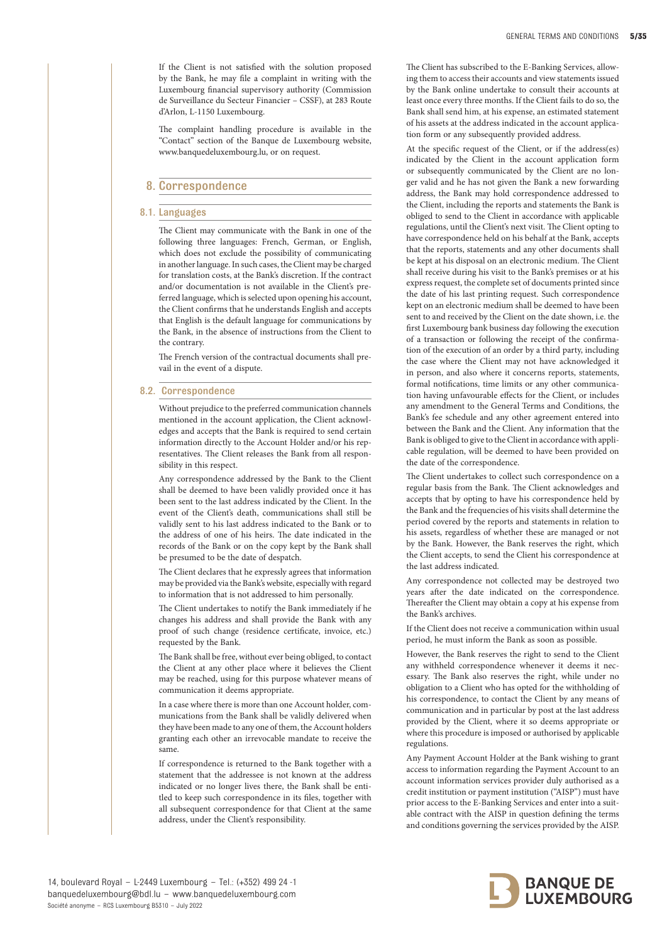If the Client is not satisfied with the solution proposed by the Bank, he may file a complaint in writing with the Luxembourg financial supervisory authority (Commission de Surveillance du Secteur Financier – CSSF), at 283 Route d'Arlon, L-1150 Luxembourg.

The complaint handling procedure is available in the "Contact" section of the Banque de Luxembourg website, www.banquedeluxembourg.lu, or on request.

# 8. Correspondence

#### 8.1. Languages

The Client may communicate with the Bank in one of the following three languages: French, German, or English, which does not exclude the possibility of communicating in another language. In such cases, the Client may be charged for translation costs, at the Bank's discretion. If the contract and/or documentation is not available in the Client's preferred language, which is selected upon opening his account, the Client confirms that he understands English and accepts that English is the default language for communications by the Bank, in the absence of instructions from the Client to the contrary.

The French version of the contractual documents shall prevail in the event of a dispute.

#### 8.2. Correspondence

Without prejudice to the preferred communication channels mentioned in the account application, the Client acknowledges and accepts that the Bank is required to send certain information directly to the Account Holder and/or his representatives. The Client releases the Bank from all responsibility in this respect.

Any correspondence addressed by the Bank to the Client shall be deemed to have been validly provided once it has been sent to the last address indicated by the Client. In the event of the Client's death, communications shall still be validly sent to his last address indicated to the Bank or to the address of one of his heirs. The date indicated in the records of the Bank or on the copy kept by the Bank shall be presumed to be the date of despatch.

The Client declares that he expressly agrees that information may be provided via the Bank's website, especially with regard to information that is not addressed to him personally.

The Client undertakes to notify the Bank immediately if he changes his address and shall provide the Bank with any proof of such change (residence certificate, invoice, etc.) requested by the Bank.

The Bank shall be free, without ever being obliged, to contact the Client at any other place where it believes the Client may be reached, using for this purpose whatever means of communication it deems appropriate.

In a case where there is more than one Account holder, communications from the Bank shall be validly delivered when they have been made to any one of them, the Account holders granting each other an irrevocable mandate to receive the same.

If correspondence is returned to the Bank together with a statement that the addressee is not known at the address indicated or no longer lives there, the Bank shall be entitled to keep such correspondence in its files, together with all subsequent correspondence for that Client at the same address, under the Client's responsibility.

The Client has subscribed to the E-Banking Services, allowing them to access their accounts and view statements issued by the Bank online undertake to consult their accounts at least once every three months. If the Client fails to do so, the Bank shall send him, at his expense, an estimated statement of his assets at the address indicated in the account application form or any subsequently provided address.

At the specific request of the Client, or if the address(es) indicated by the Client in the account application form or subsequently communicated by the Client are no longer valid and he has not given the Bank a new forwarding address, the Bank may hold correspondence addressed to the Client, including the reports and statements the Bank is obliged to send to the Client in accordance with applicable regulations, until the Client's next visit. The Client opting to have correspondence held on his behalf at the Bank, accepts that the reports, statements and any other documents shall be kept at his disposal on an electronic medium. The Client shall receive during his visit to the Bank's premises or at his express request, the complete set of documents printed since the date of his last printing request. Such correspondence kept on an electronic medium shall be deemed to have been sent to and received by the Client on the date shown, i.e. the first Luxembourg bank business day following the execution of a transaction or following the receipt of the confirmation of the execution of an order by a third party, including the case where the Client may not have acknowledged it in person, and also where it concerns reports, statements, formal notifications, time limits or any other communication having unfavourable effects for the Client, or includes any amendment to the General Terms and Conditions, the Bank's fee schedule and any other agreement entered into between the Bank and the Client. Any information that the Bank is obliged to give to the Client in accordance with applicable regulation, will be deemed to have been provided on the date of the correspondence.

The Client undertakes to collect such correspondence on a regular basis from the Bank. The Client acknowledges and accepts that by opting to have his correspondence held by the Bank and the frequencies of his visits shall determine the period covered by the reports and statements in relation to his assets, regardless of whether these are managed or not by the Bank. However, the Bank reserves the right, which the Client accepts, to send the Client his correspondence at the last address indicated.

Any correspondence not collected may be destroyed two years after the date indicated on the correspondence. Thereafter the Client may obtain a copy at his expense from the Bank's archives.

If the Client does not receive a communication within usual period, he must inform the Bank as soon as possible.

However, the Bank reserves the right to send to the Client any withheld correspondence whenever it deems it necessary. The Bank also reserves the right, while under no obligation to a Client who has opted for the withholding of his correspondence, to contact the Client by any means of communication and in particular by post at the last address provided by the Client, where it so deems appropriate or where this procedure is imposed or authorised by applicable regulations.

Any Payment Account Holder at the Bank wishing to grant access to information regarding the Payment Account to an account information services provider duly authorised as a credit institution or payment institution ("AISP") must have prior access to the E-Banking Services and enter into a suitable contract with the AISP in question defining the terms and conditions governing the services provided by the AISP.

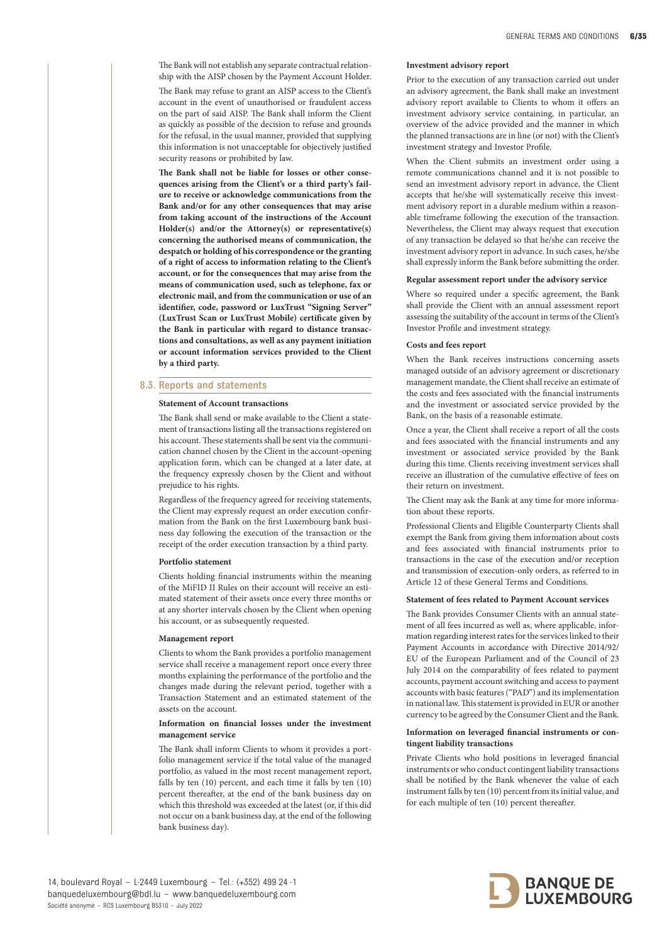The Bank will not establish any separate contractual relationship with the AISP chosen by the Payment Account Holder.

The Bank may refuse to grant an AISP access to the Client's account in the event of unauthorised or fraudulent access on the part of said AISP. The Bank shall inform the Client as quickly as possible of the decision to refuse and grounds for the refusal, in the usual manner, provided that supplying this information is not unacceptable for objectively justified security reasons or prohibited by law.

**The Bank shall not be liable for losses or other consequences arising from the Client's or a third party's failure to receive or acknowledge communications from the Bank and/or for any other consequences that may arise from taking account of the instructions of the Account Holder(s) and/or the Attorney(s) or representative(s) concerning the authorised means of communication, the despatch or holding of his correspondence or the granting of a right of access to information relating to the Client's account, or for the consequences that may arise from the means of communication used, such as telephone, fax or electronic mail, and from the communication or use of an identifier, code, password or LuxTrust "Signing Server" (LuxTrust Scan or LuxTrust Mobile) certificate given by the Bank in particular with regard to distance transactions and consultations, as well as any payment initiation or account information services provided to the Client by a third party.**

#### 8.3. Reports and statements

#### **Statement of Account transactions**

The Bank shall send or make available to the Client a statement of transactions listing all the transactions registered on his account. These statements shall be sent via the communication channel chosen by the Client in the account-opening application form, which can be changed at a later date, at the frequency expressly chosen by the Client and without prejudice to his rights.

Regardless of the frequency agreed for receiving statements, the Client may expressly request an order execution confirmation from the Bank on the first Luxembourg bank business day following the execution of the transaction or the receipt of the order execution transaction by a third party.

#### **Portfolio statement**

Clients holding financial instruments within the meaning of the MiFID II Rules on their account will receive an estimated statement of their assets once every three months or at any shorter intervals chosen by the Client when opening his account, or as subsequently requested.

#### **Management report**

Clients to whom the Bank provides a portfolio management service shall receive a management report once every three months explaining the performance of the portfolio and the changes made during the relevant period, together with a Transaction Statement and an estimated statement of the assets on the account.

#### **Information on financial losses under the investment management service**

The Bank shall inform Clients to whom it provides a portfolio management service if the total value of the managed portfolio, as valued in the most recent management report, falls by ten (10) percent, and each time it falls by ten (10) percent thereafter, at the end of the bank business day on which this threshold was exceeded at the latest (or, if this did not occur on a bank business day, at the end of the following bank business day).

#### **Investment advisory report**

Prior to the execution of any transaction carried out under an advisory agreement, the Bank shall make an investment advisory report available to Clients to whom it offers an investment advisory service containing, in particular, an overview of the advice provided and the manner in which the planned transactions are in line (or not) with the Client's investment strategy and Investor Profile.

When the Client submits an investment order using a remote communications channel and it is not possible to send an investment advisory report in advance, the Client accepts that he/she will systematically receive this investment advisory report in a durable medium within a reasonable timeframe following the execution of the transaction. Nevertheless, the Client may always request that execution of any transaction be delayed so that he/she can receive the investment advisory report in advance. In such cases, he/she shall expressly inform the Bank before submitting the order.

## **Regular assessment report under the advisory service**

Where so required under a specific agreement, the Bank shall provide the Client with an annual assessment report assessing the suitability of the account in terms of the Client's Investor Profile and investment strategy.

#### **Costs and fees report**

When the Bank receives instructions concerning assets managed outside of an advisory agreement or discretionary management mandate, the Client shall receive an estimate of the costs and fees associated with the financial instruments and the investment or associated service provided by the Bank, on the basis of a reasonable estimate.

Once a year, the Client shall receive a report of all the costs and fees associated with the financial instruments and any investment or associated service provided by the Bank during this time. Clients receiving investment services shall receive an illustration of the cumulative effective of fees on their return on investment.

The Client may ask the Bank at any time for more information about these reports.

Professional Clients and Eligible Counterparty Clients shall exempt the Bank from giving them information about costs and fees associated with financial instruments prior to transactions in the case of the execution and/or reception and transmission of execution-only orders, as referred to in Article 12 of these General Terms and Conditions.

#### **Statement of fees related to Payment Account services**

The Bank provides Consumer Clients with an annual statement of all fees incurred as well as, where applicable, information regarding interest rates for the services linked to their Payment Accounts in accordance with Directive 2014/92/ EU of the European Parliament and of the Council of 23 July 2014 on the comparability of fees related to payment accounts, payment account switching and access to payment accounts with basic features ("PAD") and its implementation in national law. This statement is provided in EUR or another currency to be agreed by the Consumer Client and the Bank.

#### **Information on leveraged financial instruments or contingent liability transactions**

Private Clients who hold positions in leveraged financial instruments or who conduct contingent liability transactions shall be notified by the Bank whenever the value of each instrument falls by ten (10) percent from its initial value, and for each multiple of ten (10) percent thereafter.

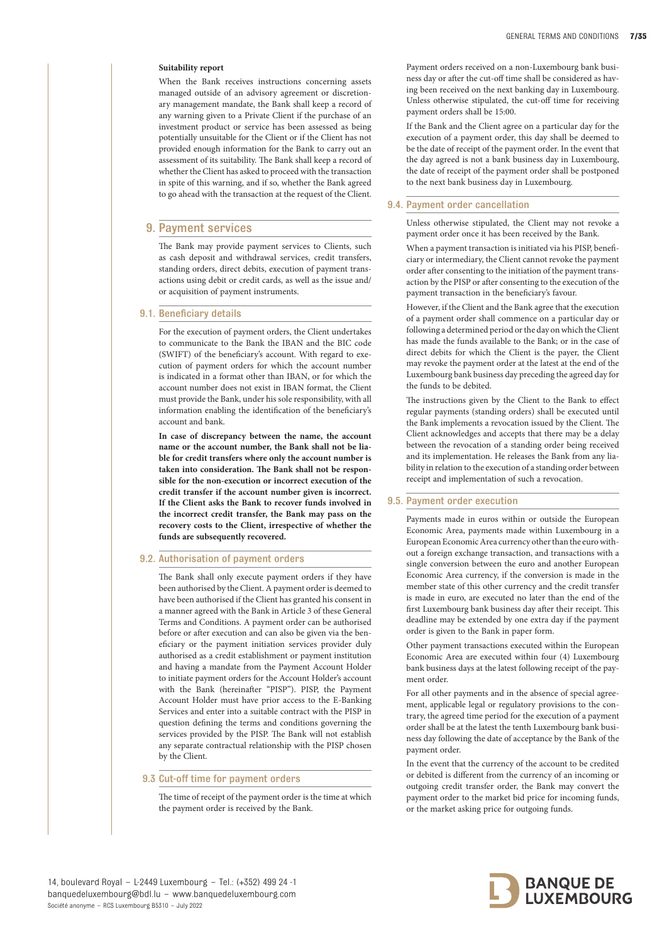#### **Suitability report**

When the Bank receives instructions concerning assets managed outside of an advisory agreement or discretionary management mandate, the Bank shall keep a record of any warning given to a Private Client if the purchase of an investment product or service has been assessed as being potentially unsuitable for the Client or if the Client has not provided enough information for the Bank to carry out an assessment of its suitability. The Bank shall keep a record of whether the Client has asked to proceed with the transaction in spite of this warning, and if so, whether the Bank agreed to go ahead with the transaction at the request of the Client.

## 9. Payment services

The Bank may provide payment services to Clients, such as cash deposit and withdrawal services, credit transfers, standing orders, direct debits, execution of payment transactions using debit or credit cards, as well as the issue and/ or acquisition of payment instruments.

#### 9.1. Beneficiary details

For the execution of payment orders, the Client undertakes to communicate to the Bank the IBAN and the BIC code (SWIFT) of the beneficiary's account. With regard to execution of payment orders for which the account number is indicated in a format other than IBAN, or for which the account number does not exist in IBAN format, the Client must provide the Bank, under his sole responsibility, with all information enabling the identification of the beneficiary's account and bank.

**In case of discrepancy between the name, the account name or the account number, the Bank shall not be liable for credit transfers where only the account number is taken into consideration. The Bank shall not be responsible for the non-execution or incorrect execution of the credit transfer if the account number given is incorrect. If the Client asks the Bank to recover funds involved in the incorrect credit transfer, the Bank may pass on the recovery costs to the Client, irrespective of whether the funds are subsequently recovered.**

#### 9.2. Authorisation of payment orders

The Bank shall only execute payment orders if they have been authorised by the Client. A payment order is deemed to have been authorised if the Client has granted his consent in a manner agreed with the Bank in Article 3 of these General Terms and Conditions. A payment order can be authorised before or after execution and can also be given via the beneficiary or the payment initiation services provider duly authorised as a credit establishment or payment institution and having a mandate from the Payment Account Holder to initiate payment orders for the Account Holder's account with the Bank (hereinafter "PISP"). PISP, the Payment Account Holder must have prior access to the E-Banking Services and enter into a suitable contract with the PISP in question defining the terms and conditions governing the services provided by the PISP. The Bank will not establish any separate contractual relationship with the PISP chosen by the Client.

#### 9.3 Cut-off time for payment orders

The time of receipt of the payment order is the time at which the payment order is received by the Bank.

Payment orders received on a non-Luxembourg bank business day or after the cut-off time shall be considered as having been received on the next banking day in Luxembourg. Unless otherwise stipulated, the cut-off time for receiving payment orders shall be 15:00.

If the Bank and the Client agree on a particular day for the execution of a payment order, this day shall be deemed to be the date of receipt of the payment order. In the event that the day agreed is not a bank business day in Luxembourg, the date of receipt of the payment order shall be postponed to the next bank business day in Luxembourg.

#### 9.4. Payment order cancellation

Unless otherwise stipulated, the Client may not revoke a payment order once it has been received by the Bank.

When a payment transaction is initiated via his PISP, beneficiary or intermediary, the Client cannot revoke the payment order after consenting to the initiation of the payment transaction by the PISP or after consenting to the execution of the payment transaction in the beneficiary's favour.

However, if the Client and the Bank agree that the execution of a payment order shall commence on a particular day or following a determined period or the day on which the Client has made the funds available to the Bank; or in the case of direct debits for which the Client is the payer, the Client may revoke the payment order at the latest at the end of the Luxembourg bank business day preceding the agreed day for the funds to be debited.

The instructions given by the Client to the Bank to effect regular payments (standing orders) shall be executed until the Bank implements a revocation issued by the Client. The Client acknowledges and accepts that there may be a delay between the revocation of a standing order being received and its implementation. He releases the Bank from any liability in relation to the execution of a standing order between receipt and implementation of such a revocation.

## 9.5. Payment order execution

Payments made in euros within or outside the European Economic Area, payments made within Luxembourg in a European Economic Area currency other than the euro without a foreign exchange transaction, and transactions with a single conversion between the euro and another European Economic Area currency, if the conversion is made in the member state of this other currency and the credit transfer is made in euro, are executed no later than the end of the first Luxembourg bank business day after their receipt. This deadline may be extended by one extra day if the payment order is given to the Bank in paper form.

Other payment transactions executed within the European Economic Area are executed within four (4) Luxembourg bank business days at the latest following receipt of the payment order.

For all other payments and in the absence of special agreement, applicable legal or regulatory provisions to the contrary, the agreed time period for the execution of a payment order shall be at the latest the tenth Luxembourg bank business day following the date of acceptance by the Bank of the payment order.

In the event that the currency of the account to be credited or debited is different from the currency of an incoming or outgoing credit transfer order, the Bank may convert the payment order to the market bid price for incoming funds, or the market asking price for outgoing funds.

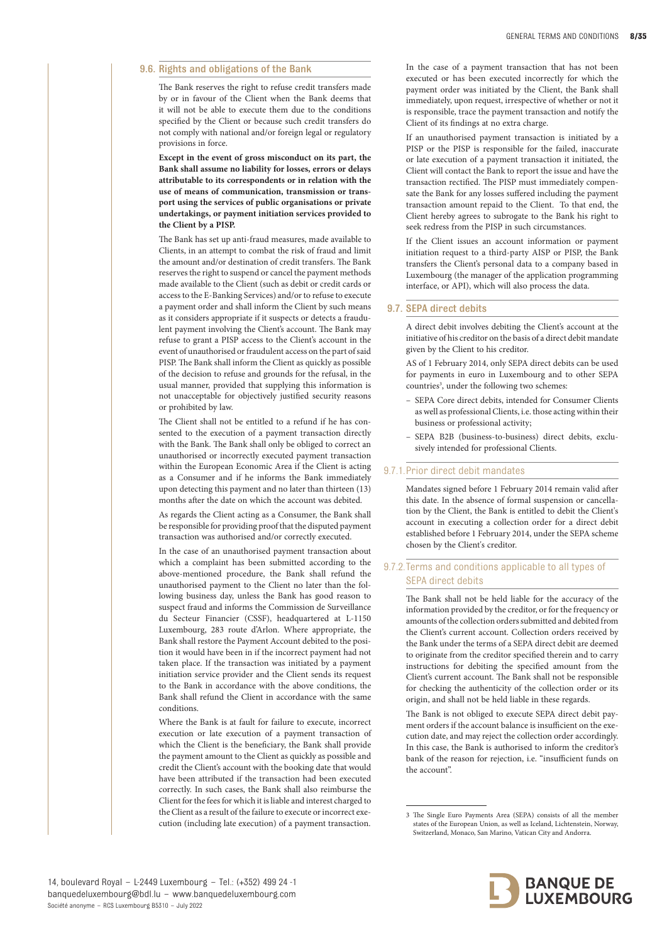#### 9.6. Rights and obligations of the Bank

The Bank reserves the right to refuse credit transfers made by or in favour of the Client when the Bank deems that it will not be able to execute them due to the conditions specified by the Client or because such credit transfers do not comply with national and/or foreign legal or regulatory provisions in force.

**Except in the event of gross misconduct on its part, the Bank shall assume no liability for losses, errors or delays attributable to its correspondents or in relation with the use of means of communication, transmission or transport using the services of public organisations or private undertakings, or payment initiation services provided to the Client by a PISP.**

The Bank has set up anti-fraud measures, made available to Clients, in an attempt to combat the risk of fraud and limit the amount and/or destination of credit transfers. The Bank reserves the right to suspend or cancel the payment methods made available to the Client (such as debit or credit cards or access to the E-Banking Services) and/or to refuse to execute a payment order and shall inform the Client by such means as it considers appropriate if it suspects or detects a fraudulent payment involving the Client's account. The Bank may refuse to grant a PISP access to the Client's account in the event of unauthorised or fraudulent access on the part of said PISP. The Bank shall inform the Client as quickly as possible of the decision to refuse and grounds for the refusal, in the usual manner, provided that supplying this information is not unacceptable for objectively justified security reasons or prohibited by law.

The Client shall not be entitled to a refund if he has consented to the execution of a payment transaction directly with the Bank. The Bank shall only be obliged to correct an unauthorised or incorrectly executed payment transaction within the European Economic Area if the Client is acting as a Consumer and if he informs the Bank immediately upon detecting this payment and no later than thirteen (13) months after the date on which the account was debited.

As regards the Client acting as a Consumer, the Bank shall be responsible for providing proof that the disputed payment transaction was authorised and/or correctly executed.

In the case of an unauthorised payment transaction about which a complaint has been submitted according to the above-mentioned procedure, the Bank shall refund the unauthorised payment to the Client no later than the following business day, unless the Bank has good reason to suspect fraud and informs the Commission de Surveillance du Secteur Financier (CSSF), headquartered at L-1150 Luxembourg, 283 route d'Arlon. Where appropriate, the Bank shall restore the Payment Account debited to the position it would have been in if the incorrect payment had not taken place. If the transaction was initiated by a payment initiation service provider and the Client sends its request to the Bank in accordance with the above conditions, the Bank shall refund the Client in accordance with the same conditions.

Where the Bank is at fault for failure to execute, incorrect execution or late execution of a payment transaction of which the Client is the beneficiary, the Bank shall provide the payment amount to the Client as quickly as possible and credit the Client's account with the booking date that would have been attributed if the transaction had been executed correctly. In such cases, the Bank shall also reimburse the Client for the fees for which it is liable and interest charged to the Client as a result of the failure to execute or incorrect execution (including late execution) of a payment transaction.

In the case of a payment transaction that has not been executed or has been executed incorrectly for which the payment order was initiated by the Client, the Bank shall immediately, upon request, irrespective of whether or not it is responsible, trace the payment transaction and notify the Client of its findings at no extra charge.

If an unauthorised payment transaction is initiated by a PISP or the PISP is responsible for the failed, inaccurate or late execution of a payment transaction it initiated, the Client will contact the Bank to report the issue and have the transaction rectified. The PISP must immediately compensate the Bank for any losses suffered including the payment transaction amount repaid to the Client. To that end, the Client hereby agrees to subrogate to the Bank his right to seek redress from the PISP in such circumstances.

If the Client issues an account information or payment initiation request to a third-party AISP or PISP, the Bank transfers the Client's personal data to a company based in Luxembourg (the manager of the application programming interface, or API), which will also process the data.

## 9.7. SEPA direct debits

A direct debit involves debiting the Client's account at the initiative of his creditor on the basis of a direct debit mandate given by the Client to his creditor.

AS of 1 February 2014, only SEPA direct debits can be used for payments in euro in Luxembourg and to other SEPA countries<sup>3</sup>, under the following two schemes:

- SEPA Core direct debits, intended for Consumer Clients as well as professional Clients, i.e. those acting within their business or professional activity;
- SEPA B2B (business-to-business) direct debits, exclusively intended for professional Clients.

#### 9.7.1.Prior direct debit mandates

Mandates signed before 1 February 2014 remain valid after this date. In the absence of formal suspension or cancellation by the Client, the Bank is entitled to debit the Client's account in executing a collection order for a direct debit established before 1 February 2014, under the SEPA scheme chosen by the Client's creditor.

## 9.7.2. Terms and conditions applicable to all types of SEPA direct debits

The Bank shall not be held liable for the accuracy of the information provided by the creditor, or for the frequency or amounts of the collection orders submitted and debited from the Client's current account. Collection orders received by the Bank under the terms of a SEPA direct debit are deemed to originate from the creditor specified therein and to carry instructions for debiting the specified amount from the Client's current account. The Bank shall not be responsible for checking the authenticity of the collection order or its origin, and shall not be held liable in these regards.

The Bank is not obliged to execute SEPA direct debit payment orders if the account balance is insufficient on the execution date, and may reject the collection order accordingly. In this case, the Bank is authorised to inform the creditor's bank of the reason for rejection, i.e. "insufficient funds on the account".

<sup>3</sup> The Single Euro Payments Area (SEPA) consists of all the member states of the European Union, as well as Iceland, Lichtenstein, Norway, Switzerland, Monaco, San Marino, Vatican City and Andorra.

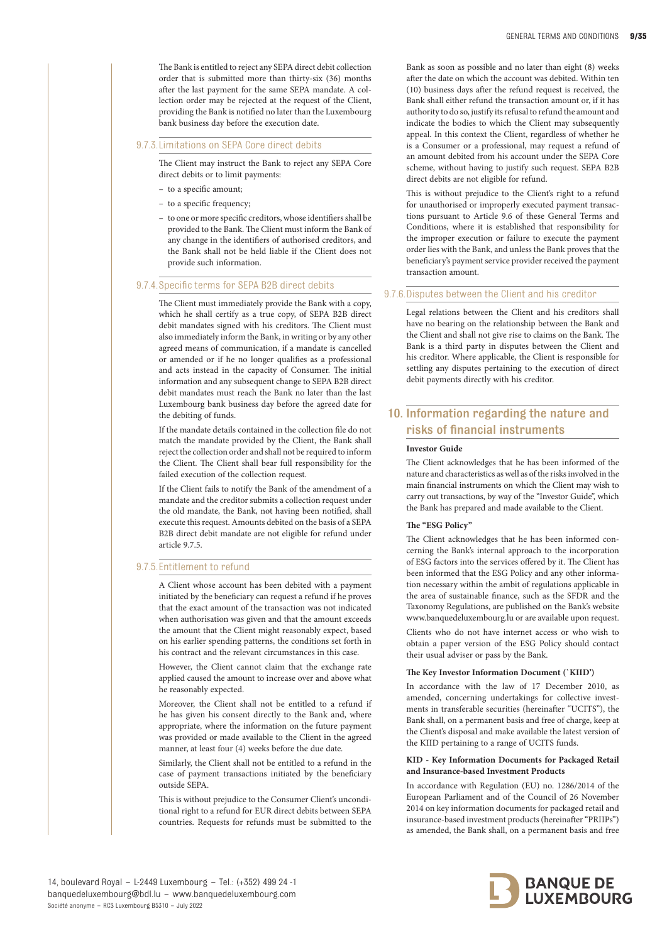The Bank is entitled to reject any SEPA direct debit collection order that is submitted more than thirty-six (36) months after the last payment for the same SEPA mandate. A collection order may be rejected at the request of the Client, providing the Bank is notified no later than the Luxembourg bank business day before the execution date.

9.7.3. Limitations on SEPA Core direct debits

The Client may instruct the Bank to reject any SEPA Core direct debits or to limit payments:

- to a specific amount;
- to a specific frequency;
- to one or more specific creditors, whose identifiers shall be provided to the Bank. The Client must inform the Bank of any change in the identifiers of authorised creditors, and the Bank shall not be held liable if the Client does not provide such information.

#### 9.7.4. Specific terms for SEPA B2B direct debits

The Client must immediately provide the Bank with a copy, which he shall certify as a true copy, of SEPA B2B direct debit mandates signed with his creditors. The Client must also immediately inform the Bank, in writing or by any other agreed means of communication, if a mandate is cancelled or amended or if he no longer qualifies as a professional and acts instead in the capacity of Consumer. The initial information and any subsequent change to SEPA B2B direct debit mandates must reach the Bank no later than the last Luxembourg bank business day before the agreed date for the debiting of funds.

If the mandate details contained in the collection file do not match the mandate provided by the Client, the Bank shall reject the collection order and shall not be required to inform the Client. The Client shall bear full responsibility for the failed execution of the collection request.

If the Client fails to notify the Bank of the amendment of a mandate and the creditor submits a collection request under the old mandate, the Bank, not having been notified, shall execute this request. Amounts debited on the basis of a SEPA B2B direct debit mandate are not eligible for refund under article 9.7.5.

#### 9.7.5.Entitlement to refund

A Client whose account has been debited with a payment initiated by the beneficiary can request a refund if he proves that the exact amount of the transaction was not indicated when authorisation was given and that the amount exceeds the amount that the Client might reasonably expect, based on his earlier spending patterns, the conditions set forth in his contract and the relevant circumstances in this case.

However, the Client cannot claim that the exchange rate applied caused the amount to increase over and above what he reasonably expected.

Moreover, the Client shall not be entitled to a refund if he has given his consent directly to the Bank and, where appropriate, where the information on the future payment was provided or made available to the Client in the agreed manner, at least four (4) weeks before the due date.

Similarly, the Client shall not be entitled to a refund in the case of payment transactions initiated by the beneficiary outside SEPA.

This is without prejudice to the Consumer Client's unconditional right to a refund for EUR direct debits between SEPA countries. Requests for refunds must be submitted to the Bank as soon as possible and no later than eight (8) weeks after the date on which the account was debited. Within ten (10) business days after the refund request is received, the Bank shall either refund the transaction amount or, if it has authority to do so, justify its refusal to refund the amount and indicate the bodies to which the Client may subsequently appeal. In this context the Client, regardless of whether he is a Consumer or a professional, may request a refund of an amount debited from his account under the SEPA Core scheme, without having to justify such request. SEPA B2B direct debits are not eligible for refund.

This is without prejudice to the Client's right to a refund for unauthorised or improperly executed payment transactions pursuant to Article 9.6 of these General Terms and Conditions, where it is established that responsibility for the improper execution or failure to execute the payment order lies with the Bank, and unless the Bank proves that the beneficiary's payment service provider received the payment transaction amount.

#### 9.7.6.Disputes between the Client and his creditor

Legal relations between the Client and his creditors shall have no bearing on the relationship between the Bank and the Client and shall not give rise to claims on the Bank. The Bank is a third party in disputes between the Client and his creditor. Where applicable, the Client is responsible for settling any disputes pertaining to the execution of direct debit payments directly with his creditor.

# 10. Information regarding the nature and risks of financial instruments

#### **Investor Guide**

The Client acknowledges that he has been informed of the nature and characteristics as well as of the risks involved in the main financial instruments on which the Client may wish to carry out transactions, by way of the "Investor Guide", which the Bank has prepared and made available to the Client.

#### **The "ESG Policy"**

The Client acknowledges that he has been informed concerning the Bank's internal approach to the incorporation of ESG factors into the services offered by it. The Client has been informed that the ESG Policy and any other information necessary within the ambit of regulations applicable in the area of sustainable finance, such as the SFDR and the Taxonomy Regulations, are published on the Bank's website www.banquedeluxembourg.lu or are available upon request.

Clients who do not have internet access or who wish to obtain a paper version of the ESG Policy should contact their usual adviser or pass by the Bank.

#### **The Key Investor Information Document (`KIID')**

In accordance with the law of 17 December 2010, as amended, concerning undertakings for collective investments in transferable securities (hereinafter "UCITS"), the Bank shall, on a permanent basis and free of charge, keep at the Client's disposal and make available the latest version of the KIID pertaining to a range of UCITS funds.

#### **KID - Key Information Documents for Packaged Retail and Insurance-based Investment Products**

In accordance with Regulation (EU) no. 1286/2014 of the European Parliament and of the Council of 26 November 2014 on key information documents for packaged retail and insurance-based investment products (hereinafter "PRIIPs") as amended, the Bank shall, on a permanent basis and free

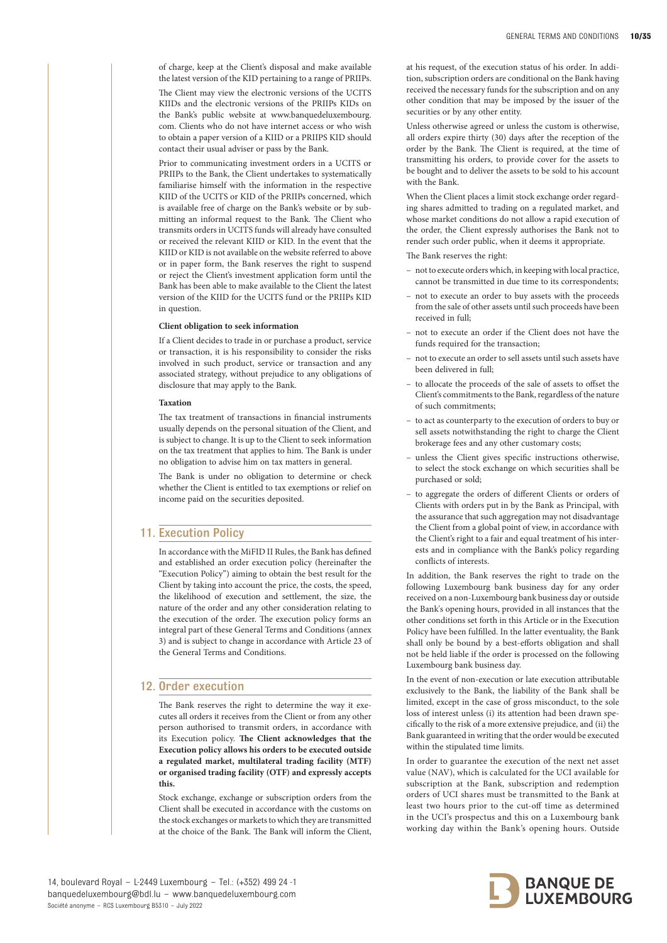of charge, keep at the Client's disposal and make available the latest version of the KID pertaining to a range of PRIIPs.

The Client may view the electronic versions of the UCITS KIIDs and the electronic versions of the PRIIPs KIDs on the Bank's public website at www.banquedeluxembourg. com. Clients who do not have internet access or who wish to obtain a paper version of a KIID or a PRIIPS KID should contact their usual adviser or pass by the Bank.

Prior to communicating investment orders in a UCITS or PRIIPs to the Bank, the Client undertakes to systematically familiarise himself with the information in the respective KIID of the UCITS or KID of the PRIIPs concerned, which is available free of charge on the Bank's website or by submitting an informal request to the Bank. The Client who transmits orders in UCITS funds will already have consulted or received the relevant KIID or KID. In the event that the KIID or KID is not available on the website referred to above or in paper form, the Bank reserves the right to suspend or reject the Client's investment application form until the Bank has been able to make available to the Client the latest version of the KIID for the UCITS fund or the PRIIPs KID in question.

#### **Client obligation to seek information**

If a Client decides to trade in or purchase a product, service or transaction, it is his responsibility to consider the risks involved in such product, service or transaction and any associated strategy, without prejudice to any obligations of disclosure that may apply to the Bank.

#### **Taxation**

The tax treatment of transactions in financial instruments usually depends on the personal situation of the Client, and is subject to change. It is up to the Client to seek information on the tax treatment that applies to him. The Bank is under no obligation to advise him on tax matters in general.

The Bank is under no obligation to determine or check whether the Client is entitled to tax exemptions or relief on income paid on the securities deposited.

# 11. Execution Policy

In accordance with the MiFID II Rules, the Bank has defined and established an order execution policy (hereinafter the "Execution Policy") aiming to obtain the best result for the Client by taking into account the price, the costs, the speed, the likelihood of execution and settlement, the size, the nature of the order and any other consideration relating to the execution of the order. The execution policy forms an integral part of these General Terms and Conditions (annex 3) and is subject to change in accordance with Article 23 of the General Terms and Conditions.

## 12. Order execution

The Bank reserves the right to determine the way it executes all orders it receives from the Client or from any other person authorised to transmit orders, in accordance with its Execution policy. **The Client acknowledges that the Execution policy allows his orders to be executed outside a regulated market, multilateral trading facility (MTF) or organised trading facility (OTF) and expressly accepts this.**

Stock exchange, exchange or subscription orders from the Client shall be executed in accordance with the customs on the stock exchanges or markets to which they are transmitted at the choice of the Bank. The Bank will inform the Client,

at his request, of the execution status of his order. In addition, subscription orders are conditional on the Bank having received the necessary funds for the subscription and on any other condition that may be imposed by the issuer of the securities or by any other entity.

Unless otherwise agreed or unless the custom is otherwise, all orders expire thirty (30) days after the reception of the order by the Bank. The Client is required, at the time of transmitting his orders, to provide cover for the assets to be bought and to deliver the assets to be sold to his account with the Bank.

When the Client places a limit stock exchange order regarding shares admitted to trading on a regulated market, and whose market conditions do not allow a rapid execution of the order, the Client expressly authorises the Bank not to render such order public, when it deems it appropriate.

The Bank reserves the right:

- not to execute orders which, in keeping with local practice, cannot be transmitted in due time to its correspondents;
- not to execute an order to buy assets with the proceeds from the sale of other assets until such proceeds have been received in full;
- not to execute an order if the Client does not have the funds required for the transaction;
- not to execute an order to sell assets until such assets have been delivered in full;
- to allocate the proceeds of the sale of assets to offset the Client's commitments to the Bank, regardless of the nature of such commitments;
- to act as counterparty to the execution of orders to buy or sell assets notwithstanding the right to charge the Client brokerage fees and any other customary costs;
- unless the Client gives specific instructions otherwise, to select the stock exchange on which securities shall be purchased or sold;
- to aggregate the orders of different Clients or orders of Clients with orders put in by the Bank as Principal, with the assurance that such aggregation may not disadvantage the Client from a global point of view, in accordance with the Client's right to a fair and equal treatment of his interests and in compliance with the Bank's policy regarding conflicts of interests.

In addition, the Bank reserves the right to trade on the following Luxembourg bank business day for any order received on a non-Luxembourg bank business day or outside the Bank's opening hours, provided in all instances that the other conditions set forth in this Article or in the Execution Policy have been fulfilled. In the latter eventuality, the Bank shall only be bound by a best-efforts obligation and shall not be held liable if the order is processed on the following Luxembourg bank business day.

In the event of non-execution or late execution attributable exclusively to the Bank, the liability of the Bank shall be limited, except in the case of gross misconduct, to the sole loss of interest unless (i) its attention had been drawn specifically to the risk of a more extensive prejudice, and (ii) the Bank guaranteed in writing that the order would be executed within the stipulated time limits.

In order to guarantee the execution of the next net asset value (NAV), which is calculated for the UCI available for subscription at the Bank, subscription and redemption orders of UCI shares must be transmitted to the Bank at least two hours prior to the cut-off time as determined in the UCI's prospectus and this on a Luxembourg bank working day within the Bank's opening hours. Outside

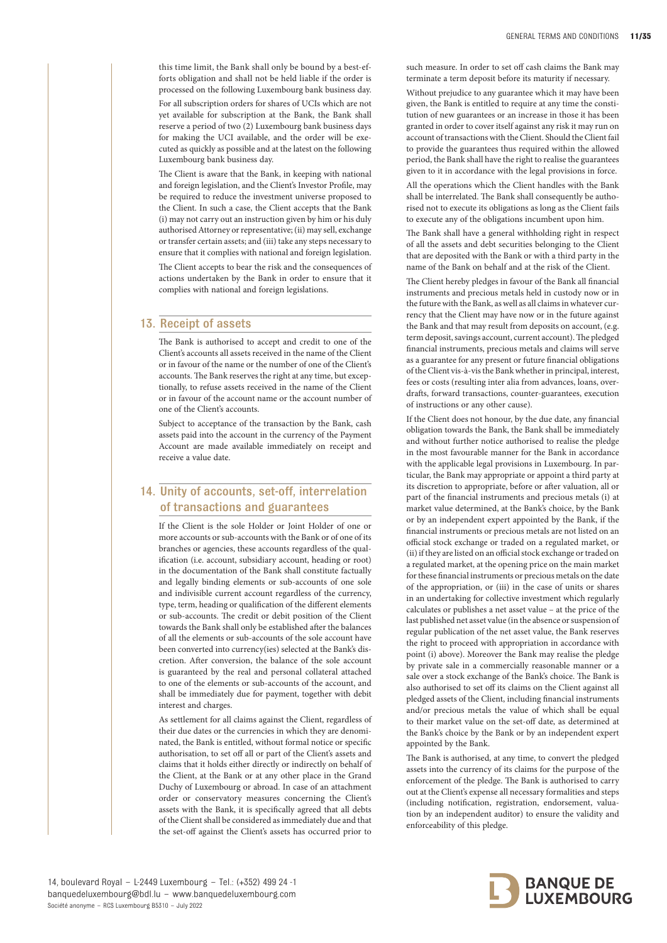this time limit, the Bank shall only be bound by a best-efforts obligation and shall not be held liable if the order is processed on the following Luxembourg bank business day. For all subscription orders for shares of UCIs which are not yet available for subscription at the Bank, the Bank shall reserve a period of two (2) Luxembourg bank business days for making the UCI available, and the order will be executed as quickly as possible and at the latest on the following Luxembourg bank business day.

The Client is aware that the Bank, in keeping with national and foreign legislation, and the Client's Investor Profile, may be required to reduce the investment universe proposed to the Client. In such a case, the Client accepts that the Bank (i) may not carry out an instruction given by him or his duly authorised Attorney or representative; (ii) may sell, exchange or transfer certain assets; and (iii) take any steps necessary to ensure that it complies with national and foreign legislation.

The Client accepts to bear the risk and the consequences of actions undertaken by the Bank in order to ensure that it complies with national and foreign legislations.

# 13. Receipt of assets

The Bank is authorised to accept and credit to one of the Client's accounts all assets received in the name of the Client or in favour of the name or the number of one of the Client's accounts. The Bank reserves the right at any time, but exceptionally, to refuse assets received in the name of the Client or in favour of the account name or the account number of one of the Client's accounts.

Subject to acceptance of the transaction by the Bank, cash assets paid into the account in the currency of the Payment Account are made available immediately on receipt and receive a value date.

# 14. Unity of accounts, set-off, interrelation of transactions and guarantees

If the Client is the sole Holder or Joint Holder of one or more accounts or sub-accounts with the Bank or of one of its branches or agencies, these accounts regardless of the qualification (i.e. account, subsidiary account, heading or root) in the documentation of the Bank shall constitute factually and legally binding elements or sub-accounts of one sole and indivisible current account regardless of the currency, type, term, heading or qualification of the different elements or sub-accounts. The credit or debit position of the Client towards the Bank shall only be established after the balances of all the elements or sub-accounts of the sole account have been converted into currency(ies) selected at the Bank's discretion. After conversion, the balance of the sole account is guaranteed by the real and personal collateral attached to one of the elements or sub-accounts of the account, and shall be immediately due for payment, together with debit interest and charges.

As settlement for all claims against the Client, regardless of their due dates or the currencies in which they are denominated, the Bank is entitled, without formal notice or specific authorisation, to set off all or part of the Client's assets and claims that it holds either directly or indirectly on behalf of the Client, at the Bank or at any other place in the Grand Duchy of Luxembourg or abroad. In case of an attachment order or conservatory measures concerning the Client's assets with the Bank, it is specifically agreed that all debts of the Client shall be considered as immediately due and that the set-off against the Client's assets has occurred prior to

such measure. In order to set off cash claims the Bank may terminate a term deposit before its maturity if necessary.

Without prejudice to any guarantee which it may have been given, the Bank is entitled to require at any time the constitution of new guarantees or an increase in those it has been granted in order to cover itself against any risk it may run on account of transactions with the Client. Should the Client fail to provide the guarantees thus required within the allowed period, the Bank shall have the right to realise the guarantees given to it in accordance with the legal provisions in force.

All the operations which the Client handles with the Bank shall be interrelated. The Bank shall consequently be authorised not to execute its obligations as long as the Client fails to execute any of the obligations incumbent upon him.

The Bank shall have a general withholding right in respect of all the assets and debt securities belonging to the Client that are deposited with the Bank or with a third party in the name of the Bank on behalf and at the risk of the Client.

The Client hereby pledges in favour of the Bank all financial instruments and precious metals held in custody now or in the future with the Bank, as well as all claims in whatever currency that the Client may have now or in the future against the Bank and that may result from deposits on account, (e.g. term deposit, savings account, current account). The pledged financial instruments, precious metals and claims will serve as a guarantee for any present or future financial obligations of the Client vis-à-vis the Bank whether in principal, interest, fees or costs (resulting inter alia from advances, loans, overdrafts, forward transactions, counter-guarantees, execution of instructions or any other cause).

If the Client does not honour, by the due date, any financial obligation towards the Bank, the Bank shall be immediately and without further notice authorised to realise the pledge in the most favourable manner for the Bank in accordance with the applicable legal provisions in Luxembourg. In particular, the Bank may appropriate or appoint a third party at its discretion to appropriate, before or after valuation, all or part of the financial instruments and precious metals (i) at market value determined, at the Bank's choice, by the Bank or by an independent expert appointed by the Bank, if the financial instruments or precious metals are not listed on an official stock exchange or traded on a regulated market, or (ii) if they are listed on an official stock exchange or traded on a regulated market, at the opening price on the main market for these financial instruments or precious metals on the date of the appropriation, or (iii) in the case of units or shares in an undertaking for collective investment which regularly calculates or publishes a net asset value – at the price of the last published net asset value (in the absence or suspension of regular publication of the net asset value, the Bank reserves the right to proceed with appropriation in accordance with point (i) above). Moreover the Bank may realise the pledge by private sale in a commercially reasonable manner or a sale over a stock exchange of the Bank's choice. The Bank is also authorised to set off its claims on the Client against all pledged assets of the Client, including financial instruments and/or precious metals the value of which shall be equal to their market value on the set-off date, as determined at the Bank's choice by the Bank or by an independent expert appointed by the Bank.

The Bank is authorised, at any time, to convert the pledged assets into the currency of its claims for the purpose of the enforcement of the pledge. The Bank is authorised to carry out at the Client's expense all necessary formalities and steps (including notification, registration, endorsement, valuation by an independent auditor) to ensure the validity and enforceability of this pledge.

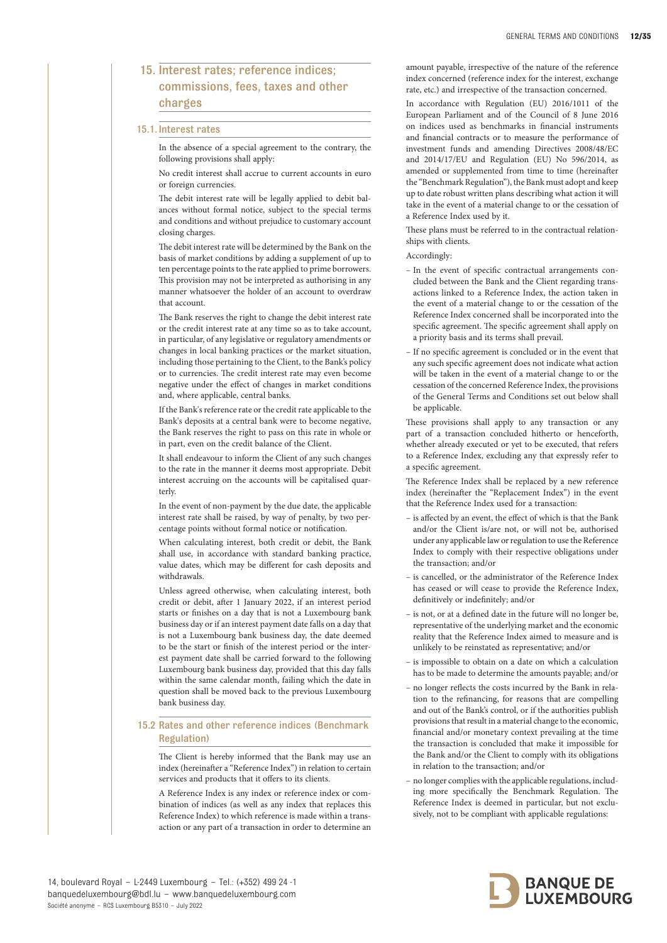# 15. Interest rates; reference indices; commissions, fees, taxes and other charges

## 15.1. Interest rates

In the absence of a special agreement to the contrary, the following provisions shall apply:

No credit interest shall accrue to current accounts in euro or foreign currencies.

The debit interest rate will be legally applied to debit balances without formal notice, subject to the special terms and conditions and without prejudice to customary account closing charges.

The debit interest rate will be determined by the Bank on the basis of market conditions by adding a supplement of up to ten percentage points to the rate applied to prime borrowers. This provision may not be interpreted as authorising in any manner whatsoever the holder of an account to overdraw that account.

The Bank reserves the right to change the debit interest rate or the credit interest rate at any time so as to take account, in particular, of any legislative or regulatory amendments or changes in local banking practices or the market situation, including those pertaining to the Client, to the Bank's policy or to currencies. The credit interest rate may even become negative under the effect of changes in market conditions and, where applicable, central banks.

If the Bank's reference rate or the credit rate applicable to the Bank's deposits at a central bank were to become negative, the Bank reserves the right to pass on this rate in whole or in part, even on the credit balance of the Client.

It shall endeavour to inform the Client of any such changes to the rate in the manner it deems most appropriate. Debit interest accruing on the accounts will be capitalised quarterly.

In the event of non-payment by the due date, the applicable interest rate shall be raised, by way of penalty, by two percentage points without formal notice or notification.

When calculating interest, both credit or debit, the Bank shall use, in accordance with standard banking practice, value dates, which may be different for cash deposits and withdrawals.

Unless agreed otherwise, when calculating interest, both credit or debit, after 1 January 2022, if an interest period starts or finishes on a day that is not a Luxembourg bank business day or if an interest payment date falls on a day that is not a Luxembourg bank business day, the date deemed to be the start or finish of the interest period or the interest payment date shall be carried forward to the following Luxembourg bank business day, provided that this day falls within the same calendar month, failing which the date in question shall be moved back to the previous Luxembourg bank business day.

## 15.2 Rates and other reference indices (Benchmark Regulation)

The Client is hereby informed that the Bank may use an index (hereinafter a "Reference Index") in relation to certain services and products that it offers to its clients.

A Reference Index is any index or reference index or combination of indices (as well as any index that replaces this Reference Index) to which reference is made within a transaction or any part of a transaction in order to determine an

amount payable, irrespective of the nature of the reference index concerned (reference index for the interest, exchange rate, etc.) and irrespective of the transaction concerned.

In accordance with Regulation (EU) 2016/1011 of the European Parliament and of the Council of 8 June 2016 on indices used as benchmarks in financial instruments and financial contracts or to measure the performance of investment funds and amending Directives 2008/48/EC and 2014/17/EU and Regulation (EU) No 596/2014, as amended or supplemented from time to time (hereinafter the "Benchmark Regulation"), the Bank must adopt and keep up to date robust written plans describing what action it will take in the event of a material change to or the cessation of a Reference Index used by it.

These plans must be referred to in the contractual relationships with clients.

Accordingly:

- In the event of specific contractual arrangements concluded between the Bank and the Client regarding transactions linked to a Reference Index, the action taken in the event of a material change to or the cessation of the Reference Index concerned shall be incorporated into the specific agreement. The specific agreement shall apply on a priority basis and its terms shall prevail.
- If no specific agreement is concluded or in the event that any such specific agreement does not indicate what action will be taken in the event of a material change to or the cessation of the concerned Reference Index, the provisions of the General Terms and Conditions set out below shall be applicable.

These provisions shall apply to any transaction or any part of a transaction concluded hitherto or henceforth, whether already executed or yet to be executed, that refers to a Reference Index, excluding any that expressly refer to a specific agreement.

The Reference Index shall be replaced by a new reference index (hereinafter the "Replacement Index") in the event that the Reference Index used for a transaction:

- is affected by an event, the effect of which is that the Bank and/or the Client is/are not, or will not be, authorised under any applicable law or regulation to use the Reference Index to comply with their respective obligations under the transaction; and/or
- is cancelled, or the administrator of the Reference Index has ceased or will cease to provide the Reference Index, definitively or indefinitely; and/or
- is not, or at a defined date in the future will no longer be, representative of the underlying market and the economic reality that the Reference Index aimed to measure and is unlikely to be reinstated as representative; and/or
- is impossible to obtain on a date on which a calculation has to be made to determine the amounts payable; and/or
- no longer reflects the costs incurred by the Bank in relation to the refinancing, for reasons that are compelling and out of the Bank's control, or if the authorities publish provisions that result in a material change to the economic, financial and/or monetary context prevailing at the time the transaction is concluded that make it impossible for the Bank and/or the Client to comply with its obligations in relation to the transaction; and/or
- no longer complies with the applicable regulations, including more specifically the Benchmark Regulation. The Reference Index is deemed in particular, but not exclusively, not to be compliant with applicable regulations:

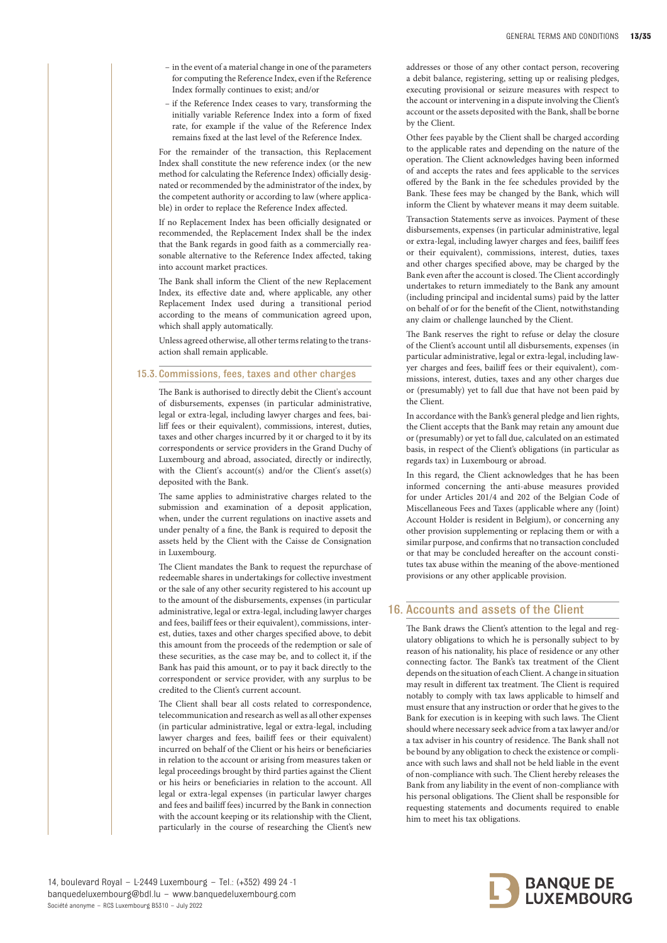- in the event of a material change in one of the parameters for computing the Reference Index, even if the Reference Index formally continues to exist; and/or
- if the Reference Index ceases to vary, transforming the initially variable Reference Index into a form of fixed rate, for example if the value of the Reference Index remains fixed at the last level of the Reference Index.

For the remainder of the transaction, this Replacement Index shall constitute the new reference index (or the new method for calculating the Reference Index) officially designated or recommended by the administrator of the index, by the competent authority or according to law (where applicable) in order to replace the Reference Index affected.

If no Replacement Index has been officially designated or recommended, the Replacement Index shall be the index that the Bank regards in good faith as a commercially reasonable alternative to the Reference Index affected, taking into account market practices.

The Bank shall inform the Client of the new Replacement Index, its effective date and, where applicable, any other Replacement Index used during a transitional period according to the means of communication agreed upon, which shall apply automatically.

Unless agreed otherwise, all other terms relating to the transaction shall remain applicable.

# 15.3. Commissions, fees, taxes and other charges

The Bank is authorised to directly debit the Client's account of disbursements, expenses (in particular administrative, legal or extra-legal, including lawyer charges and fees, bailiff fees or their equivalent), commissions, interest, duties, taxes and other charges incurred by it or charged to it by its correspondents or service providers in the Grand Duchy of Luxembourg and abroad, associated, directly or indirectly, with the Client's account(s) and/or the Client's asset(s) deposited with the Bank.

The same applies to administrative charges related to the submission and examination of a deposit application, when, under the current regulations on inactive assets and under penalty of a fine, the Bank is required to deposit the assets held by the Client with the Caisse de Consignation in Luxembourg.

The Client mandates the Bank to request the repurchase of redeemable shares in undertakings for collective investment or the sale of any other security registered to his account up to the amount of the disbursements, expenses (in particular administrative, legal or extra-legal, including lawyer charges and fees, bailiff fees or their equivalent), commissions, interest, duties, taxes and other charges specified above, to debit this amount from the proceeds of the redemption or sale of these securities, as the case may be, and to collect it, if the Bank has paid this amount, or to pay it back directly to the correspondent or service provider, with any surplus to be credited to the Client's current account.

The Client shall bear all costs related to correspondence, telecommunication and research as well as all other expenses (in particular administrative, legal or extra-legal, including lawyer charges and fees, bailiff fees or their equivalent) incurred on behalf of the Client or his heirs or beneficiaries in relation to the account or arising from measures taken or legal proceedings brought by third parties against the Client or his heirs or beneficiaries in relation to the account. All legal or extra-legal expenses (in particular lawyer charges and fees and bailiff fees) incurred by the Bank in connection with the account keeping or its relationship with the Client, particularly in the course of researching the Client's new

addresses or those of any other contact person, recovering a debit balance, registering, setting up or realising pledges, executing provisional or seizure measures with respect to the account or intervening in a dispute involving the Client's account or the assets deposited with the Bank, shall be borne by the Client.

Other fees payable by the Client shall be charged according to the applicable rates and depending on the nature of the operation. The Client acknowledges having been informed of and accepts the rates and fees applicable to the services offered by the Bank in the fee schedules provided by the Bank. These fees may be changed by the Bank, which will inform the Client by whatever means it may deem suitable.

Transaction Statements serve as invoices. Payment of these disbursements, expenses (in particular administrative, legal or extra-legal, including lawyer charges and fees, bailiff fees or their equivalent), commissions, interest, duties, taxes and other charges specified above, may be charged by the Bank even after the account is closed. The Client accordingly undertakes to return immediately to the Bank any amount (including principal and incidental sums) paid by the latter on behalf of or for the benefit of the Client, notwithstanding any claim or challenge launched by the Client.

The Bank reserves the right to refuse or delay the closure of the Client's account until all disbursements, expenses (in particular administrative, legal or extra-legal, including lawyer charges and fees, bailiff fees or their equivalent), commissions, interest, duties, taxes and any other charges due or (presumably) yet to fall due that have not been paid by the Client.

In accordance with the Bank's general pledge and lien rights, the Client accepts that the Bank may retain any amount due or (presumably) or yet to fall due, calculated on an estimated basis, in respect of the Client's obligations (in particular as regards tax) in Luxembourg or abroad.

In this regard, the Client acknowledges that he has been informed concerning the anti-abuse measures provided for under Articles 201/4 and 202 of the Belgian Code of Miscellaneous Fees and Taxes (applicable where any (Joint) Account Holder is resident in Belgium), or concerning any other provision supplementing or replacing them or with a similar purpose, and confirms that no transaction concluded or that may be concluded hereafter on the account constitutes tax abuse within the meaning of the above-mentioned provisions or any other applicable provision.

# 16. Accounts and assets of the Client

The Bank draws the Client's attention to the legal and regulatory obligations to which he is personally subject to by reason of his nationality, his place of residence or any other connecting factor. The Bank's tax treatment of the Client depends on the situation of each Client. A change in situation may result in different tax treatment. The Client is required notably to comply with tax laws applicable to himself and must ensure that any instruction or order that he gives to the Bank for execution is in keeping with such laws. The Client should where necessary seek advice from a tax lawyer and/or a tax adviser in his country of residence. The Bank shall not be bound by any obligation to check the existence or compliance with such laws and shall not be held liable in the event of non-compliance with such. The Client hereby releases the Bank from any liability in the event of non-compliance with his personal obligations. The Client shall be responsible for requesting statements and documents required to enable him to meet his tax obligations.

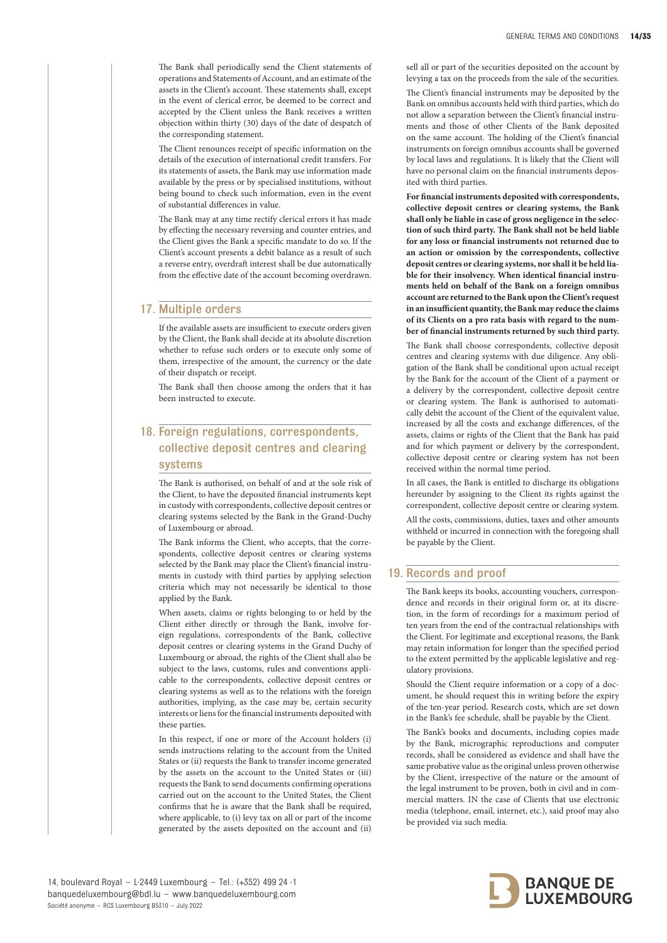The Bank shall periodically send the Client statements of operations and Statements of Account, and an estimate of the assets in the Client's account. These statements shall, except in the event of clerical error, be deemed to be correct and accepted by the Client unless the Bank receives a written objection within thirty (30) days of the date of despatch of the corresponding statement.

The Client renounces receipt of specific information on the details of the execution of international credit transfers. For its statements of assets, the Bank may use information made available by the press or by specialised institutions, without being bound to check such information, even in the event of substantial differences in value.

The Bank may at any time rectify clerical errors it has made by effecting the necessary reversing and counter entries, and the Client gives the Bank a specific mandate to do so. If the Client's account presents a debit balance as a result of such a reverse entry, overdraft interest shall be due automatically from the effective date of the account becoming overdrawn.

# 17. Multiple orders

If the available assets are insufficient to execute orders given by the Client, the Bank shall decide at its absolute discretion whether to refuse such orders or to execute only some of them, irrespective of the amount, the currency or the date of their dispatch or receipt.

The Bank shall then choose among the orders that it has been instructed to execute.

# 18. Foreign regulations, correspondents, collective deposit centres and clearing systems

The Bank is authorised, on behalf of and at the sole risk of the Client, to have the deposited financial instruments kept in custody with correspondents, collective deposit centres or clearing systems selected by the Bank in the Grand-Duchy of Luxembourg or abroad.

The Bank informs the Client, who accepts, that the correspondents, collective deposit centres or clearing systems selected by the Bank may place the Client's financial instruments in custody with third parties by applying selection criteria which may not necessarily be identical to those applied by the Bank.

When assets, claims or rights belonging to or held by the Client either directly or through the Bank, involve foreign regulations, correspondents of the Bank, collective deposit centres or clearing systems in the Grand Duchy of Luxembourg or abroad, the rights of the Client shall also be subject to the laws, customs, rules and conventions applicable to the correspondents, collective deposit centres or clearing systems as well as to the relations with the foreign authorities, implying, as the case may be, certain security interests or liens for the financial instruments deposited with these parties.

In this respect, if one or more of the Account holders (i) sends instructions relating to the account from the United States or (ii) requests the Bank to transfer income generated by the assets on the account to the United States or (iii) requests the Bank to send documents confirming operations carried out on the account to the United States, the Client confirms that he is aware that the Bank shall be required, where applicable, to (i) levy tax on all or part of the income generated by the assets deposited on the account and (ii)

sell all or part of the securities deposited on the account by levying a tax on the proceeds from the sale of the securities.

The Client's financial instruments may be deposited by the Bank on omnibus accounts held with third parties, which do not allow a separation between the Client's financial instruments and those of other Clients of the Bank deposited on the same account. The holding of the Client's financial instruments on foreign omnibus accounts shall be governed by local laws and regulations. It is likely that the Client will have no personal claim on the financial instruments deposited with third parties.

**For financial instruments deposited with correspondents, collective deposit centres or clearing systems, the Bank shall only be liable in case of gross negligence in the selection of such third party. The Bank shall not be held liable for any loss or financial instruments not returned due to an action or omission by the correspondents, collective deposit centres or clearing systems, nor shall it be held liable for their insolvency. When identical financial instruments held on behalf of the Bank on a foreign omnibus account are returned to the Bank upon the Client's request in an insufficient quantity, the Bank may reduce the claims of its Clients on a pro rata basis with regard to the number of financial instruments returned by such third party.** 

The Bank shall choose correspondents, collective deposit centres and clearing systems with due diligence. Any obligation of the Bank shall be conditional upon actual receipt by the Bank for the account of the Client of a payment or a delivery by the correspondent, collective deposit centre or clearing system. The Bank is authorised to automatically debit the account of the Client of the equivalent value, increased by all the costs and exchange differences, of the assets, claims or rights of the Client that the Bank has paid and for which payment or delivery by the correspondent, collective deposit centre or clearing system has not been received within the normal time period.

In all cases, the Bank is entitled to discharge its obligations hereunder by assigning to the Client its rights against the correspondent, collective deposit centre or clearing system.

All the costs, commissions, duties, taxes and other amounts withheld or incurred in connection with the foregoing shall be payable by the Client.

# 19. Records and proof

The Bank keeps its books, accounting vouchers, correspondence and records in their original form or, at its discretion, in the form of recordings for a maximum period of ten years from the end of the contractual relationships with the Client. For legitimate and exceptional reasons, the Bank may retain information for longer than the specified period to the extent permitted by the applicable legislative and regulatory provisions.

Should the Client require information or a copy of a document, he should request this in writing before the expiry of the ten-year period. Research costs, which are set down in the Bank's fee schedule, shall be payable by the Client.

The Bank's books and documents, including copies made by the Bank, micrographic reproductions and computer records, shall be considered as evidence and shall have the same probative value as the original unless proven otherwise by the Client, irrespective of the nature or the amount of the legal instrument to be proven, both in civil and in commercial matters. IN the case of Clients that use electronic media (telephone, email, internet, etc.), said proof may also be provided via such media.

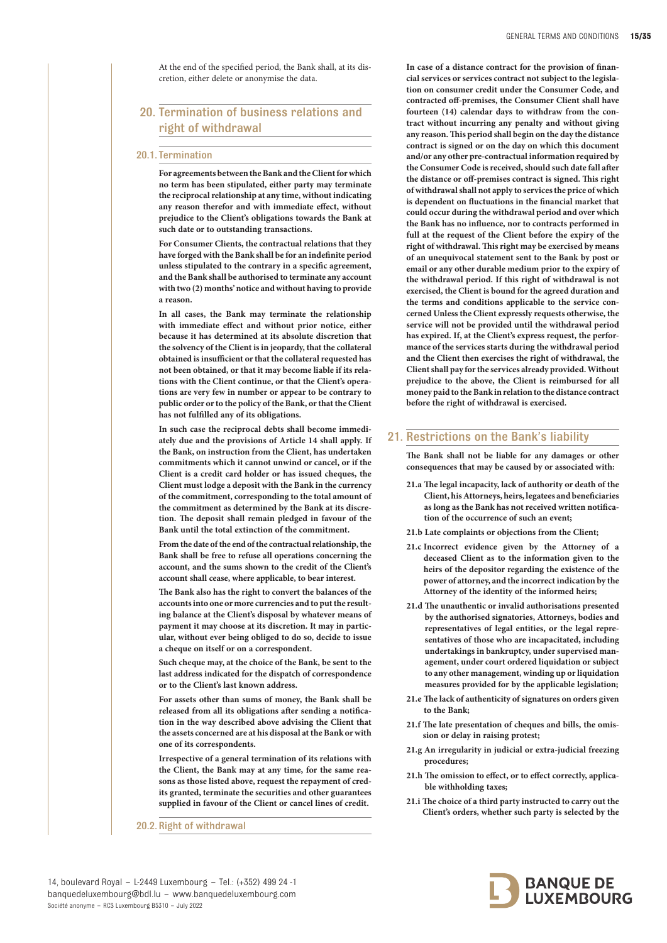At the end of the specified period, the Bank shall, at its discretion, either delete or anonymise the data.

# 20. Termination of business relations and right of withdrawal

#### 20.1. Termination

**For agreements between the Bank and the Client for which no term has been stipulated, either party may terminate the reciprocal relationship at any time, without indicating any reason therefor and with immediate effect, without prejudice to the Client's obligations towards the Bank at such date or to outstanding transactions.** 

**For Consumer Clients, the contractual relations that they have forged with the Bank shall be for an indefinite period unless stipulated to the contrary in a specific agreement, and the Bank shall be authorised to terminate any account with two (2) months' notice and without having to provide a reason.** 

**In all cases, the Bank may terminate the relationship with immediate effect and without prior notice, either because it has determined at its absolute discretion that the solvency of the Client is in jeopardy, that the collateral obtained is insufficient or that the collateral requested has not been obtained, or that it may become liable if its relations with the Client continue, or that the Client's operations are very few in number or appear to be contrary to public order or to the policy of the Bank, or that the Client has not fulfilled any of its obligations.** 

**In such case the reciprocal debts shall become immediately due and the provisions of Article 14 shall apply. If the Bank, on instruction from the Client, has undertaken commitments which it cannot unwind or cancel, or if the Client is a credit card holder or has issued cheques, the Client must lodge a deposit with the Bank in the currency of the commitment, corresponding to the total amount of the commitment as determined by the Bank at its discretion. The deposit shall remain pledged in favour of the Bank until the total extinction of the commitment.** 

**From the date of the end of the contractual relationship, the Bank shall be free to refuse all operations concerning the account, and the sums shown to the credit of the Client's account shall cease, where applicable, to bear interest.** 

**The Bank also has the right to convert the balances of the accounts into one or more currencies and to put the resulting balance at the Client's disposal by whatever means of payment it may choose at its discretion. It may in particular, without ever being obliged to do so, decide to issue a cheque on itself or on a correspondent.** 

**Such cheque may, at the choice of the Bank, be sent to the last address indicated for the dispatch of correspondence or to the Client's last known address.** 

**For assets other than sums of money, the Bank shall be released from all its obligations after sending a notification in the way described above advising the Client that the assets concerned are at his disposal at the Bank or with one of its correspondents.** 

**Irrespective of a general termination of its relations with the Client, the Bank may at any time, for the same reasons as those listed above, request the repayment of credits granted, terminate the securities and other guarantees supplied in favour of the Client or cancel lines of credit.**

20.2.Right of withdrawal

**In case of a distance contract for the provision of financial services or services contract not subject to the legislation on consumer credit under the Consumer Code, and contracted off-premises, the Consumer Client shall have fourteen (14) calendar days to withdraw from the contract without incurring any penalty and without giving any reason. This period shall begin on the day the distance contract is signed or on the day on which this document and/or any other pre-contractual information required by the Consumer Code is received, should such date fall after the distance or off-premises contract is signed. This right of withdrawal shall not apply to services the price of which is dependent on fluctuations in the financial market that could occur during the withdrawal period and over which the Bank has no influence, nor to contracts performed in full at the request of the Client before the expiry of the right of withdrawal. This right may be exercised by means of an unequivocal statement sent to the Bank by post or email or any other durable medium prior to the expiry of the withdrawal period. If this right of withdrawal is not exercised, the Client is bound for the agreed duration and the terms and conditions applicable to the service concerned Unless the Client expressly requests otherwise, the service will not be provided until the withdrawal period has expired. If, at the Client's express request, the performance of the services starts during the withdrawal period and the Client then exercises the right of withdrawal, the Client shall pay for the services already provided. Without prejudice to the above, the Client is reimbursed for all money paid to the Bank in relation to the distance contract before the right of withdrawal is exercised.** 

# 21. Restrictions on the Bank's liability

**The Bank shall not be liable for any damages or other consequences that may be caused by or associated with:** 

- **21.a The legal incapacity, lack of authority or death of the Client, his Attorneys, heirs, legatees and beneficiaries as long as the Bank has not received written notification of the occurrence of such an event;**
- **21.b Late complaints or objections from the Client;**
- **21.c Incorrect evidence given by the Attorney of a deceased Client as to the information given to the heirs of the depositor regarding the existence of the power of attorney, and the incorrect indication by the Attorney of the identity of the informed heirs;**
- **21.d The unauthentic or invalid authorisations presented by the authorised signatories, Attorneys, bodies and representatives of legal entities, or the legal representatives of those who are incapacitated, including undertakings in bankruptcy, under supervised management, under court ordered liquidation or subject to any other management, winding up or liquidation measures provided for by the applicable legislation;**
- **21.e The lack of authenticity of signatures on orders given to the Bank;**
- **21.f The late presentation of cheques and bills, the omission or delay in raising protest;**
- **21.g An irregularity in judicial or extra-judicial freezing procedures;**
- **21.h The omission to effect, or to effect correctly, applicable withholding taxes;**
- **21.i The choice of a third party instructed to carry out the Client's orders, whether such party is selected by the**

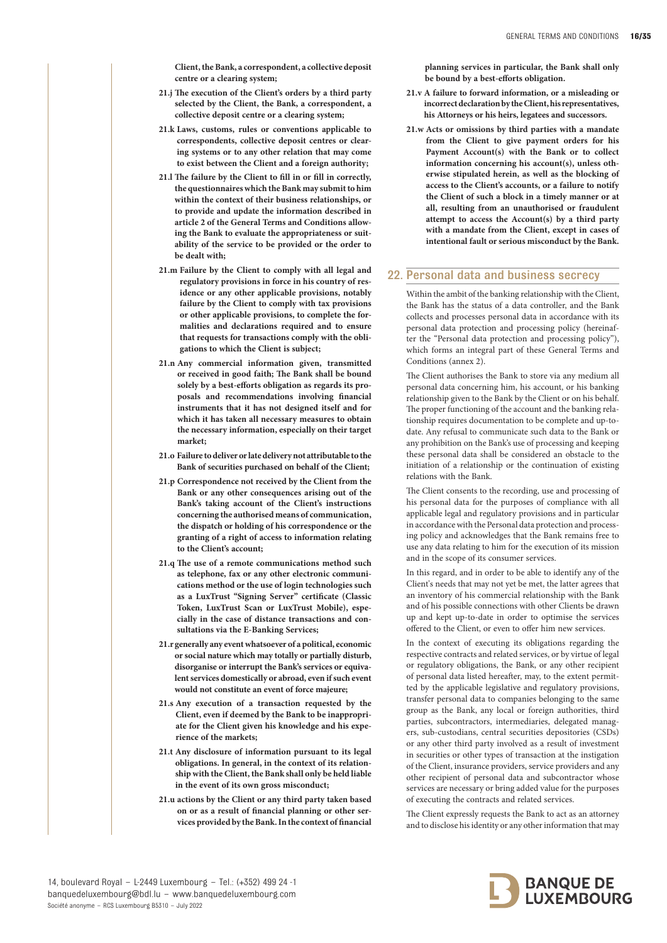**Client, the Bank, a correspondent, a collective deposit centre or a clearing system;** 

- **21.j The execution of the Client's orders by a third party selected by the Client, the Bank, a correspondent, a collective deposit centre or a clearing system;**
- **21.k Laws, customs, rules or conventions applicable to correspondents, collective deposit centres or clearing systems or to any other relation that may come to exist between the Client and a foreign authority;**
- **21.l The failure by the Client to fill in or fill in correctly, the questionnaires which the Bank may submit to him within the context of their business relationships, or to provide and update the information described in article 2 of the General Terms and Conditions allowing the Bank to evaluate the appropriateness or suitability of the service to be provided or the order to be dealt with;**
- **21.m Failure by the Client to comply with all legal and regulatory provisions in force in his country of residence or any other applicable provisions, notably failure by the Client to comply with tax provisions or other applicable provisions, to complete the formalities and declarations required and to ensure that requests for transactions comply with the obligations to which the Client is subject;**
- **21.n Any commercial information given, transmitted or received in good faith; The Bank shall be bound solely by a best-efforts obligation as regards its proposals and recommendations involving financial instruments that it has not designed itself and for which it has taken all necessary measures to obtain the necessary information, especially on their target market;**
- **21.o Failure to deliver or late delivery not attributable to the Bank of securities purchased on behalf of the Client;**
- **21.p Correspondence not received by the Client from the Bank or any other consequences arising out of the Bank's taking account of the Client's instructions concerning the authorised means of communication, the dispatch or holding of his correspondence or the granting of a right of access to information relating to the Client's account;**
- **21.q The use of a remote communications method such as telephone, fax or any other electronic communications method or the use of login technologies such as a LuxTrust "Signing Server" certificate (Classic Token, LuxTrust Scan or LuxTrust Mobile), especially in the case of distance transactions and consultations via the E-Banking Services;**
- **21.r generally any event whatsoever of a political, economic or social nature which may totally or partially disturb, disorganise or interrupt the Bank's services or equivalent services domestically or abroad, even if such event would not constitute an event of force majeure;**
- **21.s Any execution of a transaction requested by the Client, even if deemed by the Bank to be inappropriate for the Client given his knowledge and his experience of the markets;**
- **21.t Any disclosure of information pursuant to its legal obligations. In general, in the context of its relationship with the Client, the Bank shall only be held liable in the event of its own gross misconduct;**
- **21.u actions by the Client or any third party taken based on or as a result of financial planning or other services provided by the Bank. In the context of financial**

**planning services in particular, the Bank shall only be bound by a best-efforts obligation.** 

- **21.v A failure to forward information, or a misleading or incorrect declaration by the Client, his representatives, his Attorneys or his heirs, legatees and successors.**
- **21.w Acts or omissions by third parties with a mandate from the Client to give payment orders for his Payment Account(s) with the Bank or to collect information concerning his account(s), unless otherwise stipulated herein, as well as the blocking of access to the Client's accounts, or a failure to notify the Client of such a block in a timely manner or at all, resulting from an unauthorised or fraudulent attempt to access the Account(s) by a third party with a mandate from the Client, except in cases of intentional fault or serious misconduct by the Bank.**

# 22. Personal data and business secrecy

Within the ambit of the banking relationship with the Client, the Bank has the status of a data controller, and the Bank collects and processes personal data in accordance with its personal data protection and processing policy (hereinafter the "Personal data protection and processing policy"), which forms an integral part of these General Terms and Conditions (annex 2).

The Client authorises the Bank to store via any medium all personal data concerning him, his account, or his banking relationship given to the Bank by the Client or on his behalf. The proper functioning of the account and the banking relationship requires documentation to be complete and up-todate. Any refusal to communicate such data to the Bank or any prohibition on the Bank's use of processing and keeping these personal data shall be considered an obstacle to the initiation of a relationship or the continuation of existing relations with the Bank.

The Client consents to the recording, use and processing of his personal data for the purposes of compliance with all applicable legal and regulatory provisions and in particular in accordance with the Personal data protection and processing policy and acknowledges that the Bank remains free to use any data relating to him for the execution of its mission and in the scope of its consumer services.

In this regard, and in order to be able to identify any of the Client's needs that may not yet be met, the latter agrees that an inventory of his commercial relationship with the Bank and of his possible connections with other Clients be drawn up and kept up-to-date in order to optimise the services offered to the Client, or even to offer him new services.

In the context of executing its obligations regarding the respective contracts and related services, or by virtue of legal or regulatory obligations, the Bank, or any other recipient of personal data listed hereafter, may, to the extent permitted by the applicable legislative and regulatory provisions, transfer personal data to companies belonging to the same group as the Bank, any local or foreign authorities, third parties, subcontractors, intermediaries, delegated managers, sub-custodians, central securities depositories (CSDs) or any other third party involved as a result of investment in securities or other types of transaction at the instigation of the Client, insurance providers, service providers and any other recipient of personal data and subcontractor whose services are necessary or bring added value for the purposes of executing the contracts and related services.

The Client expressly requests the Bank to act as an attorney and to disclose his identity or any other information that may

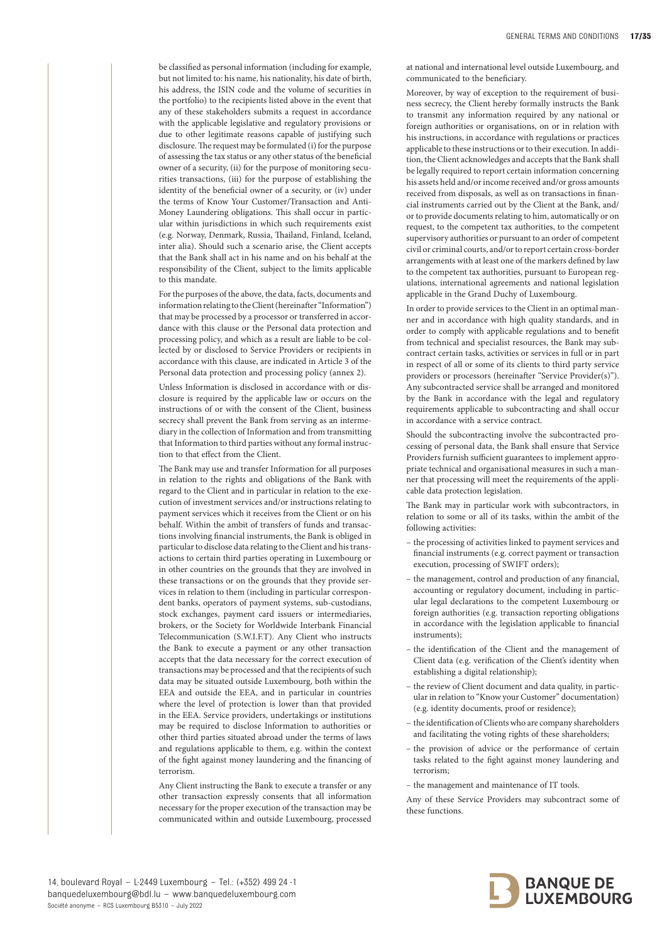be classified as personal information (including for example, but not limited to: his name, his nationality, his date of birth, his address, the ISIN code and the volume of securities in the portfolio) to the recipients listed above in the event that any of these stakeholders submits a request in accordance with the applicable legislative and regulatory provisions or due to other legitimate reasons capable of justifying such disclosure. The request may be formulated (i) for the purpose of assessing the tax status or any other status of the beneficial owner of a security, (ii) for the purpose of monitoring securities transactions, (iii) for the purpose of establishing the identity of the beneficial owner of a security, or (iv) under the terms of Know Your Customer/Transaction and Anti-Money Laundering obligations. This shall occur in particular within jurisdictions in which such requirements exist (e.g. Norway, Denmark, Russia, Thailand, Finland, Iceland, inter alia). Should such a scenario arise, the Client accepts that the Bank shall act in his name and on his behalf at the responsibility of the Client, subject to the limits applicable to this mandate.

For the purposes of the above, the data, facts, documents and information relating to the Client (hereinafter "Information") that may be processed by a processor or transferred in accordance with this clause or the Personal data protection and processing policy, and which as a result are liable to be collected by or disclosed to Service Providers or recipients in accordance with this clause, are indicated in Article 3 of the Personal data protection and processing policy (annex 2).

Unless Information is disclosed in accordance with or disclosure is required by the applicable law or occurs on the instructions of or with the consent of the Client, business secrecy shall prevent the Bank from serving as an intermediary in the collection of Information and from transmitting that Information to third parties without any formal instruction to that effect from the Client.

The Bank may use and transfer Information for all purposes in relation to the rights and obligations of the Bank with regard to the Client and in particular in relation to the execution of investment services and/or instructions relating to payment services which it receives from the Client or on his behalf. Within the ambit of transfers of funds and transactions involving financial instruments, the Bank is obliged in particular to disclose data relating to the Client and his transactions to certain third parties operating in Luxembourg or in other countries on the grounds that they are involved in these transactions or on the grounds that they provide services in relation to them (including in particular correspondent banks, operators of payment systems, sub-custodians, stock exchanges, payment card issuers or intermediaries, brokers, or the Society for Worldwide Interbank Financial Telecommunication (S.W.I.F.T). Any Client who instructs the Bank to execute a payment or any other transaction accepts that the data necessary for the correct execution of transactions may be processed and that the recipients of such data may be situated outside Luxembourg, both within the EEA and outside the EEA, and in particular in countries where the level of protection is lower than that provided in the EEA. Service providers, undertakings or institutions may be required to disclose Information to authorities or other third parties situated abroad under the terms of laws and regulations applicable to them, e.g. within the context of the fight against money laundering and the financing of terrorism.

Any Client instructing the Bank to execute a transfer or any other transaction expressly consents that all information necessary for the proper execution of the transaction may be communicated within and outside Luxembourg, processed at national and international level outside Luxembourg, and communicated to the beneficiary.

Moreover, by way of exception to the requirement of business secrecy, the Client hereby formally instructs the Bank to transmit any information required by any national or foreign authorities or organisations, on or in relation with his instructions, in accordance with regulations or practices applicable to these instructions or to their execution. In addition, the Client acknowledges and accepts that the Bank shall be legally required to report certain information concerning his assets held and/or income received and/or gross amounts received from disposals, as well as on transactions in financial instruments carried out by the Client at the Bank, and/ or to provide documents relating to him, automatically or on request, to the competent tax authorities, to the competent supervisory authorities or pursuant to an order of competent civil or criminal courts, and/or to report certain cross-border arrangements with at least one of the markers defined by law to the competent tax authorities, pursuant to European regulations, international agreements and national legislation applicable in the Grand Duchy of Luxembourg.

In order to provide services to the Client in an optimal manner and in accordance with high quality standards, and in order to comply with applicable regulations and to benefit from technical and specialist resources, the Bank may subcontract certain tasks, activities or services in full or in part in respect of all or some of its clients to third party service providers or processors (hereinafter "Service Provider(s)"). Any subcontracted service shall be arranged and monitored by the Bank in accordance with the legal and regulatory requirements applicable to subcontracting and shall occur in accordance with a service contract.

Should the subcontracting involve the subcontracted processing of personal data, the Bank shall ensure that Service Providers furnish sufficient guarantees to implement appropriate technical and organisational measures in such a manner that processing will meet the requirements of the applicable data protection legislation.

The Bank may in particular work with subcontractors, in relation to some or all of its tasks, within the ambit of the following activities:

- the processing of activities linked to payment services and financial instruments (e.g. correct payment or transaction execution, processing of SWIFT orders);
- the management, control and production of any financial, accounting or regulatory document, including in particular legal declarations to the competent Luxembourg or foreign authorities (e.g. transaction reporting obligations in accordance with the legislation applicable to financial instruments);
- the identification of the Client and the management of Client data (e.g. verification of the Client's identity when establishing a digital relationship);
- the review of Client document and data quality, in particular in relation to "Know your Customer" documentation) (e.g. identity documents, proof or residence);
- the identification of Clients who are company shareholders and facilitating the voting rights of these shareholders;
- the provision of advice or the performance of certain tasks related to the fight against money laundering and terrorism;
- the management and maintenance of IT tools.

Any of these Service Providers may subcontract some of these functions.

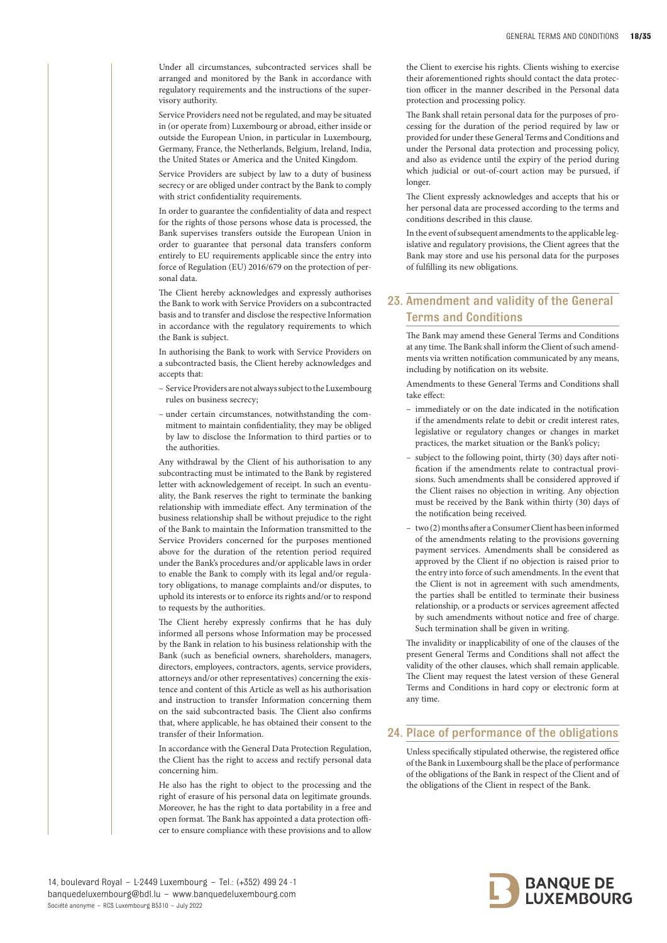Under all circumstances, subcontracted services shall be arranged and monitored by the Bank in accordance with regulatory requirements and the instructions of the supervisory authority.

Service Providers need not be regulated, and may be situated in (or operate from) Luxembourg or abroad, either inside or outside the European Union, in particular in Luxembourg, Germany, France, the Netherlands, Belgium, Ireland, India, the United States or America and the United Kingdom.

Service Providers are subject by law to a duty of business secrecy or are obliged under contract by the Bank to comply with strict confidentiality requirements.

In order to guarantee the confidentiality of data and respect for the rights of those persons whose data is processed, the Bank supervises transfers outside the European Union in order to guarantee that personal data transfers conform entirely to EU requirements applicable since the entry into force of Regulation (EU) 2016/679 on the protection of personal data.

The Client hereby acknowledges and expressly authorises the Bank to work with Service Providers on a subcontracted basis and to transfer and disclose the respective Information in accordance with the regulatory requirements to which the Bank is subject.

In authorising the Bank to work with Service Providers on a subcontracted basis, the Client hereby acknowledges and accepts that:

- Service Providers are not always subject to the Luxembourg rules on business secrecy;
- under certain circumstances, notwithstanding the commitment to maintain confidentiality, they may be obliged by law to disclose the Information to third parties or to the authorities.

Any withdrawal by the Client of his authorisation to any subcontracting must be intimated to the Bank by registered letter with acknowledgement of receipt. In such an eventuality, the Bank reserves the right to terminate the banking relationship with immediate effect. Any termination of the business relationship shall be without prejudice to the right of the Bank to maintain the Information transmitted to the Service Providers concerned for the purposes mentioned above for the duration of the retention period required under the Bank's procedures and/or applicable laws in order to enable the Bank to comply with its legal and/or regulatory obligations, to manage complaints and/or disputes, to uphold its interests or to enforce its rights and/or to respond to requests by the authorities.

The Client hereby expressly confirms that he has duly informed all persons whose Information may be processed by the Bank in relation to his business relationship with the Bank (such as beneficial owners, shareholders, managers, directors, employees, contractors, agents, service providers, attorneys and/or other representatives) concerning the existence and content of this Article as well as his authorisation and instruction to transfer Information concerning them on the said subcontracted basis. The Client also confirms that, where applicable, he has obtained their consent to the transfer of their Information.

In accordance with the General Data Protection Regulation, the Client has the right to access and rectify personal data concerning him.

He also has the right to object to the processing and the right of erasure of his personal data on legitimate grounds. Moreover, he has the right to data portability in a free and open format. The Bank has appointed a data protection officer to ensure compliance with these provisions and to allow

the Client to exercise his rights. Clients wishing to exercise their aforementioned rights should contact the data protection officer in the manner described in the Personal data protection and processing policy.

The Bank shall retain personal data for the purposes of processing for the duration of the period required by law or provided for under these General Terms and Conditions and under the Personal data protection and processing policy, and also as evidence until the expiry of the period during which judicial or out-of-court action may be pursued, if longer.

The Client expressly acknowledges and accepts that his or her personal data are processed according to the terms and conditions described in this clause.

In the event of subsequent amendments to the applicable legislative and regulatory provisions, the Client agrees that the Bank may store and use his personal data for the purposes of fulfilling its new obligations.

# 23. Amendment and validity of the General Terms and Conditions

The Bank may amend these General Terms and Conditions at any time. The Bank shall inform the Client of such amendments via written notification communicated by any means, including by notification on its website.

Amendments to these General Terms and Conditions shall take effect:

- immediately or on the date indicated in the notification if the amendments relate to debit or credit interest rates, legislative or regulatory changes or changes in market practices, the market situation or the Bank's policy;
- subject to the following point, thirty (30) days after notification if the amendments relate to contractual provisions. Such amendments shall be considered approved if the Client raises no objection in writing. Any objection must be received by the Bank within thirty (30) days of the notification being received.
- two (2) months after a Consumer Client has been informed of the amendments relating to the provisions governing payment services. Amendments shall be considered as approved by the Client if no objection is raised prior to the entry into force of such amendments. In the event that the Client is not in agreement with such amendments, the parties shall be entitled to terminate their business relationship, or a products or services agreement affected by such amendments without notice and free of charge. Such termination shall be given in writing.

The invalidity or inapplicability of one of the clauses of the present General Terms and Conditions shall not affect the validity of the other clauses, which shall remain applicable. The Client may request the latest version of these General Terms and Conditions in hard copy or electronic form at any time.

# 24. Place of performance of the obligations

Unless specifically stipulated otherwise, the registered office of the Bank in Luxembourg shall be the place of performance of the obligations of the Bank in respect of the Client and of the obligations of the Client in respect of the Bank.



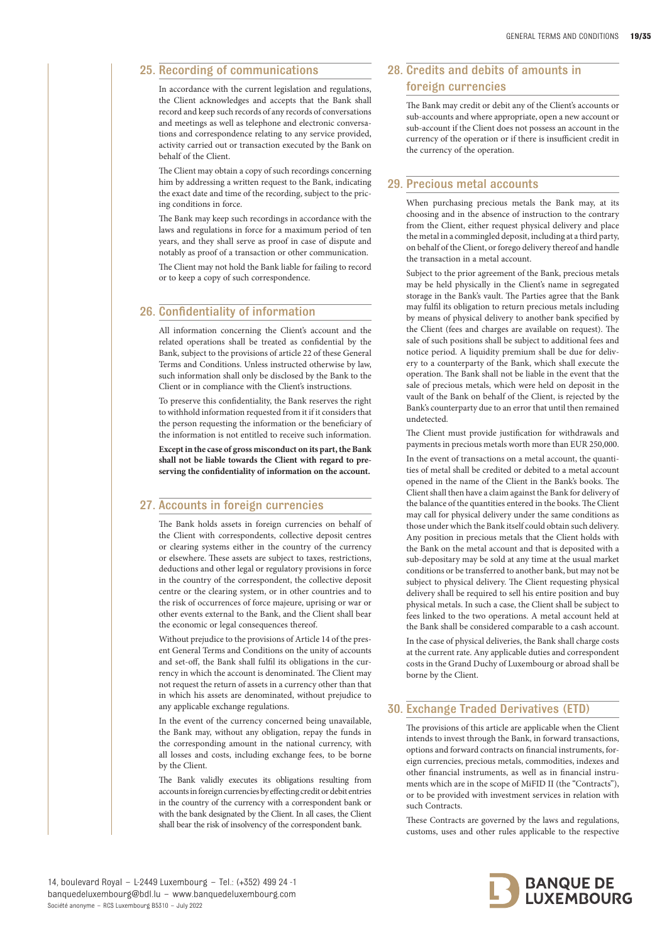# 25. Recording of communications

In accordance with the current legislation and regulations, the Client acknowledges and accepts that the Bank shall record and keep such records of any records of conversations and meetings as well as telephone and electronic conversations and correspondence relating to any service provided, activity carried out or transaction executed by the Bank on behalf of the Client.

The Client may obtain a copy of such recordings concerning him by addressing a written request to the Bank, indicating the exact date and time of the recording, subject to the pricing conditions in force.

The Bank may keep such recordings in accordance with the laws and regulations in force for a maximum period of ten years, and they shall serve as proof in case of dispute and notably as proof of a transaction or other communication.

The Client may not hold the Bank liable for failing to record or to keep a copy of such correspondence.

# 26. Confidentiality of information

All information concerning the Client's account and the related operations shall be treated as confidential by the Bank, subject to the provisions of article 22 of these General Terms and Conditions. Unless instructed otherwise by law, such information shall only be disclosed by the Bank to the Client or in compliance with the Client's instructions.

To preserve this confidentiality, the Bank reserves the right to withhold information requested from it if it considers that the person requesting the information or the beneficiary of the information is not entitled to receive such information.

**Except in the case of gross misconduct on its part, the Bank shall not be liable towards the Client with regard to preserving the confidentiality of information on the account.**

#### 27. Accounts in foreign currencies

The Bank holds assets in foreign currencies on behalf of the Client with correspondents, collective deposit centres or clearing systems either in the country of the currency or elsewhere. These assets are subject to taxes, restrictions, deductions and other legal or regulatory provisions in force in the country of the correspondent, the collective deposit centre or the clearing system, or in other countries and to the risk of occurrences of force majeure, uprising or war or other events external to the Bank, and the Client shall bear the economic or legal consequences thereof.

Without prejudice to the provisions of Article 14 of the present General Terms and Conditions on the unity of accounts and set-off, the Bank shall fulfil its obligations in the currency in which the account is denominated. The Client may not request the return of assets in a currency other than that in which his assets are denominated, without prejudice to any applicable exchange regulations.

In the event of the currency concerned being unavailable, the Bank may, without any obligation, repay the funds in the corresponding amount in the national currency, with all losses and costs, including exchange fees, to be borne by the Client.

The Bank validly executes its obligations resulting from accounts in foreign currencies by effecting credit or debit entries in the country of the currency with a correspondent bank or with the bank designated by the Client. In all cases, the Client shall bear the risk of insolvency of the correspondent bank.

# 28. Credits and debits of amounts in foreign currencies

The Bank may credit or debit any of the Client's accounts or sub-accounts and where appropriate, open a new account or sub-account if the Client does not possess an account in the currency of the operation or if there is insufficient credit in the currency of the operation.

## 29. Precious metal accounts

When purchasing precious metals the Bank may, at its choosing and in the absence of instruction to the contrary from the Client, either request physical delivery and place the metal in a commingled deposit, including at a third party, on behalf of the Client, or forego delivery thereof and handle the transaction in a metal account.

Subject to the prior agreement of the Bank, precious metals may be held physically in the Client's name in segregated storage in the Bank's vault. The Parties agree that the Bank may fulfil its obligation to return precious metals including by means of physical delivery to another bank specified by the Client (fees and charges are available on request). The sale of such positions shall be subject to additional fees and notice period. A liquidity premium shall be due for delivery to a counterparty of the Bank, which shall execute the operation. The Bank shall not be liable in the event that the sale of precious metals, which were held on deposit in the vault of the Bank on behalf of the Client, is rejected by the Bank's counterparty due to an error that until then remained undetected.

The Client must provide justification for withdrawals and payments in precious metals worth more than EUR 250,000.

In the event of transactions on a metal account, the quantities of metal shall be credited or debited to a metal account opened in the name of the Client in the Bank's books. The Client shall then have a claim against the Bank for delivery of the balance of the quantities entered in the books. The Client may call for physical delivery under the same conditions as those under which the Bank itself could obtain such delivery. Any position in precious metals that the Client holds with the Bank on the metal account and that is deposited with a sub-depositary may be sold at any time at the usual market conditions or be transferred to another bank, but may not be subject to physical delivery. The Client requesting physical delivery shall be required to sell his entire position and buy physical metals. In such a case, the Client shall be subject to fees linked to the two operations. A metal account held at the Bank shall be considered comparable to a cash account.

In the case of physical deliveries, the Bank shall charge costs at the current rate. Any applicable duties and correspondent costs in the Grand Duchy of Luxembourg or abroad shall be borne by the Client.

# 30. Exchange Traded Derivatives (ETD)

The provisions of this article are applicable when the Client intends to invest through the Bank, in forward transactions, options and forward contracts on financial instruments, foreign currencies, precious metals, commodities, indexes and other financial instruments, as well as in financial instruments which are in the scope of MiFID II (the "Contracts"), or to be provided with investment services in relation with such Contracts.

These Contracts are governed by the laws and regulations, customs, uses and other rules applicable to the respective

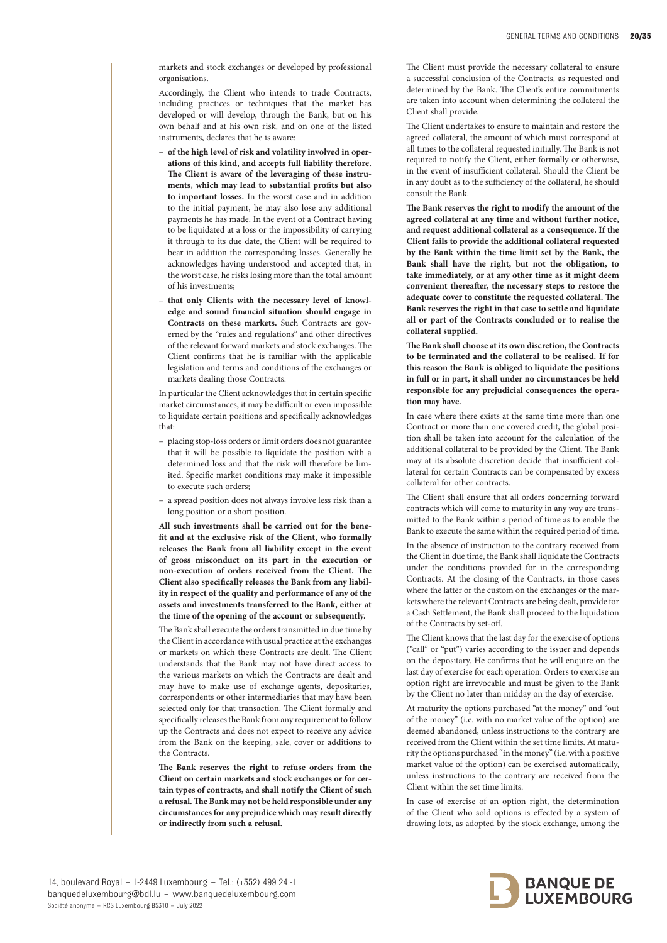markets and stock exchanges or developed by professional organisations.

Accordingly, the Client who intends to trade Contracts, including practices or techniques that the market has developed or will develop, through the Bank, but on his own behalf and at his own risk, and on one of the listed instruments, declares that he is aware:

- **of the high level of risk and volatility involved in operations of this kind, and accepts full liability therefore. The Client is aware of the leveraging of these instruments, which may lead to substantial profits but also to important losses.** In the worst case and in addition to the initial payment, he may also lose any additional payments he has made. In the event of a Contract having to be liquidated at a loss or the impossibility of carrying it through to its due date, the Client will be required to bear in addition the corresponding losses. Generally he acknowledges having understood and accepted that, in the worst case, he risks losing more than the total amount of his investments;
- that only Clients with the necessary level of knowl**edge and sound financial situation should engage in Contracts on these markets.** Such Contracts are governed by the "rules and regulations" and other directives of the relevant forward markets and stock exchanges. The Client confirms that he is familiar with the applicable legislation and terms and conditions of the exchanges or markets dealing those Contracts.

In particular the Client acknowledges that in certain specific market circumstances, it may be difficult or even impossible to liquidate certain positions and specifically acknowledges that:

- placing stop-loss orders or limit orders does not guarantee that it will be possible to liquidate the position with a determined loss and that the risk will therefore be limited. Specific market conditions may make it impossible to execute such orders;
- a spread position does not always involve less risk than a long position or a short position.

**All such investments shall be carried out for the benefit and at the exclusive risk of the Client, who formally releases the Bank from all liability except in the event of gross misconduct on its part in the execution or non-execution of orders received from the Client. The Client also specifically releases the Bank from any liability in respect of the quality and performance of any of the assets and investments transferred to the Bank, either at the time of the opening of the account or subsequently.** 

The Bank shall execute the orders transmitted in due time by the Client in accordance with usual practice at the exchanges or markets on which these Contracts are dealt. The Client understands that the Bank may not have direct access to the various markets on which the Contracts are dealt and may have to make use of exchange agents, depositaries, correspondents or other intermediaries that may have been selected only for that transaction. The Client formally and specifically releases the Bank from any requirement to follow up the Contracts and does not expect to receive any advice from the Bank on the keeping, sale, cover or additions to the Contracts.

**The Bank reserves the right to refuse orders from the Client on certain markets and stock exchanges or for certain types of contracts, and shall notify the Client of such a refusal. The Bank may not be held responsible under any circumstances for any prejudice which may result directly or indirectly from such a refusal.** 

The Client must provide the necessary collateral to ensure a successful conclusion of the Contracts, as requested and determined by the Bank. The Client's entire commitments are taken into account when determining the collateral the Client shall provide.

The Client undertakes to ensure to maintain and restore the agreed collateral, the amount of which must correspond at all times to the collateral requested initially. The Bank is not required to notify the Client, either formally or otherwise, in the event of insufficient collateral. Should the Client be in any doubt as to the sufficiency of the collateral, he should consult the Bank.

**The Bank reserves the right to modify the amount of the agreed collateral at any time and without further notice, and request additional collateral as a consequence. If the Client fails to provide the additional collateral requested by the Bank within the time limit set by the Bank, the Bank shall have the right, but not the obligation, to take immediately, or at any other time as it might deem convenient thereafter, the necessary steps to restore the adequate cover to constitute the requested collateral. The Bank reserves the right in that case to settle and liquidate all or part of the Contracts concluded or to realise the collateral supplied.** 

**The Bank shall choose at its own discretion, the Contracts to be terminated and the collateral to be realised. If for this reason the Bank is obliged to liquidate the positions in full or in part, it shall under no circumstances be held responsible for any prejudicial consequences the operation may have.** 

In case where there exists at the same time more than one Contract or more than one covered credit, the global position shall be taken into account for the calculation of the additional collateral to be provided by the Client. The Bank may at its absolute discretion decide that insufficient collateral for certain Contracts can be compensated by excess collateral for other contracts.

The Client shall ensure that all orders concerning forward contracts which will come to maturity in any way are transmitted to the Bank within a period of time as to enable the Bank to execute the same within the required period of time.

In the absence of instruction to the contrary received from the Client in due time, the Bank shall liquidate the Contracts under the conditions provided for in the corresponding Contracts. At the closing of the Contracts, in those cases where the latter or the custom on the exchanges or the markets where the relevant Contracts are being dealt, provide for a Cash Settlement, the Bank shall proceed to the liquidation of the Contracts by set-off.

The Client knows that the last day for the exercise of options ("call" or "put") varies according to the issuer and depends on the depositary. He confirms that he will enquire on the last day of exercise for each operation. Orders to exercise an option right are irrevocable and must be given to the Bank by the Client no later than midday on the day of exercise.

At maturity the options purchased "at the money" and "out of the money" (i.e. with no market value of the option) are deemed abandoned, unless instructions to the contrary are received from the Client within the set time limits. At maturity the options purchased "in the money" (i.e. with a positive market value of the option) can be exercised automatically, unless instructions to the contrary are received from the Client within the set time limits.

In case of exercise of an option right, the determination of the Client who sold options is effected by a system of drawing lots, as adopted by the stock exchange, among the

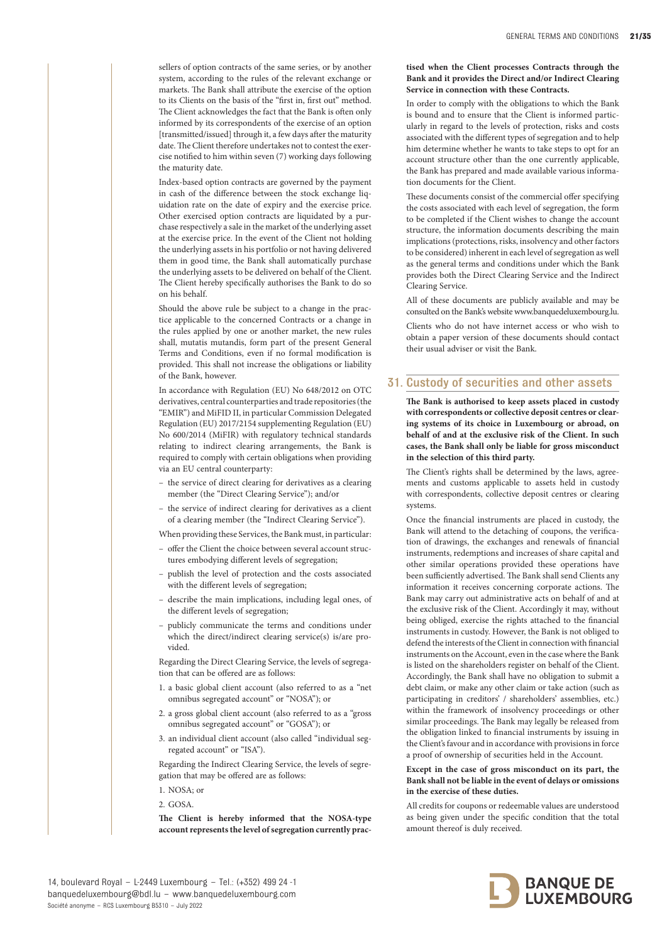sellers of option contracts of the same series, or by another system, according to the rules of the relevant exchange or markets. The Bank shall attribute the exercise of the option to its Clients on the basis of the "first in, first out" method. The Client acknowledges the fact that the Bank is often only informed by its correspondents of the exercise of an option [transmitted/issued] through it, a few days after the maturity date. The Client therefore undertakes not to contest the exercise notified to him within seven (7) working days following the maturity date.

Index-based option contracts are governed by the payment in cash of the difference between the stock exchange liquidation rate on the date of expiry and the exercise price. Other exercised option contracts are liquidated by a purchase respectively a sale in the market of the underlying asset at the exercise price. In the event of the Client not holding the underlying assets in his portfolio or not having delivered them in good time, the Bank shall automatically purchase the underlying assets to be delivered on behalf of the Client. The Client hereby specifically authorises the Bank to do so on his behalf.

Should the above rule be subject to a change in the practice applicable to the concerned Contracts or a change in the rules applied by one or another market, the new rules shall, mutatis mutandis, form part of the present General Terms and Conditions, even if no formal modification is provided. This shall not increase the obligations or liability of the Bank, however.

In accordance with Regulation (EU) No 648/2012 on OTC derivatives, central counterparties and trade repositories (the "EMIR") and MiFID II, in particular Commission Delegated Regulation (EU) 2017/2154 supplementing Regulation (EU) No 600/2014 (MiFIR) with regulatory technical standards relating to indirect clearing arrangements, the Bank is required to comply with certain obligations when providing via an EU central counterparty:

- the service of direct clearing for derivatives as a clearing member (the "Direct Clearing Service"); and/or
- the service of indirect clearing for derivatives as a client of a clearing member (the "Indirect Clearing Service").

When providing these Services, the Bank must, in particular:

- offer the Client the choice between several account structures embodying different levels of segregation;
- publish the level of protection and the costs associated with the different levels of segregation;
- describe the main implications, including legal ones, of the different levels of segregation;
- publicly communicate the terms and conditions under which the direct/indirect clearing service(s) is/are provided.

Regarding the Direct Clearing Service, the levels of segregation that can be offered are as follows:

- 1. a basic global client account (also referred to as a "net omnibus segregated account" or "NOSA"); or
- 2. a gross global client account (also referred to as a "gross omnibus segregated account" or "GOSA"); or
- 3. an individual client account (also called "individual segregated account" or "ISA").

Regarding the Indirect Clearing Service, the levels of segregation that may be offered are as follows:

- 1. NOSA; or
- 2. GOSA.

**The Client is hereby informed that the NOSA-type account represents the level of segregation currently prac-**

#### **tised when the Client processes Contracts through the Bank and it provides the Direct and/or Indirect Clearing Service in connection with these Contracts.**

In order to comply with the obligations to which the Bank is bound and to ensure that the Client is informed particularly in regard to the levels of protection, risks and costs associated with the different types of segregation and to help him determine whether he wants to take steps to opt for an account structure other than the one currently applicable, the Bank has prepared and made available various information documents for the Client.

These documents consist of the commercial offer specifying the costs associated with each level of segregation, the form to be completed if the Client wishes to change the account structure, the information documents describing the main implications (protections, risks, insolvency and other factors to be considered) inherent in each level of segregation as well as the general terms and conditions under which the Bank provides both the Direct Clearing Service and the Indirect Clearing Service.

All of these documents are publicly available and may be consulted on the Bank's website www.banquedeluxembourg.lu. Clients who do not have internet access or who wish to

obtain a paper version of these documents should contact their usual adviser or visit the Bank.

# 31. Custody of securities and other assets

**The Bank is authorised to keep assets placed in custody with correspondents or collective deposit centres or clearing systems of its choice in Luxembourg or abroad, on behalf of and at the exclusive risk of the Client. In such cases, the Bank shall only be liable for gross misconduct in the selection of this third party.** 

The Client's rights shall be determined by the laws, agreements and customs applicable to assets held in custody with correspondents, collective deposit centres or clearing systems.

Once the financial instruments are placed in custody, the Bank will attend to the detaching of coupons, the verification of drawings, the exchanges and renewals of financial instruments, redemptions and increases of share capital and other similar operations provided these operations have been sufficiently advertised. The Bank shall send Clients any information it receives concerning corporate actions. The Bank may carry out administrative acts on behalf of and at the exclusive risk of the Client. Accordingly it may, without being obliged, exercise the rights attached to the financial instruments in custody. However, the Bank is not obliged to defend the interests of the Client in connection with financial instruments on the Account, even in the case where the Bank is listed on the shareholders register on behalf of the Client. Accordingly, the Bank shall have no obligation to submit a debt claim, or make any other claim or take action (such as participating in creditors' / shareholders' assemblies, etc.) within the framework of insolvency proceedings or other similar proceedings. The Bank may legally be released from the obligation linked to financial instruments by issuing in the Client's favour and in accordance with provisions in force a proof of ownership of securities held in the Account.

#### **Except in the case of gross misconduct on its part, the Bank shall not be liable in the event of delays or omissions in the exercise of these duties.**

All credits for coupons or redeemable values are understood as being given under the specific condition that the total amount thereof is duly received.

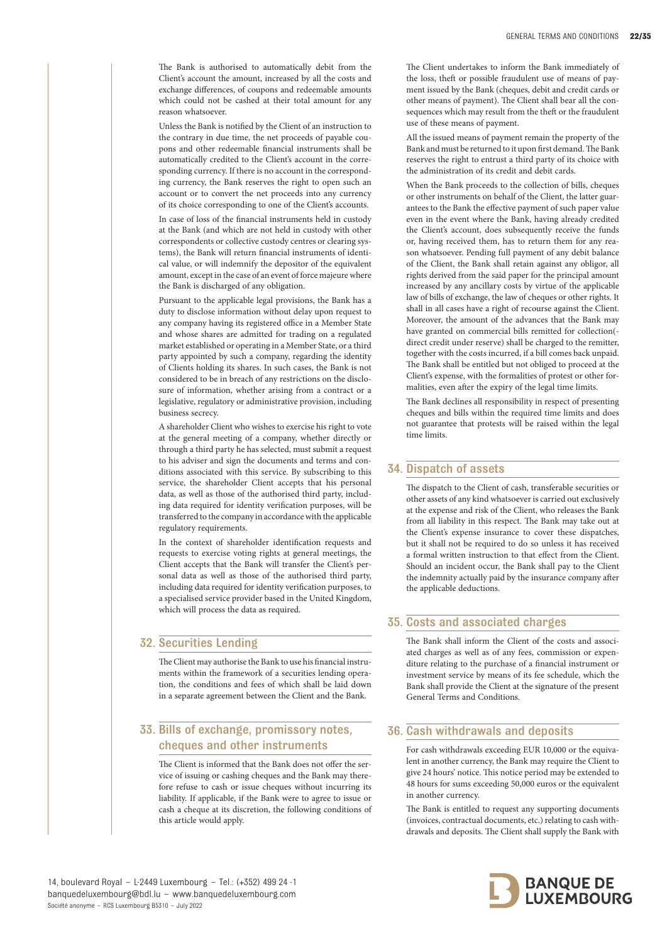The Bank is authorised to automatically debit from the Client's account the amount, increased by all the costs and exchange differences, of coupons and redeemable amounts which could not be cashed at their total amount for any reason whatsoever.

Unless the Bank is notified by the Client of an instruction to the contrary in due time, the net proceeds of payable coupons and other redeemable financial instruments shall be automatically credited to the Client's account in the corresponding currency. If there is no account in the corresponding currency, the Bank reserves the right to open such an account or to convert the net proceeds into any currency of its choice corresponding to one of the Client's accounts.

In case of loss of the financial instruments held in custody at the Bank (and which are not held in custody with other correspondents or collective custody centres or clearing systems), the Bank will return financial instruments of identical value, or will indemnify the depositor of the equivalent amount, except in the case of an event of force majeure where the Bank is discharged of any obligation.

Pursuant to the applicable legal provisions, the Bank has a duty to disclose information without delay upon request to any company having its registered office in a Member State and whose shares are admitted for trading on a regulated market established or operating in a Member State, or a third party appointed by such a company, regarding the identity of Clients holding its shares. In such cases, the Bank is not considered to be in breach of any restrictions on the disclosure of information, whether arising from a contract or a legislative, regulatory or administrative provision, including business secrecy.

A shareholder Client who wishes to exercise his right to vote at the general meeting of a company, whether directly or through a third party he has selected, must submit a request to his adviser and sign the documents and terms and conditions associated with this service. By subscribing to this service, the shareholder Client accepts that his personal data, as well as those of the authorised third party, including data required for identity verification purposes, will be transferred to the company in accordance with the applicable regulatory requirements.

In the context of shareholder identification requests and requests to exercise voting rights at general meetings, the Client accepts that the Bank will transfer the Client's personal data as well as those of the authorised third party, including data required for identity verification purposes, to a specialised service provider based in the United Kingdom, which will process the data as required.

# 32. Securities Lending

The Client may authorise the Bank to use his financial instruments within the framework of a securities lending operation, the conditions and fees of which shall be laid down in a separate agreement between the Client and the Bank.

# 33. Bills of exchange, promissory notes, cheques and other instruments

The Client is informed that the Bank does not offer the service of issuing or cashing cheques and the Bank may therefore refuse to cash or issue cheques without incurring its liability. If applicable, if the Bank were to agree to issue or cash a cheque at its discretion, the following conditions of this article would apply.

The Client undertakes to inform the Bank immediately of the loss, theft or possible fraudulent use of means of payment issued by the Bank (cheques, debit and credit cards or other means of payment). The Client shall bear all the consequences which may result from the theft or the fraudulent use of these means of payment.

All the issued means of payment remain the property of the Bank and must be returned to it upon first demand. The Bank reserves the right to entrust a third party of its choice with the administration of its credit and debit cards.

When the Bank proceeds to the collection of bills, cheques or other instruments on behalf of the Client, the latter guarantees to the Bank the effective payment of such paper value even in the event where the Bank, having already credited the Client's account, does subsequently receive the funds or, having received them, has to return them for any reason whatsoever. Pending full payment of any debit balance of the Client, the Bank shall retain against any obligor, all rights derived from the said paper for the principal amount increased by any ancillary costs by virtue of the applicable law of bills of exchange, the law of cheques or other rights. It shall in all cases have a right of recourse against the Client. Moreover, the amount of the advances that the Bank may have granted on commercial bills remitted for collection( direct credit under reserve) shall be charged to the remitter, together with the costs incurred, if a bill comes back unpaid. The Bank shall be entitled but not obliged to proceed at the Client's expense, with the formalities of protest or other formalities, even after the expiry of the legal time limits.

The Bank declines all responsibility in respect of presenting cheques and bills within the required time limits and does not guarantee that protests will be raised within the legal time limits.

# 34. Dispatch of assets

The dispatch to the Client of cash, transferable securities or other assets of any kind whatsoever is carried out exclusively at the expense and risk of the Client, who releases the Bank from all liability in this respect. The Bank may take out at the Client's expense insurance to cover these dispatches, but it shall not be required to do so unless it has received a formal written instruction to that effect from the Client. Should an incident occur, the Bank shall pay to the Client the indemnity actually paid by the insurance company after the applicable deductions.

## 35. Costs and associated charges

The Bank shall inform the Client of the costs and associated charges as well as of any fees, commission or expenditure relating to the purchase of a financial instrument or investment service by means of its fee schedule, which the Bank shall provide the Client at the signature of the present General Terms and Conditions.

# 36. Cash withdrawals and deposits

For cash withdrawals exceeding EUR 10,000 or the equivalent in another currency, the Bank may require the Client to give 24 hours' notice. This notice period may be extended to 48 hours for sums exceeding 50,000 euros or the equivalent in another currency.

The Bank is entitled to request any supporting documents (invoices, contractual documents, etc.) relating to cash withdrawals and deposits. The Client shall supply the Bank with

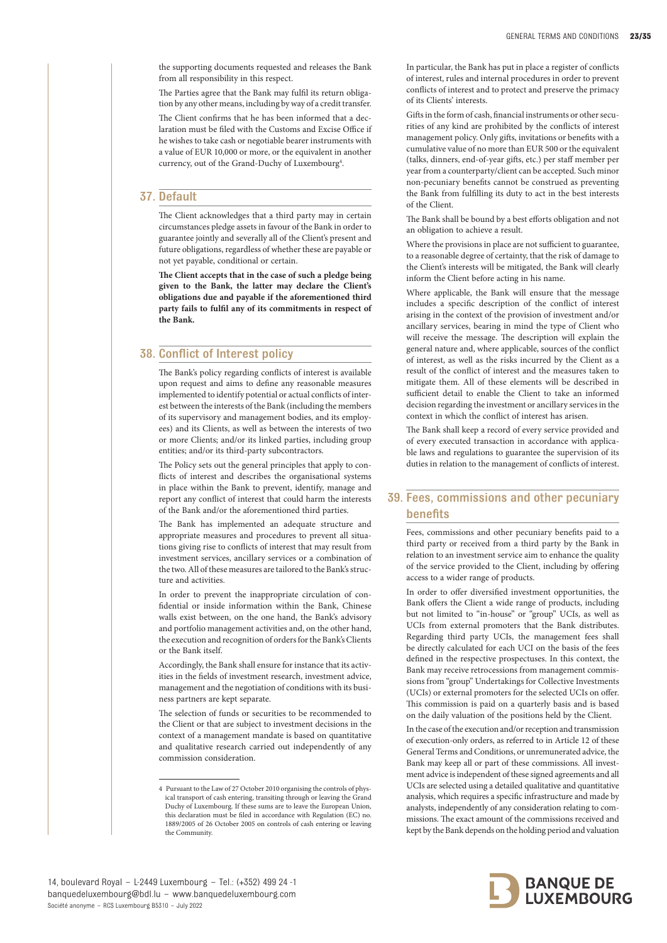the supporting documents requested and releases the Bank from all responsibility in this respect.

The Parties agree that the Bank may fulfil its return obligation by any other means, including by way of a credit transfer.

The Client confirms that he has been informed that a declaration must be filed with the Customs and Excise Office if he wishes to take cash or negotiable bearer instruments with a value of EUR 10,000 or more, or the equivalent in another currency, out of the Grand-Duchy of Luxembourg<sup>4</sup>.

# 37. Default

The Client acknowledges that a third party may in certain circumstances pledge assets in favour of the Bank in order to guarantee jointly and severally all of the Client's present and future obligations, regardless of whether these are payable or not yet payable, conditional or certain.

**The Client accepts that in the case of such a pledge being given to the Bank, the latter may declare the Client's obligations due and payable if the aforementioned third party fails to fulfil any of its commitments in respect of the Bank.**

# 38. Conflict of Interest policy

The Bank's policy regarding conflicts of interest is available upon request and aims to define any reasonable measures implemented to identify potential or actual conflicts of interest between the interests of the Bank (including the members of its supervisory and management bodies, and its employees) and its Clients, as well as between the interests of two or more Clients; and/or its linked parties, including group entities; and/or its third-party subcontractors.

The Policy sets out the general principles that apply to conflicts of interest and describes the organisational systems in place within the Bank to prevent, identify, manage and report any conflict of interest that could harm the interests of the Bank and/or the aforementioned third parties.

The Bank has implemented an adequate structure and appropriate measures and procedures to prevent all situations giving rise to conflicts of interest that may result from investment services, ancillary services or a combination of the two. All of these measures are tailored to the Bank's structure and activities.

In order to prevent the inappropriate circulation of confidential or inside information within the Bank, Chinese walls exist between, on the one hand, the Bank's advisory and portfolio management activities and, on the other hand, the execution and recognition of orders for the Bank's Clients or the Bank itself.

Accordingly, the Bank shall ensure for instance that its activities in the fields of investment research, investment advice, management and the negotiation of conditions with its business partners are kept separate.

The selection of funds or securities to be recommended to the Client or that are subject to investment decisions in the context of a management mandate is based on quantitative and qualitative research carried out independently of any commission consideration.

In particular, the Bank has put in place a register of conflicts of interest, rules and internal procedures in order to prevent conflicts of interest and to protect and preserve the primacy of its Clients' interests.

Gifts in the form of cash, financial instruments or other securities of any kind are prohibited by the conflicts of interest management policy. Only gifts, invitations or benefits with a cumulative value of no more than EUR 500 or the equivalent (talks, dinners, end-of-year gifts, etc.) per staff member per year from a counterparty/client can be accepted. Such minor non-pecuniary benefits cannot be construed as preventing the Bank from fulfilling its duty to act in the best interests of the Client.

The Bank shall be bound by a best efforts obligation and not an obligation to achieve a result.

Where the provisions in place are not sufficient to guarantee, to a reasonable degree of certainty, that the risk of damage to the Client's interests will be mitigated, the Bank will clearly inform the Client before acting in his name.

Where applicable, the Bank will ensure that the message includes a specific description of the conflict of interest arising in the context of the provision of investment and/or ancillary services, bearing in mind the type of Client who will receive the message. The description will explain the general nature and, where applicable, sources of the conflict of interest, as well as the risks incurred by the Client as a result of the conflict of interest and the measures taken to mitigate them. All of these elements will be described in sufficient detail to enable the Client to take an informed decision regarding the investment or ancillary services in the context in which the conflict of interest has arisen.

The Bank shall keep a record of every service provided and of every executed transaction in accordance with applicable laws and regulations to guarantee the supervision of its duties in relation to the management of conflicts of interest.

# 39. Fees, commissions and other pecuniary benefits

Fees, commissions and other pecuniary benefits paid to a third party or received from a third party by the Bank in relation to an investment service aim to enhance the quality of the service provided to the Client, including by offering access to a wider range of products.

In order to offer diversified investment opportunities, the Bank offers the Client a wide range of products, including but not limited to "in-house" or "group" UCIs, as well as UCIs from external promoters that the Bank distributes. Regarding third party UCIs, the management fees shall be directly calculated for each UCI on the basis of the fees defined in the respective prospectuses. In this context, the Bank may receive retrocessions from management commissions from "group" Undertakings for Collective Investments (UCIs) or external promoters for the selected UCIs on offer. This commission is paid on a quarterly basis and is based on the daily valuation of the positions held by the Client.

In the case of the execution and/or reception and transmission of execution-only orders, as referred to in Article 12 of these General Terms and Conditions, or unremunerated advice, the Bank may keep all or part of these commissions. All investment advice is independent of these signed agreements and all UCIs are selected using a detailed qualitative and quantitative analysis, which requires a specific infrastructure and made by analysts, independently of any consideration relating to commissions. The exact amount of the commissions received and kept by the Bank depends on the holding period and valuation



<sup>4</sup> Pursuant to the Law of 27 October 2010 organising the controls of physical transport of cash entering, transiting through or leaving the Grand Duchy of Luxembourg. If these sums are to leave the European Union, this declaration must be filed in accordance with Regulation (EC) no. 1889/2005 of 26 October 2005 on controls of cash entering or leaving the Community.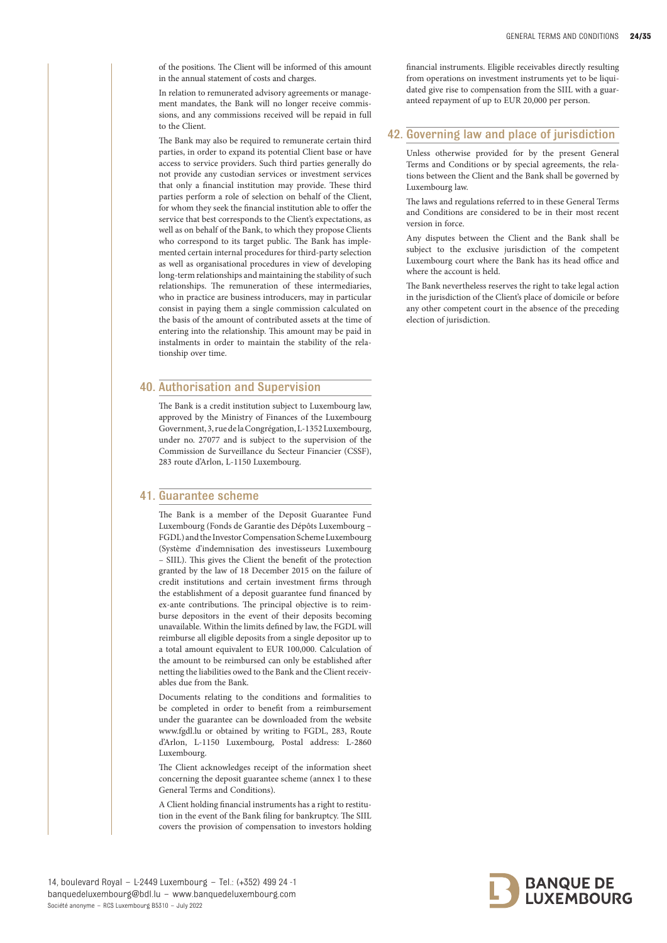of the positions. The Client will be informed of this amount in the annual statement of costs and charges.

In relation to remunerated advisory agreements or management mandates, the Bank will no longer receive commissions, and any commissions received will be repaid in full to the Client.

The Bank may also be required to remunerate certain third parties, in order to expand its potential Client base or have access to service providers. Such third parties generally do not provide any custodian services or investment services that only a financial institution may provide. These third parties perform a role of selection on behalf of the Client, for whom they seek the financial institution able to offer the service that best corresponds to the Client's expectations, as well as on behalf of the Bank, to which they propose Clients who correspond to its target public. The Bank has implemented certain internal procedures for third-party selection as well as organisational procedures in view of developing long-term relationships and maintaining the stability of such relationships. The remuneration of these intermediaries, who in practice are business introducers, may in particular consist in paying them a single commission calculated on the basis of the amount of contributed assets at the time of entering into the relationship. This amount may be paid in instalments in order to maintain the stability of the relationship over time.

# 40. Authorisation and Supervision

The Bank is a credit institution subject to Luxembourg law, approved by the Ministry of Finances of the Luxembourg Government, 3, rue de la Congrégation, L-1352 Luxembourg, under no. 27077 and is subject to the supervision of the Commission de Surveillance du Secteur Financier (CSSF), 283 route d'Arlon, L-1150 Luxembourg.

# 41. Guarantee scheme

The Bank is a member of the Deposit Guarantee Fund Luxembourg (Fonds de Garantie des Dépôts Luxembourg – FGDL) and the Investor Compensation Scheme Luxembourg (Système d'indemnisation des investisseurs Luxembourg – SIIL). This gives the Client the benefit of the protection granted by the law of 18 December 2015 on the failure of credit institutions and certain investment firms through the establishment of a deposit guarantee fund financed by ex-ante contributions. The principal objective is to reimburse depositors in the event of their deposits becoming unavailable. Within the limits defined by law, the FGDL will reimburse all eligible deposits from a single depositor up to a total amount equivalent to EUR 100,000. Calculation of the amount to be reimbursed can only be established after netting the liabilities owed to the Bank and the Client receivables due from the Bank.

Documents relating to the conditions and formalities to be completed in order to benefit from a reimbursement under the guarantee can be downloaded from the website www.fgdl.lu or obtained by writing to FGDL, 283, Route d'Arlon, L-1150 Luxembourg, Postal address: L-2860 Luxembourg.

The Client acknowledges receipt of the information sheet concerning the deposit guarantee scheme (annex 1 to these General Terms and Conditions).

A Client holding financial instruments has a right to restitution in the event of the Bank filing for bankruptcy. The SIIL covers the provision of compensation to investors holding financial instruments. Eligible receivables directly resulting from operations on investment instruments yet to be liquidated give rise to compensation from the SIIL with a guaranteed repayment of up to EUR 20,000 per person.

# 42. Governing law and place of jurisdiction

Unless otherwise provided for by the present General Terms and Conditions or by special agreements, the relations between the Client and the Bank shall be governed by Luxembourg law.

The laws and regulations referred to in these General Terms and Conditions are considered to be in their most recent version in force.

Any disputes between the Client and the Bank shall be subject to the exclusive jurisdiction of the competent Luxembourg court where the Bank has its head office and where the account is held.

The Bank nevertheless reserves the right to take legal action in the jurisdiction of the Client's place of domicile or before any other competent court in the absence of the preceding election of jurisdiction.

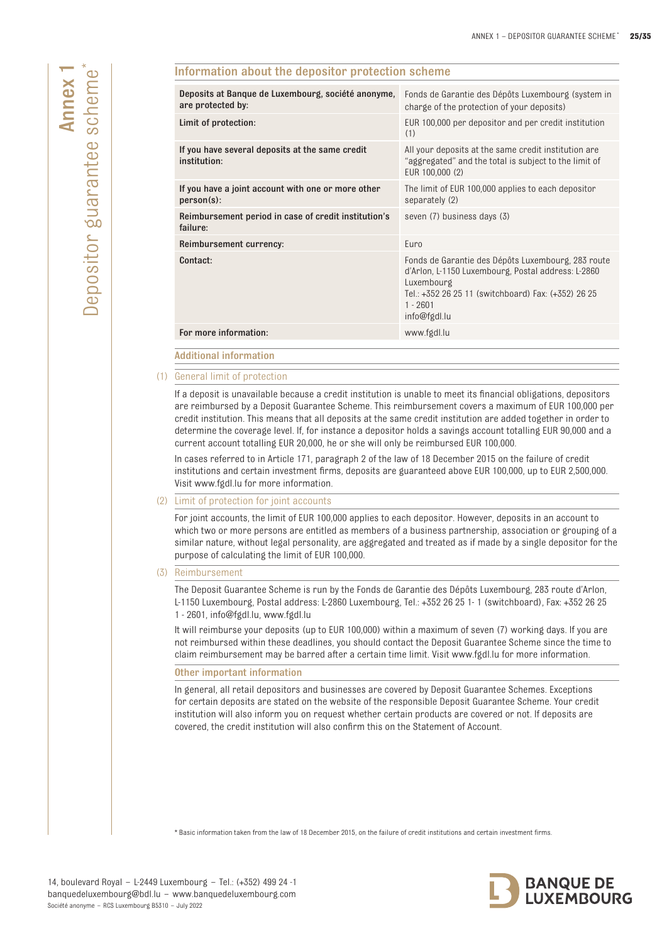| Deposits at Banque de Luxembourg, société anonyme,<br>are protected by: | Fonds de Garantie des Dépôts Luxembourg (system in<br>charge of the protection of your deposits)                                                                                                            |
|-------------------------------------------------------------------------|-------------------------------------------------------------------------------------------------------------------------------------------------------------------------------------------------------------|
| Limit of protection:                                                    | EUR 100,000 per depositor and per credit institution<br>(1)                                                                                                                                                 |
| If you have several deposits at the same credit<br>institution:         | All your deposits at the same credit institution are<br>"aggregated" and the total is subject to the limit of<br>EUR 100,000 (2)                                                                            |
| If you have a joint account with one or more other<br>person(s):        | The limit of EUR 100,000 applies to each depositor<br>separately (2)                                                                                                                                        |
| Reimbursement period in case of credit institution's<br>failure:        | seven (7) business days (3)                                                                                                                                                                                 |
| Reimbursement currency:                                                 | Euro                                                                                                                                                                                                        |
| Contact:                                                                | Fonds de Garantie des Dépôts Luxembourg, 283 route<br>d'Arlon, L-1150 Luxembourg, Postal address: L-2860<br>Luxembourg<br>Tel.: +352 26 25 11 (switchboard) Fax: (+352) 26 25<br>$1 - 2601$<br>info@fgdl.lu |
|                                                                         | www.fgdl.lu                                                                                                                                                                                                 |

Information about the depositor protection scheme

## (1) General limit of protection

If a deposit is unavailable because a credit institution is unable to meet its financial obligations, depositors are reimbursed by a Deposit Guarantee Scheme. This reimbursement covers a maximum of EUR 100,000 per credit institution. This means that all deposits at the same credit institution are added together in order to determine the coverage level. If, for instance a depositor holds a savings account totalling EUR 90,000 and a current account totalling EUR 20,000, he or she will only be reimbursed EUR 100,000.

In cases referred to in Article 171, paragraph 2 of the law of 18 December 2015 on the failure of credit institutions and certain investment firms, deposits are guaranteed above EUR 100,000, up to EUR 2,500,000. Visit www.fgdl.lu for more information.

#### (2) Limit of protection for joint accounts

For joint accounts, the limit of EUR 100,000 applies to each depositor. However, deposits in an account to which two or more persons are entitled as members of a business partnership, association or grouping of a similar nature, without legal personality, are aggregated and treated as if made by a single depositor for the purpose of calculating the limit of EUR 100,000.

#### (3) Reimbursement

The Deposit Guarantee Scheme is run by the Fonds de Garantie des Dépôts Luxembourg, 283 route d'Arlon, L-1150 Luxembourg, Postal address: L-2860 Luxembourg, Tel.: +352 26 25 1- 1 (switchboard), Fax: +352 26 25 1 - 2601, info@fgdl.lu, www.fgdl.lu

It will reimburse your deposits (up to EUR 100,000) within a maximum of seven (7) working days. If you are not reimbursed within these deadlines, you should contact the Deposit Guarantee Scheme since the time to claim reimbursement may be barred after a certain time limit. Visit www.fgdl.lu for more information.

#### Other important information

In general, all retail depositors and businesses are covered by Deposit Guarantee Schemes. Exceptions for certain deposits are stated on the website of the responsible Deposit Guarantee Scheme. Your credit institution will also inform you on request whether certain products are covered or not. If deposits are covered, the credit institution will also confirm this on the Statement of Account.

\* Basic information taken from the law of 18 December 2015, on the failure of credit institutions and certain investment firms.

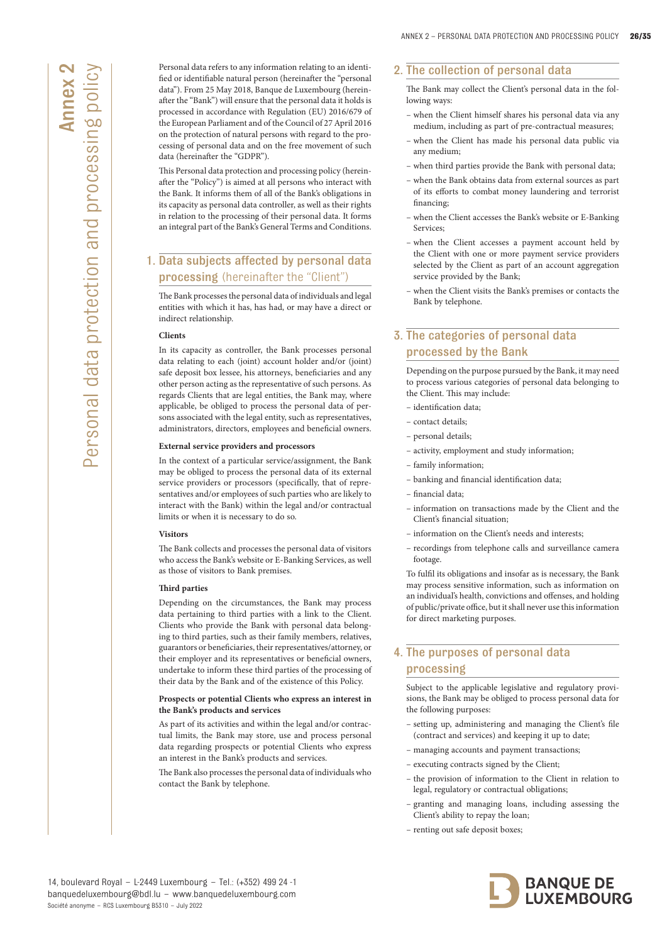Personal data refers to any information relating to an identified or identifiable natural person (hereinafter the "personal data"). From 25 May 2018, Banque de Luxembourg (hereinafter the "Bank") will ensure that the personal data it holds is processed in accordance with Regulation (EU) 2016/679 of the European Parliament and of the Council of 27 April 2016 on the protection of natural persons with regard to the processing of personal data and on the free movement of such data (hereinafter the "GDPR").

This Personal data protection and processing policy (hereinafter the "Policy") is aimed at all persons who interact with the Bank. It informs them of all of the Bank's obligations in its capacity as personal data controller, as well as their rights in relation to the processing of their personal data. It forms an integral part of the Bank's General Terms and Conditions.

# 1. Data subjects affected by personal data processing (hereinafter the "Client")

The Bank processes the personal data of individuals and legal entities with which it has, has had, or may have a direct or indirect relationship.

#### **Clients**

In its capacity as controller, the Bank processes personal data relating to each (joint) account holder and/or (joint) safe deposit box lessee, his attorneys, beneficiaries and any other person acting as the representative of such persons. As regards Clients that are legal entities, the Bank may, where applicable, be obliged to process the personal data of persons associated with the legal entity, such as representatives, administrators, directors, employees and beneficial owners.

#### **External service providers and processors**

In the context of a particular service/assignment, the Bank may be obliged to process the personal data of its external service providers or processors (specifically, that of representatives and/or employees of such parties who are likely to interact with the Bank) within the legal and/or contractual limits or when it is necessary to do so.

#### **Visitors**

The Bank collects and processes the personal data of visitors who access the Bank's website or E-Banking Services, as well as those of visitors to Bank premises.

## **Third parties**

Depending on the circumstances, the Bank may process data pertaining to third parties with a link to the Client. Clients who provide the Bank with personal data belonging to third parties, such as their family members, relatives, guarantors or beneficiaries, their representatives/attorney, or their employer and its representatives or beneficial owners, undertake to inform these third parties of the processing of their data by the Bank and of the existence of this Policy.

#### **Prospects or potential Clients who express an interest in the Bank's products and services**

As part of its activities and within the legal and/or contractual limits, the Bank may store, use and process personal data regarding prospects or potential Clients who express an interest in the Bank's products and services.

The Bank also processes the personal data of individuals who contact the Bank by telephone.

# 2. The collection of personal data

The Bank may collect the Client's personal data in the following ways:

- when the Client himself shares his personal data via any medium, including as part of pre-contractual measures;
- when the Client has made his personal data public via any medium;
- when third parties provide the Bank with personal data;
- when the Bank obtains data from external sources as part of its efforts to combat money laundering and terrorist financing;
- when the Client accesses the Bank's website or E-Banking Services;
- when the Client accesses a payment account held by the Client with one or more payment service providers selected by the Client as part of an account aggregation service provided by the Bank;
- when the Client visits the Bank's premises or contacts the Bank by telephone.

# 3. The categories of personal data processed by the Bank

Depending on the purpose pursued by the Bank, it may need to process various categories of personal data belonging to the Client. This may include:

- identification data;
- contact details;
- personal details;
- activity, employment and study information;
- family information;
- banking and financial identification data;
- financial data;
- information on transactions made by the Client and the Client's financial situation;
- information on the Client's needs and interests;
- recordings from telephone calls and surveillance camera footage.

To fulfil its obligations and insofar as is necessary, the Bank may process sensitive information, such as information on an individual's health, convictions and offenses, and holding of public/private office, but it shall never use this information for direct marketing purposes.

# 4. The purposes of personal data processing

Subject to the applicable legislative and regulatory provisions, the Bank may be obliged to process personal data for the following purposes:

- setting up, administering and managing the Client's file (contract and services) and keeping it up to date;
- managing accounts and payment transactions;
- executing contracts signed by the Client;
- the provision of information to the Client in relation to legal, regulatory or contractual obligations;
- granting and managing loans, including assessing the Client's ability to repay the loan;
- renting out safe deposit boxes;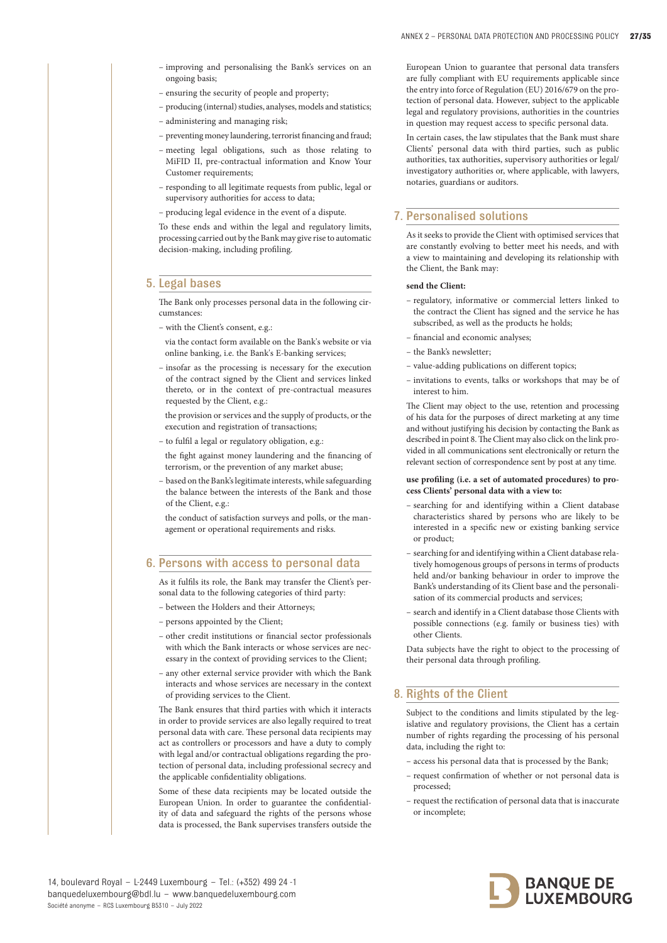- improving and personalising the Bank's services on an ongoing basis;
- ensuring the security of people and property;
- producing (internal) studies, analyses, models and statistics;
- administering and managing risk;
- preventing money laundering, terrorist financing and fraud;
- meeting legal obligations, such as those relating to MiFID II, pre-contractual information and Know Your Customer requirements;
- responding to all legitimate requests from public, legal or supervisory authorities for access to data;
- producing legal evidence in the event of a dispute.

To these ends and within the legal and regulatory limits, processing carried out by the Bank may give rise to automatic decision-making, including profiling.

# 5. Legal bases

The Bank only processes personal data in the following circumstances:

– with the Client's consent, e.g.:

via the contact form available on the Bank's website or via online banking, i.e. the Bank's E-banking services;

– insofar as the processing is necessary for the execution of the contract signed by the Client and services linked thereto, or in the context of pre-contractual measures requested by the Client, e.g.:

the provision or services and the supply of products, or the execution and registration of transactions;

– to fulfil a legal or regulatory obligation, e.g.:

the fight against money laundering and the financing of terrorism, or the prevention of any market abuse;

– based on the Bank's legitimate interests, while safeguarding the balance between the interests of the Bank and those of the Client, e.g.:

the conduct of satisfaction surveys and polls, or the management or operational requirements and risks.

# 6. Persons with access to personal data

As it fulfils its role, the Bank may transfer the Client's personal data to the following categories of third party:

- between the Holders and their Attorneys;
- persons appointed by the Client;
- other credit institutions or financial sector professionals with which the Bank interacts or whose services are necessary in the context of providing services to the Client;
- any other external service provider with which the Bank interacts and whose services are necessary in the context of providing services to the Client.

The Bank ensures that third parties with which it interacts in order to provide services are also legally required to treat personal data with care. These personal data recipients may act as controllers or processors and have a duty to comply with legal and/or contractual obligations regarding the protection of personal data, including professional secrecy and the applicable confidentiality obligations.

Some of these data recipients may be located outside the European Union. In order to guarantee the confidentiality of data and safeguard the rights of the persons whose data is processed, the Bank supervises transfers outside the

European Union to guarantee that personal data transfers are fully compliant with EU requirements applicable since the entry into force of Regulation (EU) 2016/679 on the protection of personal data. However, subject to the applicable legal and regulatory provisions, authorities in the countries in question may request access to specific personal data.

In certain cases, the law stipulates that the Bank must share Clients' personal data with third parties, such as public authorities, tax authorities, supervisory authorities or legal/ investigatory authorities or, where applicable, with lawyers, notaries, guardians or auditors.

## 7. Personalised solutions

As it seeks to provide the Client with optimised services that are constantly evolving to better meet his needs, and with a view to maintaining and developing its relationship with the Client, the Bank may:

#### **send the Client:**

- regulatory, informative or commercial letters linked to the contract the Client has signed and the service he has subscribed, as well as the products he holds;
- financial and economic analyses;
- the Bank's newsletter;
- value-adding publications on different topics;
- invitations to events, talks or workshops that may be of interest to him.

The Client may object to the use, retention and processing of his data for the purposes of direct marketing at any time and without justifying his decision by contacting the Bank as described in point 8. The Client may also click on the link provided in all communications sent electronically or return the relevant section of correspondence sent by post at any time.

#### **use profiling (i.e. a set of automated procedures) to process Clients' personal data with a view to:**

- searching for and identifying within a Client database characteristics shared by persons who are likely to be interested in a specific new or existing banking service or product;
- searching for and identifying within a Client database relatively homogenous groups of persons in terms of products held and/or banking behaviour in order to improve the Bank's understanding of its Client base and the personalisation of its commercial products and services;
- search and identify in a Client database those Clients with possible connections (e.g. family or business ties) with other Clients.

Data subjects have the right to object to the processing of their personal data through profiling.

# 8. Rights of the Client

Subject to the conditions and limits stipulated by the legislative and regulatory provisions, the Client has a certain number of rights regarding the processing of his personal data, including the right to:

- access his personal data that is processed by the Bank;
- request confirmation of whether or not personal data is processed;
- request the rectification of personal data that is inaccurate or incomplete;

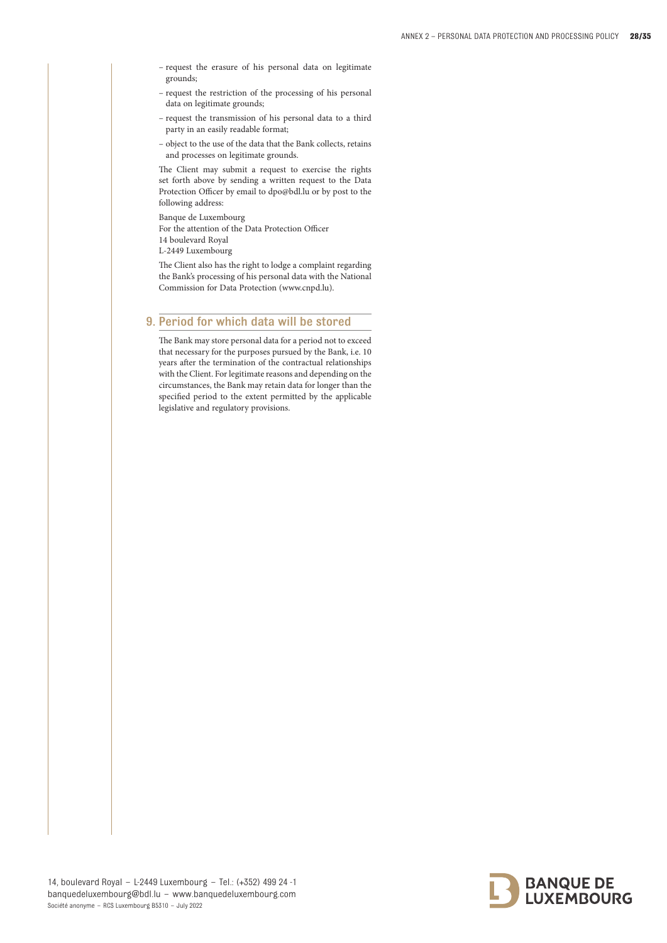- request the erasure of his personal data on legitimate grounds;
- request the restriction of the processing of his personal data on legitimate grounds;
- request the transmission of his personal data to a third party in an easily readable format;
- object to the use of the data that the Bank collects, retains and processes on legitimate grounds.

The Client may submit a request to exercise the rights set forth above by sending a written request to the Data Protection Officer by email to dpo@bdl.lu or by post to the following address:

Banque de Luxembourg

For the attention of the Data Protection Officer

14 boulevard Royal

L-2449 Luxembourg

The Client also has the right to lodge a complaint regarding the Bank's processing of his personal data with the National Commission for Data Protection (www.cnpd.lu).

# 9. Period for which data will be stored

The Bank may store personal data for a period not to exceed that necessary for the purposes pursued by the Bank, i.e. 10 years after the termination of the contractual relationships with the Client. For legitimate reasons and depending on the circumstances, the Bank may retain data for longer than the specified period to the extent permitted by the applicable legislative and regulatory provisions.

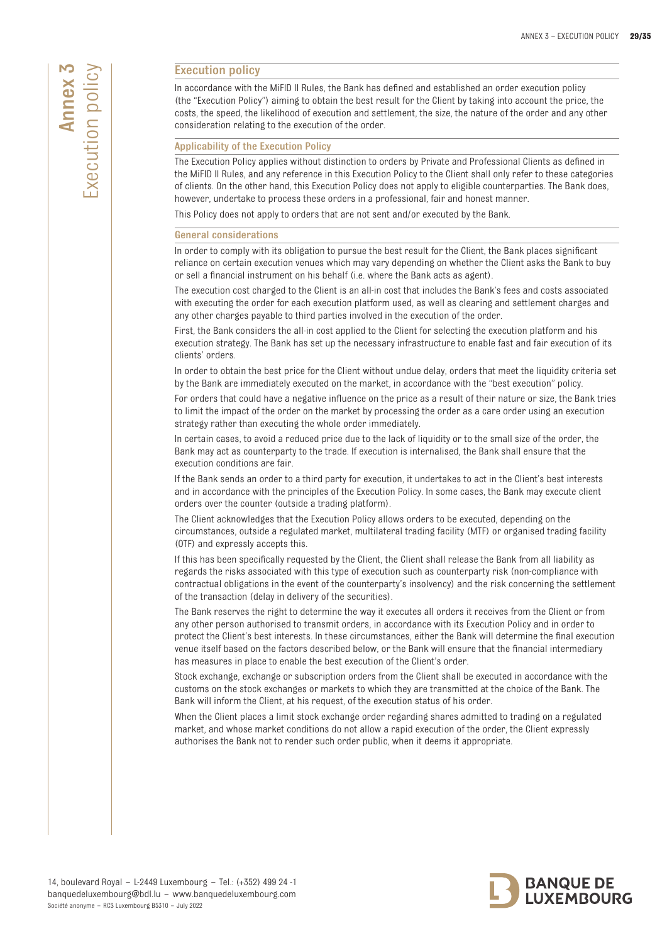# M Execution policy **xecution policy** Annex

# Execution policy

In accordance with the MiFID II Rules, the Bank has defined and established an order execution policy (the "Execution Policy") aiming to obtain the best result for the Client by taking into account the price, the costs, the speed, the likelihood of execution and settlement, the size, the nature of the order and any other consideration relating to the execution of the order.

## Applicability of the Execution Policy

The Execution Policy applies without distinction to orders by Private and Professional Clients as defined in the MiFID II Rules, and any reference in this Execution Policy to the Client shall only refer to these categories of clients. On the other hand, this Execution Policy does not apply to eligible counterparties. The Bank does, however, undertake to process these orders in a professional, fair and honest manner.

This Policy does not apply to orders that are not sent and/or executed by the Bank.

#### General considerations

In order to comply with its obligation to pursue the best result for the Client, the Bank places significant reliance on certain execution venues which may vary depending on whether the Client asks the Bank to buy or sell a financial instrument on his behalf (i.e. where the Bank acts as agent).

The execution cost charged to the Client is an all-in cost that includes the Bank's fees and costs associated with executing the order for each execution platform used, as well as clearing and settlement charges and any other charges payable to third parties involved in the execution of the order.

First, the Bank considers the all-in cost applied to the Client for selecting the execution platform and his execution strategy. The Bank has set up the necessary infrastructure to enable fast and fair execution of its clients' orders.

In order to obtain the best price for the Client without undue delay, orders that meet the liquidity criteria set by the Bank are immediately executed on the market, in accordance with the "best execution" policy.

For orders that could have a negative influence on the price as a result of their nature or size, the Bank tries to limit the impact of the order on the market by processing the order as a care order using an execution strategy rather than executing the whole order immediately.

In certain cases, to avoid a reduced price due to the lack of liquidity or to the small size of the order, the Bank may act as counterparty to the trade. If execution is internalised, the Bank shall ensure that the execution conditions are fair.

If the Bank sends an order to a third party for execution, it undertakes to act in the Client's best interests and in accordance with the principles of the Execution Policy. In some cases, the Bank may execute client orders over the counter (outside a trading platform).

The Client acknowledges that the Execution Policy allows orders to be executed, depending on the circumstances, outside a regulated market, multilateral trading facility (MTF) or organised trading facility (OTF) and expressly accepts this.

If this has been specifically requested by the Client, the Client shall release the Bank from all liability as regards the risks associated with this type of execution such as counterparty risk (non-compliance with contractual obligations in the event of the counterparty's insolvency) and the risk concerning the settlement of the transaction (delay in delivery of the securities).

The Bank reserves the right to determine the way it executes all orders it receives from the Client or from any other person authorised to transmit orders, in accordance with its Execution Policy and in order to protect the Client's best interests. In these circumstances, either the Bank will determine the final execution venue itself based on the factors described below, or the Bank will ensure that the financial intermediary has measures in place to enable the best execution of the Client's order.

Stock exchange, exchange or subscription orders from the Client shall be executed in accordance with the customs on the stock exchanges or markets to which they are transmitted at the choice of the Bank. The Bank will inform the Client, at his request, of the execution status of his order.

When the Client places a limit stock exchange order regarding shares admitted to trading on a regulated market, and whose market conditions do not allow a rapid execution of the order, the Client expressly authorises the Bank not to render such order public, when it deems it appropriate.

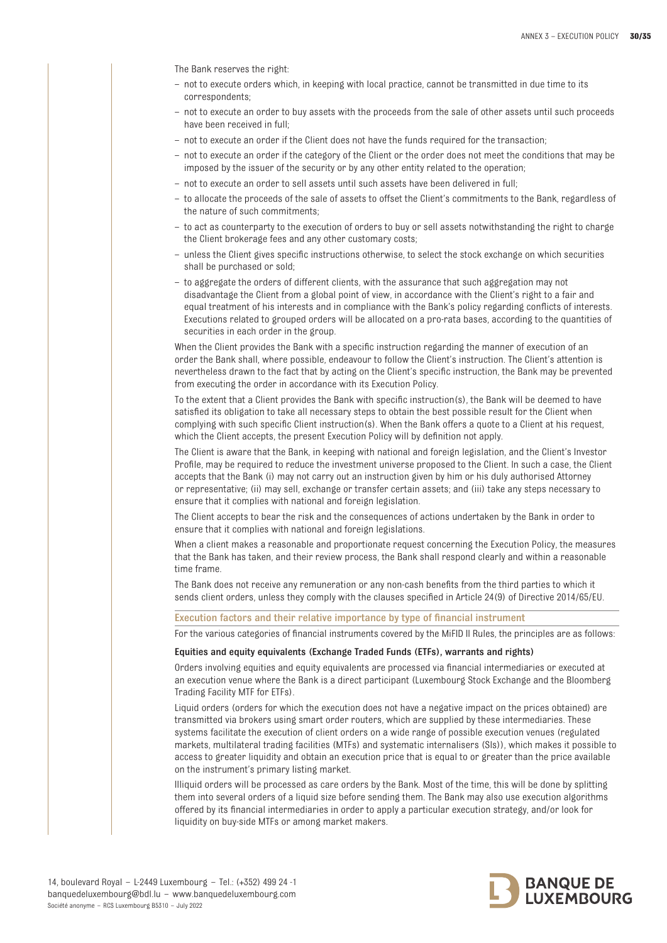The Bank reserves the right:

- not to execute orders which, in keeping with local practice, cannot be transmitted in due time to its correspondents;
- not to execute an order to buy assets with the proceeds from the sale of other assets until such proceeds have been received in full;
- not to execute an order if the Client does not have the funds required for the transaction;
- not to execute an order if the category of the Client or the order does not meet the conditions that may be imposed by the issuer of the security or by any other entity related to the operation;
- not to execute an order to sell assets until such assets have been delivered in full;
- to allocate the proceeds of the sale of assets to offset the Client's commitments to the Bank, regardless of the nature of such commitments;
- to act as counterparty to the execution of orders to buy or sell assets notwithstanding the right to charge the Client brokerage fees and any other customary costs;
- unless the Client gives specific instructions otherwise, to select the stock exchange on which securities shall be purchased or sold;
- to aggregate the orders of different clients, with the assurance that such aggregation may not disadvantage the Client from a global point of view, in accordance with the Client's right to a fair and equal treatment of his interests and in compliance with the Bank's policy regarding conflicts of interests. Executions related to grouped orders will be allocated on a pro-rata bases, according to the quantities of securities in each order in the group.

When the Client provides the Bank with a specific instruction regarding the manner of execution of an order the Bank shall, where possible, endeavour to follow the Client's instruction. The Client's attention is nevertheless drawn to the fact that by acting on the Client's specific instruction, the Bank may be prevented from executing the order in accordance with its Execution Policy.

To the extent that a Client provides the Bank with specific instruction(s), the Bank will be deemed to have satisfied its obligation to take all necessary steps to obtain the best possible result for the Client when complying with such specific Client instruction(s). When the Bank offers a quote to a Client at his request, which the Client accepts, the present Execution Policy will by definition not apply.

The Client is aware that the Bank, in keeping with national and foreign legislation, and the Client's Investor Profile, may be required to reduce the investment universe proposed to the Client. In such a case, the Client accepts that the Bank (i) may not carry out an instruction given by him or his duly authorised Attorney or representative; (ii) may sell, exchange or transfer certain assets; and (iii) take any steps necessary to ensure that it complies with national and foreign legislation.

The Client accepts to bear the risk and the consequences of actions undertaken by the Bank in order to ensure that it complies with national and foreign legislations.

When a client makes a reasonable and proportionate request concerning the Execution Policy, the measures that the Bank has taken, and their review process, the Bank shall respond clearly and within a reasonable time frame.

The Bank does not receive any remuneration or any non-cash benefits from the third parties to which it sends client orders, unless they comply with the clauses specified in Article 24(9) of Directive 2014/65/EU.

Execution factors and their relative importance by type of financial instrument

For the various categories of financial instruments covered by the MiFID II Rules, the principles are as follows:

#### Equities and equity equivalents (Exchange Traded Funds (ETFs), warrants and rights)

Orders involving equities and equity equivalents are processed via financial intermediaries or executed at an execution venue where the Bank is a direct participant (Luxembourg Stock Exchange and the Bloomberg Trading Facility MTF for ETFs).

Liquid orders (orders for which the execution does not have a negative impact on the prices obtained) are transmitted via brokers using smart order routers, which are supplied by these intermediaries. These systems facilitate the execution of client orders on a wide range of possible execution venues (regulated markets, multilateral trading facilities (MTFs) and systematic internalisers (SIs)), which makes it possible to access to greater liquidity and obtain an execution price that is equal to or greater than the price available on the instrument's primary listing market.

Illiquid orders will be processed as care orders by the Bank. Most of the time, this will be done by splitting them into several orders of a liquid size before sending them. The Bank may also use execution algorithms offered by its financial intermediaries in order to apply a particular execution strategy, and/or look for liquidity on buy-side MTFs or among market makers.

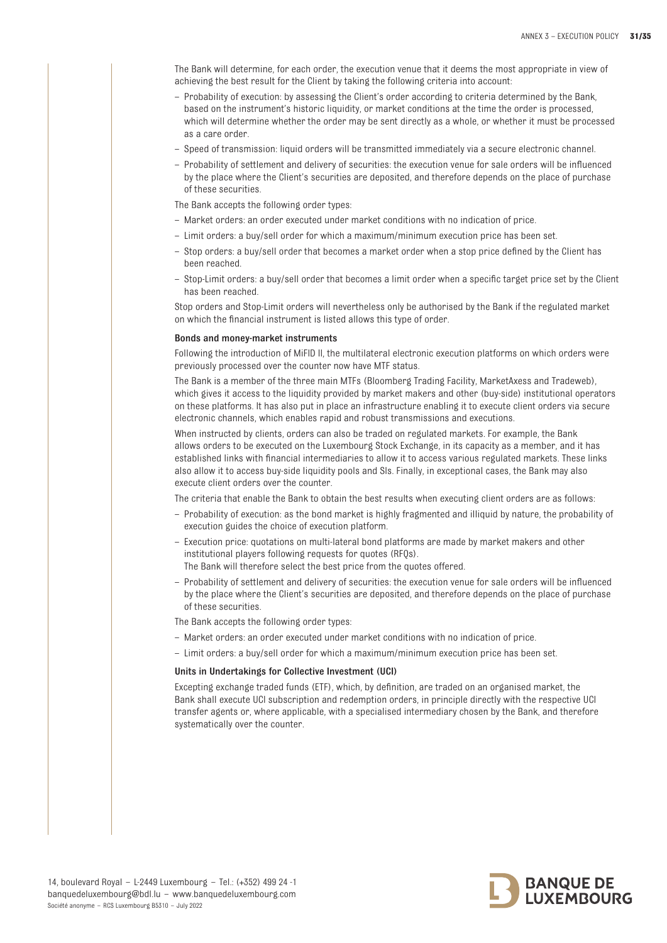The Bank will determine, for each order, the execution venue that it deems the most appropriate in view of achieving the best result for the Client by taking the following criteria into account:

- Probability of execution: by assessing the Client's order according to criteria determined by the Bank, based on the instrument's historic liquidity, or market conditions at the time the order is processed, which will determine whether the order may be sent directly as a whole, or whether it must be processed as a care order.
- Speed of transmission: liquid orders will be transmitted immediately via a secure electronic channel.
- Probability of settlement and delivery of securities: the execution venue for sale orders will be influenced by the place where the Client's securities are deposited, and therefore depends on the place of purchase of these securities.

The Bank accepts the following order types:

- Market orders: an order executed under market conditions with no indication of price.
- Limit orders: a buy/sell order for which a maximum/minimum execution price has been set.
- Stop orders: a buy/sell order that becomes a market order when a stop price defined by the Client has been reached.
- Stop-Limit orders: a buy/sell order that becomes a limit order when a specific target price set by the Client has been reached.

Stop orders and Stop-Limit orders will nevertheless only be authorised by the Bank if the regulated market on which the financial instrument is listed allows this type of order.

#### Bonds and money-market instruments

Following the introduction of MiFID II, the multilateral electronic execution platforms on which orders were previously processed over the counter now have MTF status.

The Bank is a member of the three main MTFs (Bloomberg Trading Facility, MarketAxess and Tradeweb), which gives it access to the liquidity provided by market makers and other (buy-side) institutional operators on these platforms. It has also put in place an infrastructure enabling it to execute client orders via secure electronic channels, which enables rapid and robust transmissions and executions.

When instructed by clients, orders can also be traded on regulated markets. For example, the Bank allows orders to be executed on the Luxembourg Stock Exchange, in its capacity as a member, and it has established links with financial intermediaries to allow it to access various regulated markets. These links also allow it to access buy-side liquidity pools and SIs. Finally, in exceptional cases, the Bank may also execute client orders over the counter.

The criteria that enable the Bank to obtain the best results when executing client orders are as follows:

- Probability of execution: as the bond market is highly fragmented and illiquid by nature, the probability of execution guides the choice of execution platform.
- Execution price: quotations on multi-lateral bond platforms are made by market makers and other institutional players following requests for quotes (RFQs).
	- The Bank will therefore select the best price from the quotes offered.
- Probability of settlement and delivery of securities: the execution venue for sale orders will be influenced by the place where the Client's securities are deposited, and therefore depends on the place of purchase of these securities.

The Bank accepts the following order types:

- Market orders: an order executed under market conditions with no indication of price.
- Limit orders: a buy/sell order for which a maximum/minimum execution price has been set.

#### Units in Undertakings for Collective Investment (UCI)

Excepting exchange traded funds (ETF), which, by definition, are traded on an organised market, the Bank shall execute UCI subscription and redemption orders, in principle directly with the respective UCI transfer agents or, where applicable, with a specialised intermediary chosen by the Bank, and therefore systematically over the counter.

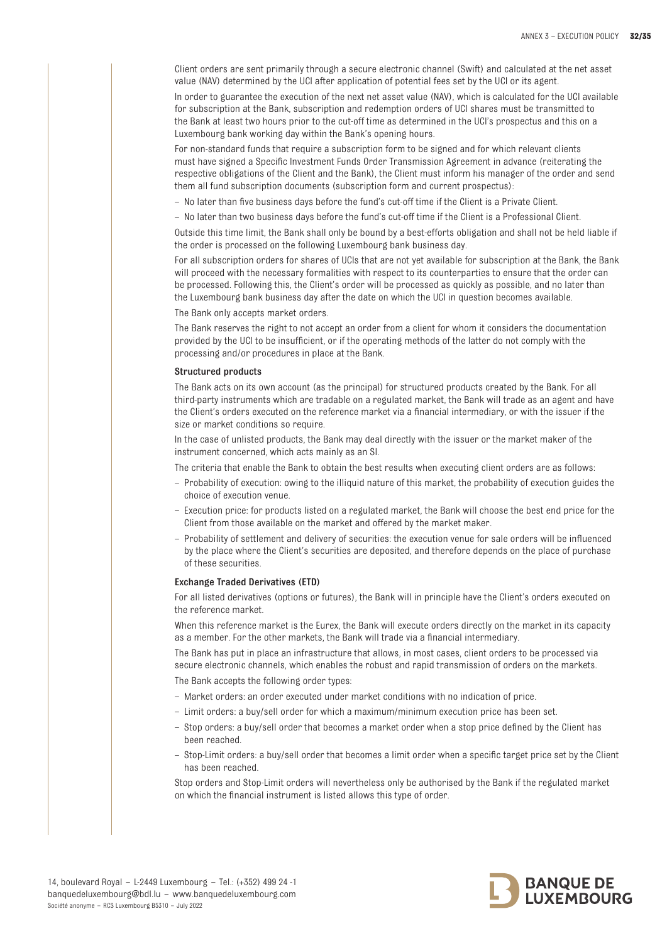Client orders are sent primarily through a secure electronic channel (Swift) and calculated at the net asset value (NAV) determined by the UCI after application of potential fees set by the UCI or its agent.

In order to guarantee the execution of the next net asset value (NAV), which is calculated for the UCI available for subscription at the Bank, subscription and redemption orders of UCI shares must be transmitted to the Bank at least two hours prior to the cut-off time as determined in the UCI's prospectus and this on a Luxembourg bank working day within the Bank's opening hours.

For non-standard funds that require a subscription form to be signed and for which relevant clients must have signed a Specific Investment Funds Order Transmission Agreement in advance (reiterating the respective obligations of the Client and the Bank), the Client must inform his manager of the order and send them all fund subscription documents (subscription form and current prospectus):

– No later than five business days before the fund's cut-off time if the Client is a Private Client.

– No later than two business days before the fund's cut-off time if the Client is a Professional Client.

Outside this time limit, the Bank shall only be bound by a best-efforts obligation and shall not be held liable if the order is processed on the following Luxembourg bank business day.

For all subscription orders for shares of UCIs that are not yet available for subscription at the Bank, the Bank will proceed with the necessary formalities with respect to its counterparties to ensure that the order can be processed. Following this, the Client's order will be processed as quickly as possible, and no later than the Luxembourg bank business day after the date on which the UCI in question becomes available.

The Bank only accepts market orders.

The Bank reserves the right to not accept an order from a client for whom it considers the documentation provided by the UCI to be insufficient, or if the operating methods of the latter do not comply with the processing and/or procedures in place at the Bank.

## Structured products

The Bank acts on its own account (as the principal) for structured products created by the Bank. For all third-party instruments which are tradable on a regulated market, the Bank will trade as an agent and have the Client's orders executed on the reference market via a financial intermediary, or with the issuer if the size or market conditions so require.

In the case of unlisted products, the Bank may deal directly with the issuer or the market maker of the instrument concerned, which acts mainly as an SI.

The criteria that enable the Bank to obtain the best results when executing client orders are as follows:

- Probability of execution: owing to the illiquid nature of this market, the probability of execution guides the choice of execution venue.
- Execution price: for products listed on a regulated market, the Bank will choose the best end price for the Client from those available on the market and offered by the market maker.
- Probability of settlement and delivery of securities: the execution venue for sale orders will be influenced by the place where the Client's securities are deposited, and therefore depends on the place of purchase of these securities.

#### Exchange Traded Derivatives (ETD)

For all listed derivatives (options or futures), the Bank will in principle have the Client's orders executed on the reference market.

When this reference market is the Eurex, the Bank will execute orders directly on the market in its capacity as a member. For the other markets, the Bank will trade via a financial intermediary.

The Bank has put in place an infrastructure that allows, in most cases, client orders to be processed via secure electronic channels, which enables the robust and rapid transmission of orders on the markets.

The Bank accepts the following order types:

- Market orders: an order executed under market conditions with no indication of price.
- Limit orders: a buy/sell order for which a maximum/minimum execution price has been set.
- Stop orders: a buy/sell order that becomes a market order when a stop price defined by the Client has been reached.
- Stop-Limit orders: a buy/sell order that becomes a limit order when a specific target price set by the Client has been reached.

Stop orders and Stop-Limit orders will nevertheless only be authorised by the Bank if the regulated market on which the financial instrument is listed allows this type of order.

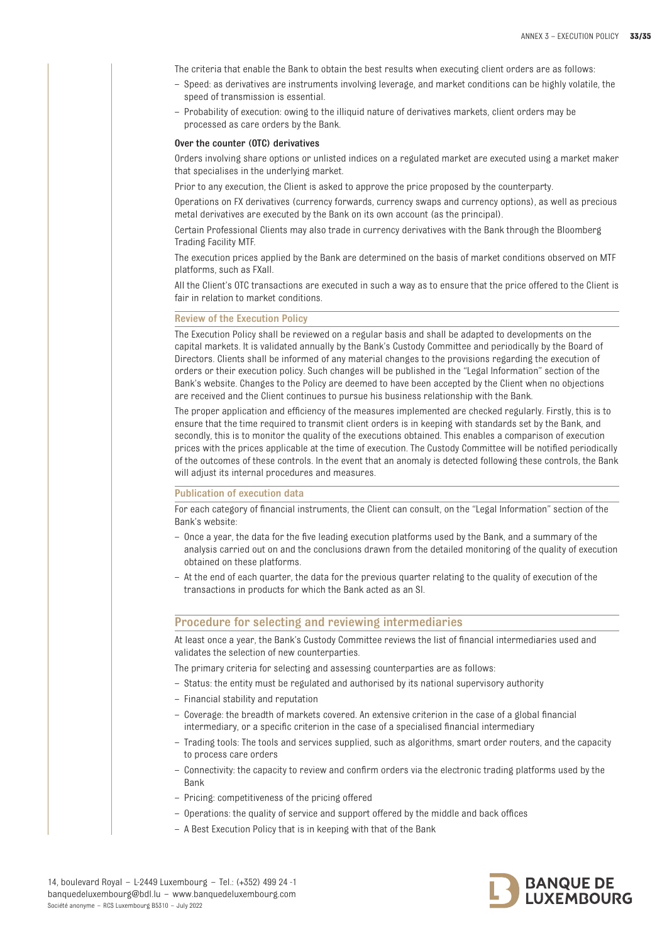The criteria that enable the Bank to obtain the best results when executing client orders are as follows:

- Speed: as derivatives are instruments involving leverage, and market conditions can be highly volatile, the speed of transmission is essential.
- Probability of execution: owing to the illiquid nature of derivatives markets, client orders may be processed as care orders by the Bank.

#### Over the counter (OTC) derivatives

Orders involving share options or unlisted indices on a regulated market are executed using a market maker that specialises in the underlying market.

Prior to any execution, the Client is asked to approve the price proposed by the counterparty.

Operations on FX derivatives (currency forwards, currency swaps and currency options), as well as precious metal derivatives are executed by the Bank on its own account (as the principal).

Certain Professional Clients may also trade in currency derivatives with the Bank through the Bloomberg Trading Facility MTF.

The execution prices applied by the Bank are determined on the basis of market conditions observed on MTF platforms, such as FXall.

All the Client's OTC transactions are executed in such a way as to ensure that the price offered to the Client is fair in relation to market conditions.

#### Review of the Execution Policy

The Execution Policy shall be reviewed on a regular basis and shall be adapted to developments on the capital markets. It is validated annually by the Bank's Custody Committee and periodically by the Board of Directors. Clients shall be informed of any material changes to the provisions regarding the execution of orders or their execution policy. Such changes will be published in the "Legal Information" section of the Bank's website. Changes to the Policy are deemed to have been accepted by the Client when no objections are received and the Client continues to pursue his business relationship with the Bank.

The proper application and efficiency of the measures implemented are checked regularly. Firstly, this is to ensure that the time required to transmit client orders is in keeping with standards set by the Bank, and secondly, this is to monitor the quality of the executions obtained. This enables a comparison of execution prices with the prices applicable at the time of execution. The Custody Committee will be notified periodically of the outcomes of these controls. In the event that an anomaly is detected following these controls, the Bank will adjust its internal procedures and measures.

#### Publication of execution data

For each category of financial instruments, the Client can consult, on the "Legal Information" section of the Bank's website:

- Once a year, the data for the five leading execution platforms used by the Bank, and a summary of the analysis carried out on and the conclusions drawn from the detailed monitoring of the quality of execution obtained on these platforms.
- At the end of each quarter, the data for the previous quarter relating to the quality of execution of the transactions in products for which the Bank acted as an SI.

## Procedure for selecting and reviewing intermediaries

At least once a year, the Bank's Custody Committee reviews the list of financial intermediaries used and validates the selection of new counterparties.

The primary criteria for selecting and assessing counterparties are as follows:

- Status: the entity must be regulated and authorised by its national supervisory authority
- Financial stability and reputation
- Coverage: the breadth of markets covered. An extensive criterion in the case of a global financial intermediary, or a specific criterion in the case of a specialised financial intermediary
- Trading tools: The tools and services supplied, such as algorithms, smart order routers, and the capacity to process care orders
- Connectivity: the capacity to review and confirm orders via the electronic trading platforms used by the Bank
- Pricing: competitiveness of the pricing offered
- Operations: the quality of service and support offered by the middle and back offices
- A Best Execution Policy that is in keeping with that of the Bank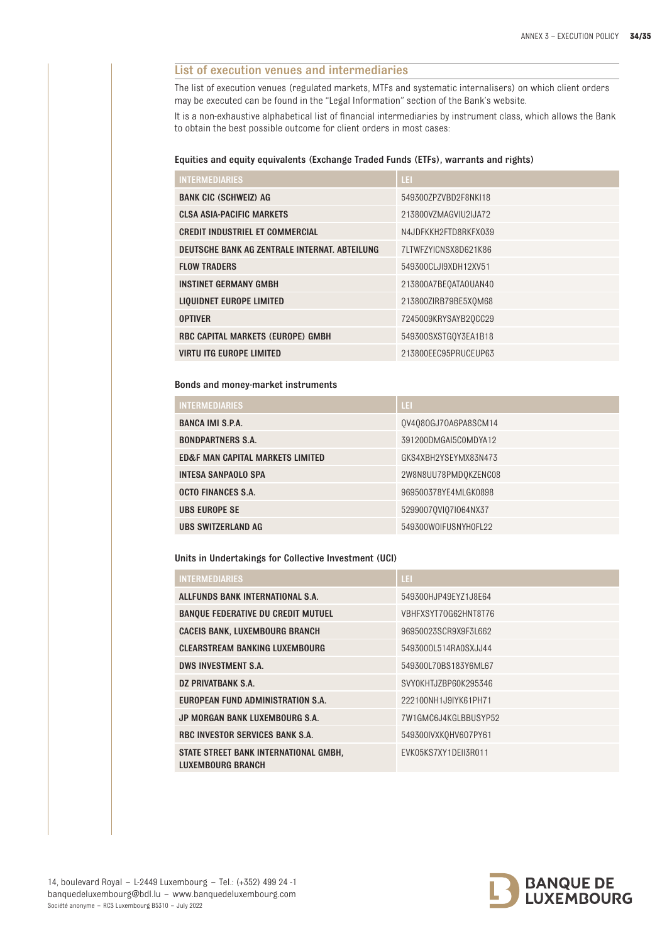# List of execution venues and intermediaries

The list of execution venues (regulated markets, MTFs and systematic internalisers) on which client orders may be executed can be found in the "Legal Information" section of the Bank's website.

It is a non-exhaustive alphabetical list of financial intermediaries by instrument class, which allows the Bank to obtain the best possible outcome for client orders in most cases:

#### Equities and equity equivalents (Exchange Traded Funds (ETFs), warrants and rights)

| <b>INTERMEDIARIES</b>                         | LEI.                 |
|-----------------------------------------------|----------------------|
| <b>BANK CIC (SCHWEIZ) AG</b>                  | 549300ZPZVBD2F8NKI18 |
| <b>CLSA ASIA-PACIFIC MARKETS</b>              | 213800VZMAGVIU2IJA72 |
| <b>CREDIT INDUSTRIEL ET COMMERCIAL</b>        | N4JDFKKH2FTD8RKFX039 |
| DEUTSCHE BANK AG ZENTRALE INTERNAT. ABTEILUNG | 7LTWFZYICNSX8D621K86 |
| <b>FLOW TRADERS</b>                           | 549300CLJI9XDH12XV51 |
| <b>INSTINET GERMANY GMBH</b>                  | 213800A7BE0ATAOUAN40 |
| LIQUIDNET EUROPE LIMITED                      | 213800ZIRB79BE5X0M68 |
| <b>OPTIVER</b>                                | 7245009KRYSAYB20CC29 |
| RBC CAPITAL MARKETS (EUROPE) GMBH             | 549300SXSTG0Y3EA1B18 |
| <b>VIRTU ITG EUROPE LIMITED</b>               | 213800EEC95PRUCEUP63 |

## Bonds and money-market instruments

| <b>INTERMEDIARIES</b>            | LEI                  |
|----------------------------------|----------------------|
| <b>BANCA IMI S.P.A.</b>          | QV4080GJ70A6PA8SCM14 |
| <b>BONDPARTNERS S.A.</b>         | 391200DMGAI5C0MDYA12 |
| ED&F MAN CAPITAL MARKETS LIMITED | GKS4XBH2YSEYMX83N473 |
| <b>INTESA SANPAOLO SPA</b>       | 2W8N8UU78PMD0KZENC08 |
| <b>OCTO FINANCES S.A.</b>        | 969500378YE4MLGK0898 |
| <b>UBS EUROPE SE</b>             | 52990070VI07I064NX37 |
| URS SWITZERLAND AG               | 549300WOIFUSNYHOFL22 |

Units in Undertakings for Collective Investment (UCI)

| <b>INTERMEDIARIES</b>                                             | LEI                  |
|-------------------------------------------------------------------|----------------------|
| ALLFUNDS BANK INTERNATIONAL S.A.                                  | 549300HJP49EYZ1J8E64 |
| <b>BANQUE FEDERATIVE DU CREDIT MUTUEL</b>                         | VBHFXSYT70G62HNT8T76 |
| <b>CACEIS BANK, LUXEMBOURG BRANCH</b>                             | 96950023SCR9X9F3L662 |
| <b>CLEARSTREAM BANKING LUXEMBOURG</b>                             | 5493000L514RA0SXJJ44 |
| <b>DWS INVESTMENT S.A.</b>                                        | 549300L70BS183Y6ML67 |
| DZ PRIVATBANK S.A.                                                | SVY0KHTJZBP60K295346 |
| EUROPEAN FUND ADMINISTRATION S.A.                                 | 222100NH1J9IYK61PH71 |
| JP MORGAN BANK LUXEMBOURG S.A.                                    | 7W1GMC6J4KGLBBUSYP52 |
| <b>RBC INVESTOR SERVICES BANK S.A.</b>                            | 549300IVXKQHV607PY61 |
| STATE STREET BANK INTERNATIONAL GMBH,<br><b>LUXEMBOURG BRANCH</b> | EVK05KS7XY1DEII3R011 |